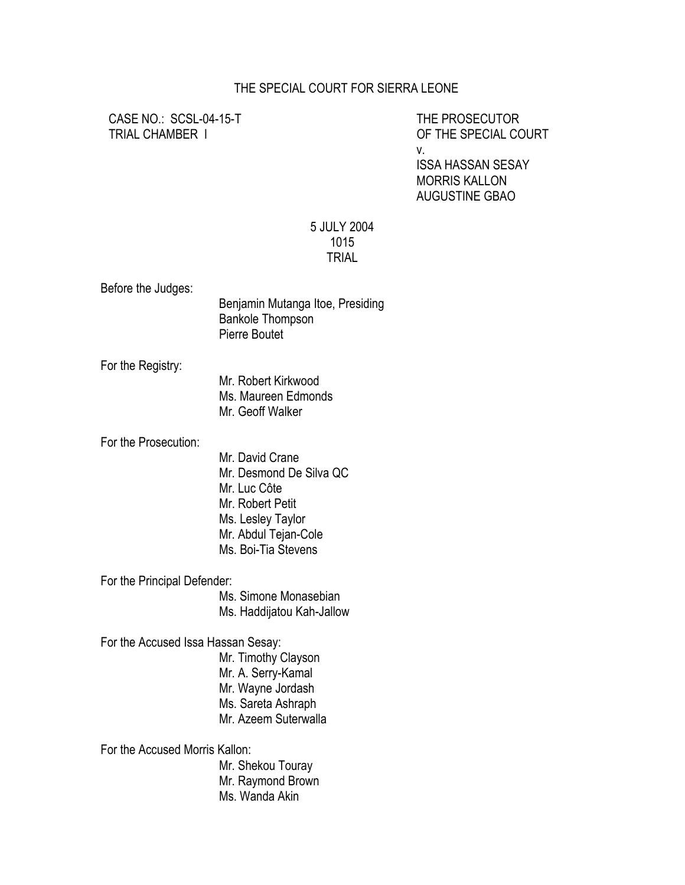## THE SPECIAL COURT FOR SIERRA LEONE

CASE NO.: SCSL-04-15-T THE PROSECUTOR

TRIAL CHAMBER I OF THE SPECIAL COURT v. ISSA HASSAN SESAY MORRIS KALLON AUGUSTINE GBAO

## 5 JULY 2004 1015 TRIAL

Before the Judges:

 Benjamin Mutanga Itoe, Presiding Bankole Thompson Pierre Boutet

For the Registry:

 Mr. Robert Kirkwood Ms. Maureen Edmonds Mr. Geoff Walker

For the Prosecution:

 Mr. David Crane Mr. Desmond De Silva QC Mr. Luc Côte Mr. Robert Petit Ms. Lesley Taylor Mr. Abdul Tejan-Cole Ms. Boi-Tia Stevens

For the Principal Defender:

 Ms. Simone Monasebian Ms. Haddijatou Kah-Jallow

For the Accused Issa Hassan Sesay:

 Mr. Timothy Clayson Mr. A. Serry-Kamal Mr. Wayne Jordash Ms. Sareta Ashraph Mr. Azeem Suterwalla

For the Accused Morris Kallon:

 Mr. Shekou Touray Mr. Raymond Brown Ms. Wanda Akin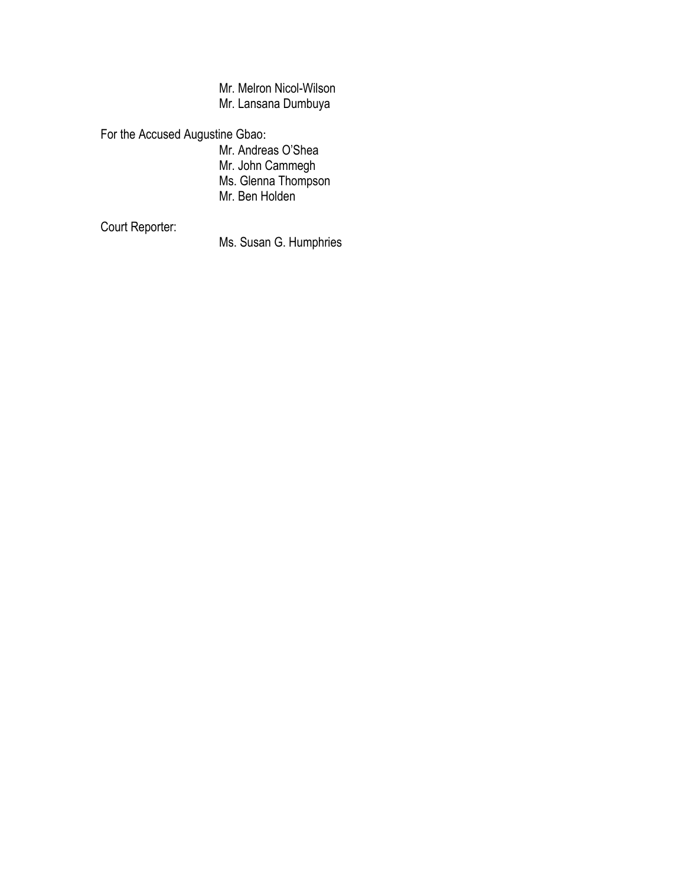Mr. Melron Nicol-Wilson Mr. Lansana Dumbuya

For the Accused Augustine Gbao:

 Mr. Andreas O'Shea Mr. John Cammegh Ms. Glenna Thompson Mr. Ben Holden

Court Reporter:

Ms. Susan G. Humphries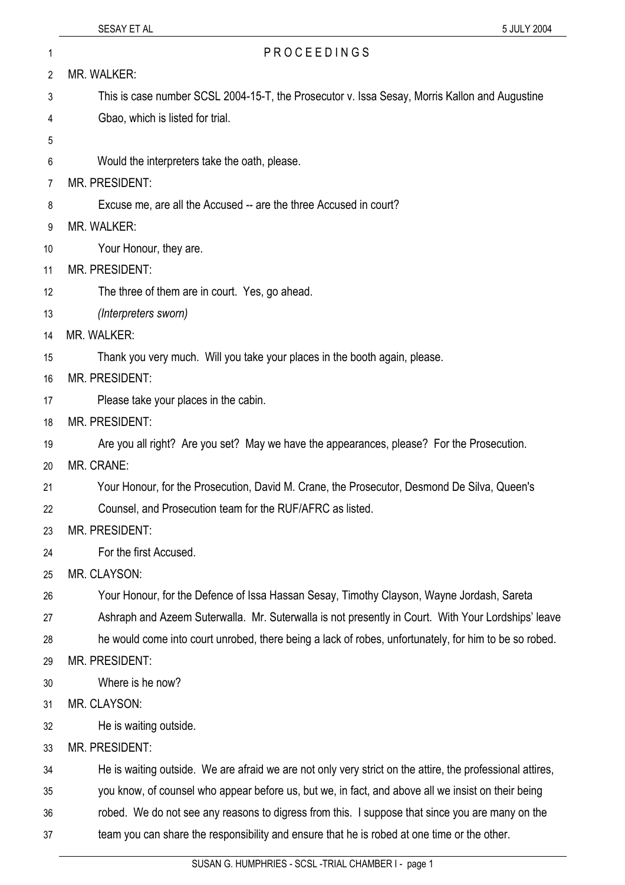- 2 MR. WALKER:
- 3 This is case number SCSL 2004-15-T, the Prosecutor v. Issa Sesay, Morris Kallon and Augustine
- 4 Gbao, which is listed for trial.
- 5

6

Would the interpreters take the oath, please.

7 MR. PRESIDENT:

8 Excuse me, are all the Accused -- are the three Accused in court?

1 PROCEEDINGS

- 9 MR WAI KFR<sup>.</sup>
- 10 Your Honour, they are.
- 11 MR. PRESIDENT:
- 12 The three of them are in court. Yes, go ahead.
- 13 *(Interpreters sworn)*
- 14 MR. WALKER:

15 Thank you very much. Will you take your places in the booth again, please.

- 16 MR. PRESIDENT:
- 17 Please take your places in the cabin.
- 18 MR. PRESIDENT:

19 Are you all right? Are you set? May we have the appearances, please? For the Prosecution.

20 MR. CRANE:

21 Your Honour, for the Prosecution, David M. Crane, the Prosecutor, Desmond De Silva, Queen's

- 22 Counsel, and Prosecution team for the RUF/AFRC as listed.
- 23 MR. PRESIDENT:
- 24 For the first Accused.
- 25 MR. CLAYSON:

26 Your Honour, for the Defence of Issa Hassan Sesay, Timothy Clayson, Wayne Jordash, Sareta

27 Ashraph and Azeem Suterwalla. Mr. Suterwalla is not presently in Court. With Your Lordships' leave

- 28 he would come into court unrobed, there being a lack of robes, unfortunately, for him to be so robed.
- 29 MR. PRESIDENT:
- 30 Where is he now?
- 31 MR. CLAYSON:
- 32 He is waiting outside.
- 33 MR. PRESIDENT:

34 He is waiting outside. We are afraid we are not only very strict on the attire, the professional attires,

35 you know, of counsel who appear before us, but we, in fact, and above all we insist on their being

- 36 robed. We do not see any reasons to digress from this. I suppose that since you are many on the
- 37 team you can share the responsibility and ensure that he is robed at one time or the other.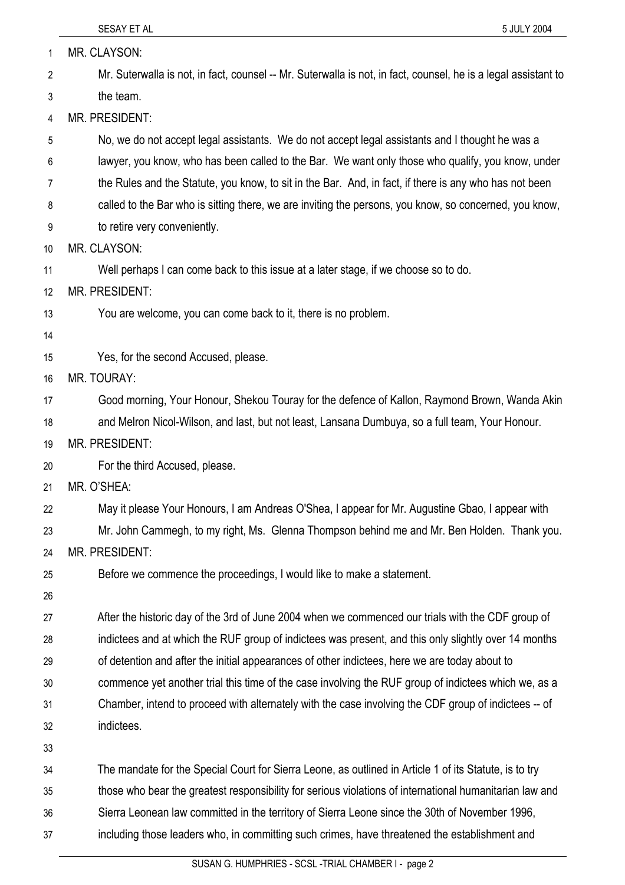| 1  | MR. CLAYSON:                                                                                                   |
|----|----------------------------------------------------------------------------------------------------------------|
| 2  | Mr. Suterwalla is not, in fact, counsel -- Mr. Suterwalla is not, in fact, counsel, he is a legal assistant to |
| 3  | the team.                                                                                                      |
| 4  | MR. PRESIDENT:                                                                                                 |
| 5  | No, we do not accept legal assistants. We do not accept legal assistants and I thought he was a                |
| 6  | lawyer, you know, who has been called to the Bar. We want only those who qualify, you know, under              |
| 7  | the Rules and the Statute, you know, to sit in the Bar. And, in fact, if there is any who has not been         |
| 8  | called to the Bar who is sitting there, we are inviting the persons, you know, so concerned, you know,         |
| 9  | to retire very conveniently.                                                                                   |
| 10 | MR. CLAYSON:                                                                                                   |
| 11 | Well perhaps I can come back to this issue at a later stage, if we choose so to do.                            |
| 12 | <b>MR. PRESIDENT:</b>                                                                                          |
| 13 | You are welcome, you can come back to it, there is no problem.                                                 |
| 14 |                                                                                                                |
| 15 | Yes, for the second Accused, please.                                                                           |
| 16 | MR. TOURAY:                                                                                                    |
| 17 | Good morning, Your Honour, Shekou Touray for the defence of Kallon, Raymond Brown, Wanda Akin                  |
| 18 | and Melron Nicol-Wilson, and last, but not least, Lansana Dumbuya, so a full team, Your Honour.                |
| 19 | <b>MR. PRESIDENT:</b>                                                                                          |
| 20 | For the third Accused, please.                                                                                 |
| 21 | MR. O'SHEA:                                                                                                    |
| 22 | May it please Your Honours, I am Andreas O'Shea, I appear for Mr. Augustine Gbao, I appear with                |
| 23 | Mr. John Cammegh, to my right, Ms. Glenna Thompson behind me and Mr. Ben Holden. Thank you.                    |
| 24 | MR. PRESIDENT:                                                                                                 |
| 25 | Before we commence the proceedings, I would like to make a statement.                                          |
| 26 |                                                                                                                |
| 27 | After the historic day of the 3rd of June 2004 when we commenced our trials with the CDF group of              |
| 28 | indictees and at which the RUF group of indictees was present, and this only slightly over 14 months           |
| 29 | of detention and after the initial appearances of other indictees, here we are today about to                  |
| 30 | commence yet another trial this time of the case involving the RUF group of indictees which we, as a           |
| 31 | Chamber, intend to proceed with alternately with the case involving the CDF group of indictees -- of           |
| 32 | indictees.                                                                                                     |
| 33 |                                                                                                                |
| 34 | The mandate for the Special Court for Sierra Leone, as outlined in Article 1 of its Statute, is to try         |
| 35 | those who bear the greatest responsibility for serious violations of international humanitarian law and        |
| 36 | Sierra Leonean law committed in the territory of Sierra Leone since the 30th of November 1996,                 |
| 37 | including those leaders who, in committing such crimes, have threatened the establishment and                  |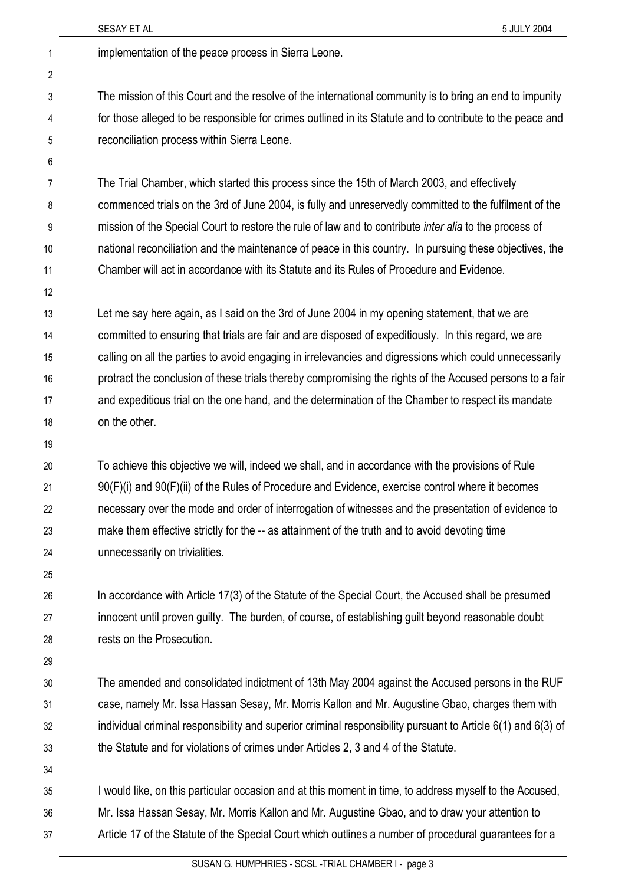|                | SESAY ET AL<br>5 JULY 2004                                                                                       |
|----------------|------------------------------------------------------------------------------------------------------------------|
| 1              | implementation of the peace process in Sierra Leone.                                                             |
| $\overline{2}$ |                                                                                                                  |
| 3              | The mission of this Court and the resolve of the international community is to bring an end to impunity          |
| 4              | for those alleged to be responsible for crimes outlined in its Statute and to contribute to the peace and        |
| 5              | reconciliation process within Sierra Leone.                                                                      |
| 6              |                                                                                                                  |
| 7              | The Trial Chamber, which started this process since the 15th of March 2003, and effectively                      |
| 8              | commenced trials on the 3rd of June 2004, is fully and unreservedly committed to the fulfilment of the           |
| 9              | mission of the Special Court to restore the rule of law and to contribute <i>inter alia</i> to the process of    |
| 10             | national reconciliation and the maintenance of peace in this country. In pursuing these objectives, the          |
| 11             | Chamber will act in accordance with its Statute and its Rules of Procedure and Evidence.                         |
| 12             |                                                                                                                  |
| 13             | Let me say here again, as I said on the 3rd of June 2004 in my opening statement, that we are                    |
| 14             | committed to ensuring that trials are fair and are disposed of expeditiously. In this regard, we are             |
| 15             | calling on all the parties to avoid engaging in irrelevancies and digressions which could unnecessarily          |
| 16             | protract the conclusion of these trials thereby compromising the rights of the Accused persons to a fair         |
| 17             | and expeditious trial on the one hand, and the determination of the Chamber to respect its mandate               |
| 18             | on the other.                                                                                                    |
| 19             |                                                                                                                  |
| 20             | To achieve this objective we will, indeed we shall, and in accordance with the provisions of Rule                |
| 21             | 90(F)(i) and 90(F)(ii) of the Rules of Procedure and Evidence, exercise control where it becomes                 |
| 22             | necessary over the mode and order of interrogation of witnesses and the presentation of evidence to              |
| 23             | make them effective strictly for the -- as attainment of the truth and to avoid devoting time                    |
| 24             | unnecessarily on trivialities.                                                                                   |
| 25             |                                                                                                                  |
| 26             | In accordance with Article 17(3) of the Statute of the Special Court, the Accused shall be presumed              |
| 27             | innocent until proven guilty. The burden, of course, of establishing guilt beyond reasonable doubt               |
| 28             | rests on the Prosecution.                                                                                        |
| 29             |                                                                                                                  |
| 30             | The amended and consolidated indictment of 13th May 2004 against the Accused persons in the RUF                  |
| 31             | case, namely Mr. Issa Hassan Sesay, Mr. Morris Kallon and Mr. Augustine Gbao, charges them with                  |
| 32             | individual criminal responsibility and superior criminal responsibility pursuant to Article $6(1)$ and $6(3)$ of |
| 33             | the Statute and for violations of crimes under Articles 2, 3 and 4 of the Statute.                               |
| 34             |                                                                                                                  |
| 35             | I would like, on this particular occasion and at this moment in time, to address myself to the Accused,          |
| 36             | Mr. Issa Hassan Sesay, Mr. Morris Kallon and Mr. Augustine Gbao, and to draw your attention to                   |
| 37             | Article 17 of the Statute of the Special Court which outlines a number of procedural guarantees for a            |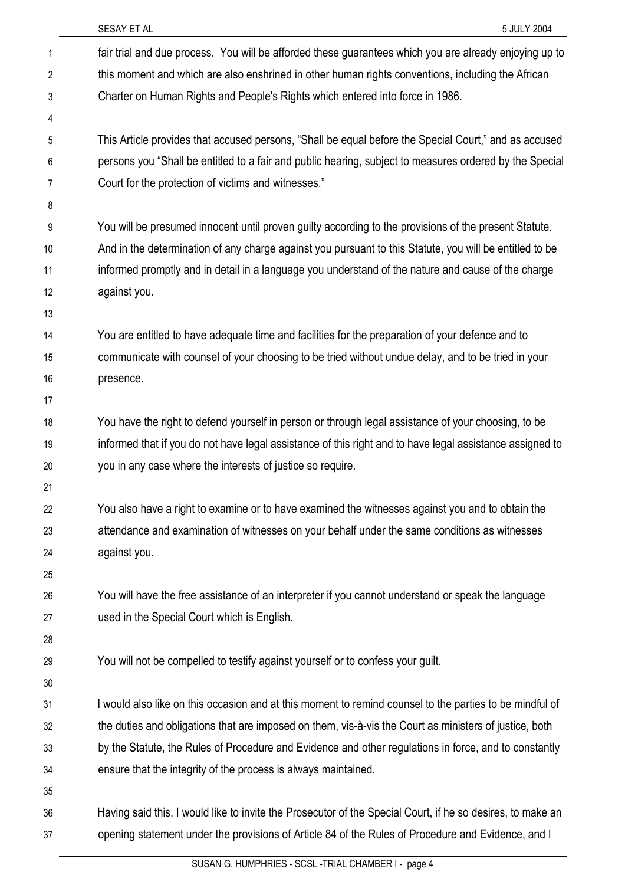| $\mathbf{1}$ | fair trial and due process. You will be afforded these guarantees which you are already enjoying up to     |
|--------------|------------------------------------------------------------------------------------------------------------|
| 2            | this moment and which are also enshrined in other human rights conventions, including the African          |
| 3            | Charter on Human Rights and People's Rights which entered into force in 1986.                              |
| 4            |                                                                                                            |
| 5            | This Article provides that accused persons, "Shall be equal before the Special Court," and as accused      |
| 6            | persons you "Shall be entitled to a fair and public hearing, subject to measures ordered by the Special    |
| 7            | Court for the protection of victims and witnesses."                                                        |
| 8            |                                                                                                            |
| 9            | You will be presumed innocent until proven guilty according to the provisions of the present Statute.      |
| 10           | And in the determination of any charge against you pursuant to this Statute, you will be entitled to be    |
| 11           | informed promptly and in detail in a language you understand of the nature and cause of the charge         |
| 12           | against you.                                                                                               |
| 13           |                                                                                                            |
| 14           | You are entitled to have adequate time and facilities for the preparation of your defence and to           |
| 15           | communicate with counsel of your choosing to be tried without undue delay, and to be tried in your         |
| 16           | presence.                                                                                                  |
| 17           |                                                                                                            |
| 18           | You have the right to defend yourself in person or through legal assistance of your choosing, to be        |
| 19           | informed that if you do not have legal assistance of this right and to have legal assistance assigned to   |
| 20           | you in any case where the interests of justice so require.                                                 |
| 21           |                                                                                                            |
| 22           | You also have a right to examine or to have examined the witnesses against you and to obtain the           |
| 23           | attendance and examination of witnesses on your behalf under the same conditions as witnesses              |
| 24           | against you.                                                                                               |
| 25           |                                                                                                            |
| 26           | You will have the free assistance of an interpreter if you cannot understand or speak the language         |
| 27           | used in the Special Court which is English.                                                                |
| 28           |                                                                                                            |
| 29           | You will not be compelled to testify against yourself or to confess your guilt.                            |
| 30           |                                                                                                            |
| 31           | I would also like on this occasion and at this moment to remind counsel to the parties to be mindful of    |
| 32           | the duties and obligations that are imposed on them, vis-à-vis the Court as ministers of justice, both     |
| 33           | by the Statute, the Rules of Procedure and Evidence and other regulations in force, and to constantly      |
| 34           | ensure that the integrity of the process is always maintained.                                             |
| 35           |                                                                                                            |
| 36           | Having said this, I would like to invite the Prosecutor of the Special Court, if he so desires, to make an |
| 37           | opening statement under the provisions of Article 84 of the Rules of Procedure and Evidence, and I         |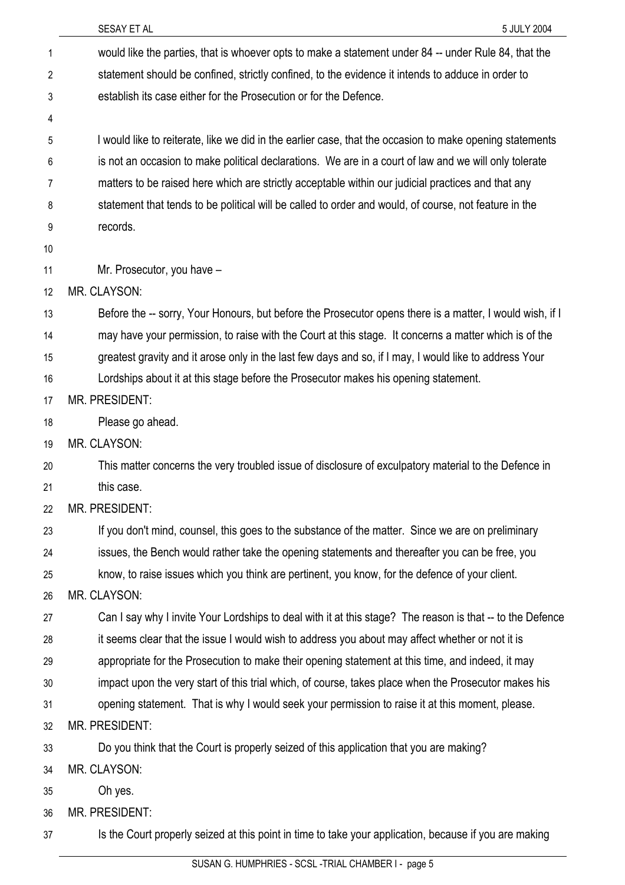| 1  | would like the parties, that is whoever opts to make a statement under 84 -- under Rule 84, that the      |
|----|-----------------------------------------------------------------------------------------------------------|
| 2  | statement should be confined, strictly confined, to the evidence it intends to adduce in order to         |
| 3  | establish its case either for the Prosecution or for the Defence.                                         |
| 4  |                                                                                                           |
| 5  | I would like to reiterate, like we did in the earlier case, that the occasion to make opening statements  |
| 6  | is not an occasion to make political declarations. We are in a court of law and we will only tolerate     |
| 7  | matters to be raised here which are strictly acceptable within our judicial practices and that any        |
| 8  | statement that tends to be political will be called to order and would, of course, not feature in the     |
| 9  | records.                                                                                                  |
| 10 |                                                                                                           |
| 11 | Mr. Prosecutor, you have -                                                                                |
| 12 | MR. CLAYSON:                                                                                              |
| 13 | Before the -- sorry, Your Honours, but before the Prosecutor opens there is a matter, I would wish, if I  |
| 14 | may have your permission, to raise with the Court at this stage. It concerns a matter which is of the     |
| 15 | greatest gravity and it arose only in the last few days and so, if I may, I would like to address Your    |
| 16 | Lordships about it at this stage before the Prosecutor makes his opening statement.                       |
| 17 | <b>MR. PRESIDENT:</b>                                                                                     |
| 18 | Please go ahead.                                                                                          |
| 19 | MR. CLAYSON:                                                                                              |
| 20 | This matter concerns the very troubled issue of disclosure of exculpatory material to the Defence in      |
| 21 | this case.                                                                                                |
| 22 | MR. PRESIDENT:                                                                                            |
| 23 | If you don't mind, counsel, this goes to the substance of the matter. Since we are on preliminary         |
| 24 | issues, the Bench would rather take the opening statements and thereafter you can be free, you            |
| 25 | know, to raise issues which you think are pertinent, you know, for the defence of your client.            |
| 26 | MR. CLAYSON:                                                                                              |
| 27 | Can I say why I invite Your Lordships to deal with it at this stage? The reason is that -- to the Defence |
| 28 | it seems clear that the issue I would wish to address you about may affect whether or not it is           |
| 29 | appropriate for the Prosecution to make their opening statement at this time, and indeed, it may          |
| 30 | impact upon the very start of this trial which, of course, takes place when the Prosecutor makes his      |
| 31 | opening statement. That is why I would seek your permission to raise it at this moment, please.           |
| 32 | MR. PRESIDENT:                                                                                            |
| 33 | Do you think that the Court is properly seized of this application that you are making?                   |
| 34 | MR. CLAYSON:                                                                                              |
| 35 | Oh yes.                                                                                                   |
| 36 | MR. PRESIDENT:                                                                                            |
| 37 | Is the Court properly seized at this point in time to take your application, because if you are making    |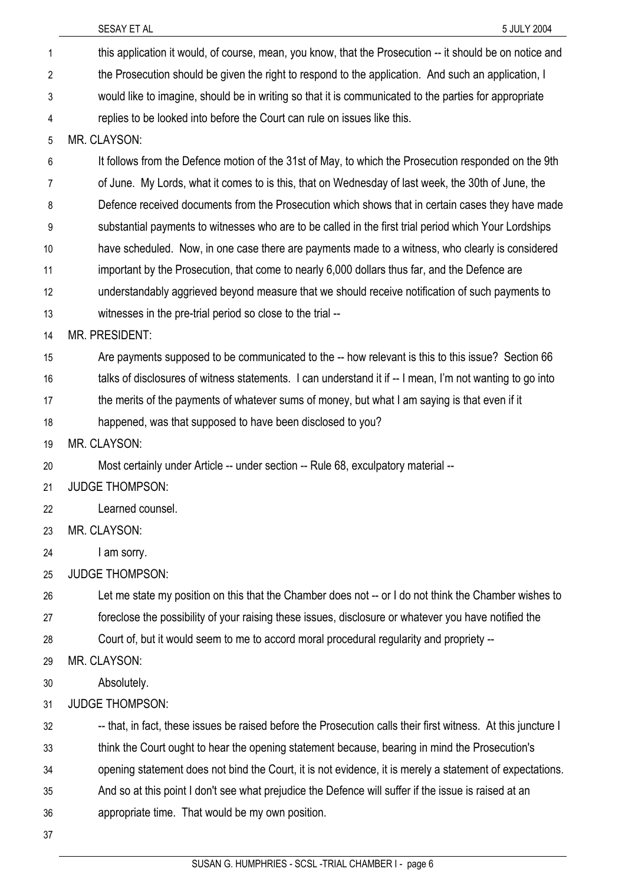| 1  | this application it would, of course, mean, you know, that the Prosecution -- it should be on notice and      |
|----|---------------------------------------------------------------------------------------------------------------|
| 2  | the Prosecution should be given the right to respond to the application. And such an application, I           |
| 3  | would like to imagine, should be in writing so that it is communicated to the parties for appropriate         |
| 4  | replies to be looked into before the Court can rule on issues like this.                                      |
| 5  | MR. CLAYSON:                                                                                                  |
| 6  | It follows from the Defence motion of the 31st of May, to which the Prosecution responded on the 9th          |
| 7  | of June. My Lords, what it comes to is this, that on Wednesday of last week, the 30th of June, the            |
| 8  | Defence received documents from the Prosecution which shows that in certain cases they have made              |
| 9  | substantial payments to witnesses who are to be called in the first trial period which Your Lordships         |
| 10 | have scheduled. Now, in one case there are payments made to a witness, who clearly is considered              |
| 11 | important by the Prosecution, that come to nearly 6,000 dollars thus far, and the Defence are                 |
| 12 | understandably aggrieved beyond measure that we should receive notification of such payments to               |
| 13 | witnesses in the pre-trial period so close to the trial --                                                    |
| 14 | MR. PRESIDENT:                                                                                                |
| 15 | Are payments supposed to be communicated to the -- how relevant is this to this issue? Section 66             |
| 16 | talks of disclosures of witness statements. I can understand it if -- I mean, I'm not wanting to go into      |
| 17 | the merits of the payments of whatever sums of money, but what I am saying is that even if it                 |
| 18 | happened, was that supposed to have been disclosed to you?                                                    |
| 19 | MR. CLAYSON:                                                                                                  |
| 20 | Most certainly under Article -- under section -- Rule 68, exculpatory material --                             |
| 21 | <b>JUDGE THOMPSON:</b>                                                                                        |
| 22 | Learned counsel                                                                                               |
| 23 | MR. CLAYSON:                                                                                                  |
| 24 | I am sorry.                                                                                                   |
| 25 | <b>JUDGE THOMPSON:</b>                                                                                        |
| 26 | Let me state my position on this that the Chamber does not -- or I do not think the Chamber wishes to         |
| 27 | foreclose the possibility of your raising these issues, disclosure or whatever you have notified the          |
| 28 | Court of, but it would seem to me to accord moral procedural regularity and propriety --                      |
| 29 | MR. CLAYSON:                                                                                                  |
| 30 | Absolutely.                                                                                                   |
| 31 | <b>JUDGE THOMPSON:</b>                                                                                        |
| 32 | -- that, in fact, these issues be raised before the Prosecution calls their first witness. At this juncture I |
| 33 | think the Court ought to hear the opening statement because, bearing in mind the Prosecution's                |
| 34 | opening statement does not bind the Court, it is not evidence, it is merely a statement of expectations.      |
| 35 | And so at this point I don't see what prejudice the Defence will suffer if the issue is raised at an          |
| 36 | appropriate time. That would be my own position.                                                              |

37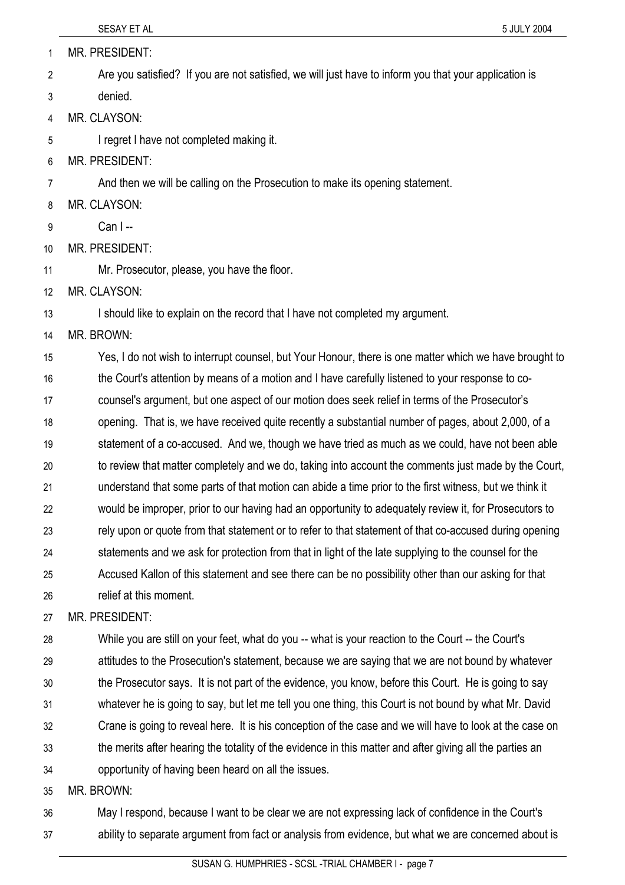|                | <b>SESAY ET AL</b><br>5 JULY 2004                                                                      |
|----------------|--------------------------------------------------------------------------------------------------------|
| $\mathbf{1}$   | MR. PRESIDENT:                                                                                         |
| $\overline{2}$ | Are you satisfied? If you are not satisfied, we will just have to inform you that your application is  |
| 3              | denied.                                                                                                |
| 4              | MR. CLAYSON:                                                                                           |
| 5              | I regret I have not completed making it.                                                               |
| 6              | <b>MR. PRESIDENT:</b>                                                                                  |
| 7              | And then we will be calling on the Prosecution to make its opening statement.                          |
| 8              | MR. CLAYSON:                                                                                           |
| 9              | Can I-                                                                                                 |
| 10             | <b>MR. PRESIDENT:</b>                                                                                  |
| 11             | Mr. Prosecutor, please, you have the floor.                                                            |
| 12             | MR. CLAYSON:                                                                                           |
| 13             | I should like to explain on the record that I have not completed my argument.                          |
| 14             | MR. BROWN:                                                                                             |
| 15             | Yes, I do not wish to interrupt counsel, but Your Honour, there is one matter which we have brought to |
| 16             | the Court's attention by means of a motion and I have carefully listened to your response to co-       |
| 17             | counsel's argument, but one aspect of our motion does seek relief in terms of the Prosecutor's         |
| 18             | opening. That is, we have received quite recently a substantial number of pages, about 2,000, of a     |
| 19             | statement of a co-accused. And we, though we have tried as much as we could, have not been able        |
| 20             | to review that matter completely and we do, taking into account the comments just made by the Court,   |
| 21             | understand that some parts of that motion can abide a time prior to the first witness, but we think it |
| 22             | would be improper, prior to our having had an opportunity to adequately review it, for Prosecutors to  |
| 23             | rely upon or quote from that statement or to refer to that statement of that co-accused during opening |
| 24             | statements and we ask for protection from that in light of the late supplying to the counsel for the   |
| 25             | Accused Kallon of this statement and see there can be no possibility other than our asking for that    |
| 26             | relief at this moment.                                                                                 |
| 27             | MR. PRESIDENT:                                                                                         |
| 28             | While you are still on your feet, what do you -- what is your reaction to the Court -- the Court's     |
| 29             | attitudes to the Prosecution's statement, because we are saying that we are not bound by whatever      |
| 30             | the Prosecutor says. It is not part of the evidence, you know, before this Court. He is going to say   |
| 31             | whatever he is going to say, but let me tell you one thing, this Court is not bound by what Mr. David  |

- 32 Crane is going to reveal here. It is his conception of the case and we will have to look at the case on
- 33 the merits after hearing the totality of the evidence in this matter and after giving all the parties an
- 34 opportunity of having been heard on all the issues.

35 MR. BROWN:

36 37 May I respond, because I want to be clear we are not expressing lack of confidence in the Court's ability to separate argument from fact or analysis from evidence, but what we are concerned about is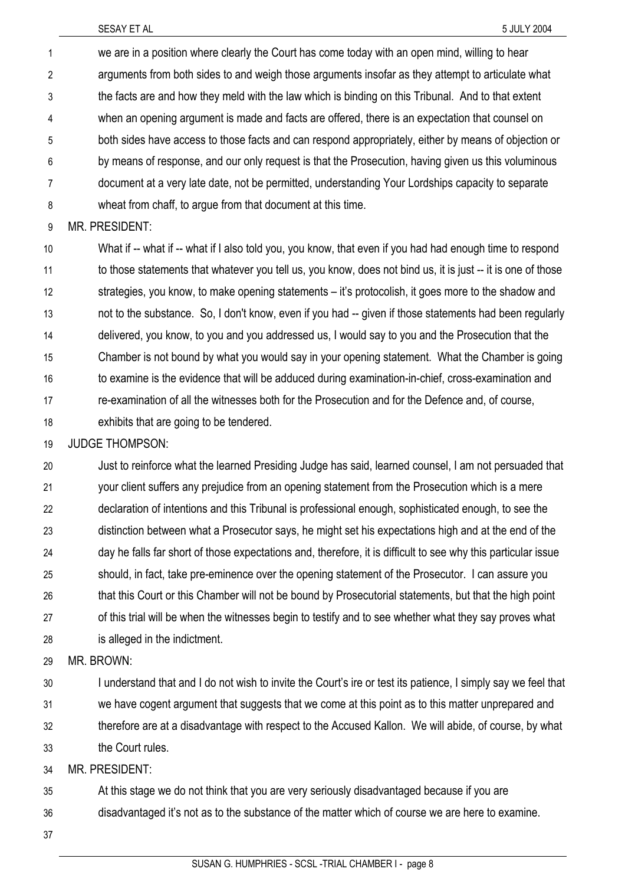we are in a position where clearly the Court has come today with an open mind, willing to hear arguments from both sides to and weigh those arguments insofar as they attempt to articulate what the facts are and how they meld with the law which is binding on this Tribunal. And to that extent when an opening argument is made and facts are offered, there is an expectation that counsel on both sides have access to those facts and can respond appropriately, either by means of objection or by means of response, and our only request is that the Prosecution, having given us this voluminous document at a very late date, not be permitted, understanding Your Lordships capacity to separate wheat from chaff, to argue from that document at this time. 1 2 3 4 5 6 7 8

9 MR. PRESIDENT:

10 11 12 13 14 15 16 17 18 What if -- what if -- what if I also told you, you know, that even if you had had enough time to respond to those statements that whatever you tell us, you know, does not bind us, it is just -- it is one of those strategies, you know, to make opening statements – it's protocolish, it goes more to the shadow and not to the substance. So, I don't know, even if you had -- given if those statements had been regularly delivered, you know, to you and you addressed us, I would say to you and the Prosecution that the Chamber is not bound by what you would say in your opening statement. What the Chamber is going to examine is the evidence that will be adduced during examination-in-chief, cross-examination and re-examination of all the witnesses both for the Prosecution and for the Defence and, of course, exhibits that are going to be tendered.

## 19 JUDGE THOMPSON:

20 21 22 23 24 25 26 27 28 Just to reinforce what the learned Presiding Judge has said, learned counsel, I am not persuaded that your client suffers any prejudice from an opening statement from the Prosecution which is a mere declaration of intentions and this Tribunal is professional enough, sophisticated enough, to see the distinction between what a Prosecutor says, he might set his expectations high and at the end of the day he falls far short of those expectations and, therefore, it is difficult to see why this particular issue should, in fact, take pre-eminence over the opening statement of the Prosecutor. I can assure you that this Court or this Chamber will not be bound by Prosecutorial statements, but that the high point of this trial will be when the witnesses begin to testify and to see whether what they say proves what is alleged in the indictment.

29 MR. BROWN:

30 31 32 33 I understand that and I do not wish to invite the Court's ire or test its patience, I simply say we feel that we have cogent argument that suggests that we come at this point as to this matter unprepared and therefore are at a disadvantage with respect to the Accused Kallon. We will abide, of course, by what the Court rules.

34 MR. PRESIDENT:

35 At this stage we do not think that you are very seriously disadvantaged because if you are

36 disadvantaged it's not as to the substance of the matter which of course we are here to examine.

37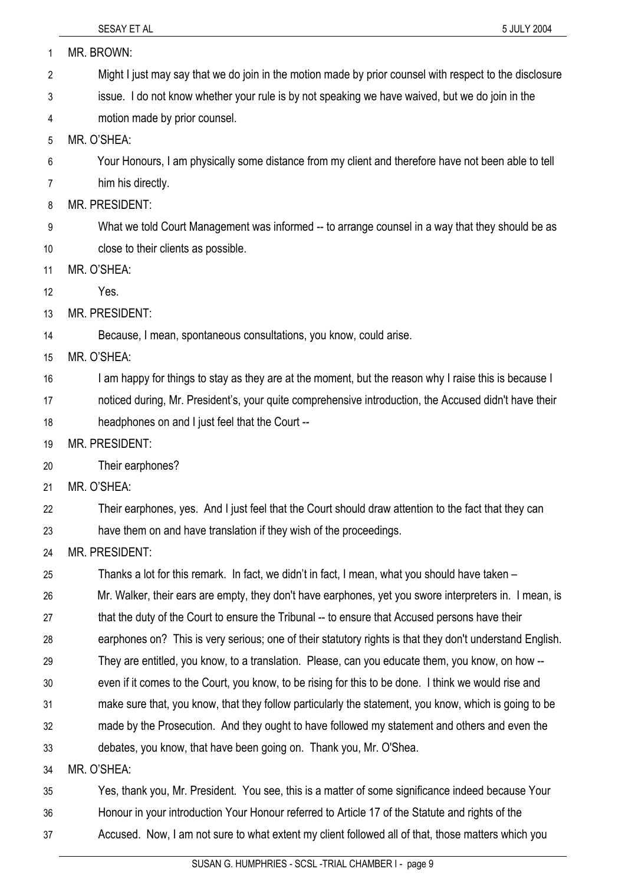| 1              | MR. BROWN:                                                                                               |
|----------------|----------------------------------------------------------------------------------------------------------|
| $\overline{2}$ | Might I just may say that we do join in the motion made by prior counsel with respect to the disclosure  |
| 3              | issue. I do not know whether your rule is by not speaking we have waived, but we do join in the          |
| 4              | motion made by prior counsel.                                                                            |
| 5              | MR. O'SHEA:                                                                                              |
| 6              | Your Honours, I am physically some distance from my client and therefore have not been able to tell      |
| 7              | him his directly.                                                                                        |
| 8              | MR. PRESIDENT:                                                                                           |
| 9              | What we told Court Management was informed -- to arrange counsel in a way that they should be as         |
| 10             | close to their clients as possible.                                                                      |
| 11             | MR. O'SHEA:                                                                                              |
| 12             | Yes.                                                                                                     |
| 13             | <b>MR. PRESIDENT:</b>                                                                                    |
| 14             | Because, I mean, spontaneous consultations, you know, could arise.                                       |
| 15             | MR. O'SHEA:                                                                                              |
| 16             | I am happy for things to stay as they are at the moment, but the reason why I raise this is because I    |
| 17             | noticed during, Mr. President's, your quite comprehensive introduction, the Accused didn't have their    |
| 18             | headphones on and I just feel that the Court --                                                          |
| 19             | <b>MR. PRESIDENT:</b>                                                                                    |
| 20             | Their earphones?                                                                                         |
| 21             | MR. O'SHEA:                                                                                              |
| 22             | Their earphones, yes. And I just feel that the Court should draw attention to the fact that they can     |
| 23             | have them on and have translation if they wish of the proceedings.                                       |
| 24             | <b>MR. PRESIDENT:</b>                                                                                    |
| 25             | Thanks a lot for this remark. In fact, we didn't in fact, I mean, what you should have taken -           |
| 26             | Mr. Walker, their ears are empty, they don't have earphones, yet you swore interpreters in. I mean, is   |
| 27             | that the duty of the Court to ensure the Tribunal -- to ensure that Accused persons have their           |
| 28             | earphones on? This is very serious; one of their statutory rights is that they don't understand English. |
| 29             | They are entitled, you know, to a translation. Please, can you educate them, you know, on how --         |
| 30             | even if it comes to the Court, you know, to be rising for this to be done. I think we would rise and     |
| 31             | make sure that, you know, that they follow particularly the statement, you know, which is going to be    |
| 32             | made by the Prosecution. And they ought to have followed my statement and others and even the            |
| 33             | debates, you know, that have been going on. Thank you, Mr. O'Shea.                                       |
| 34             | MR. O'SHEA:                                                                                              |
| 35             | Yes, thank you, Mr. President. You see, this is a matter of some significance indeed because Your        |

37 Accused. Now, I am not sure to what extent my client followed all of that, those matters which you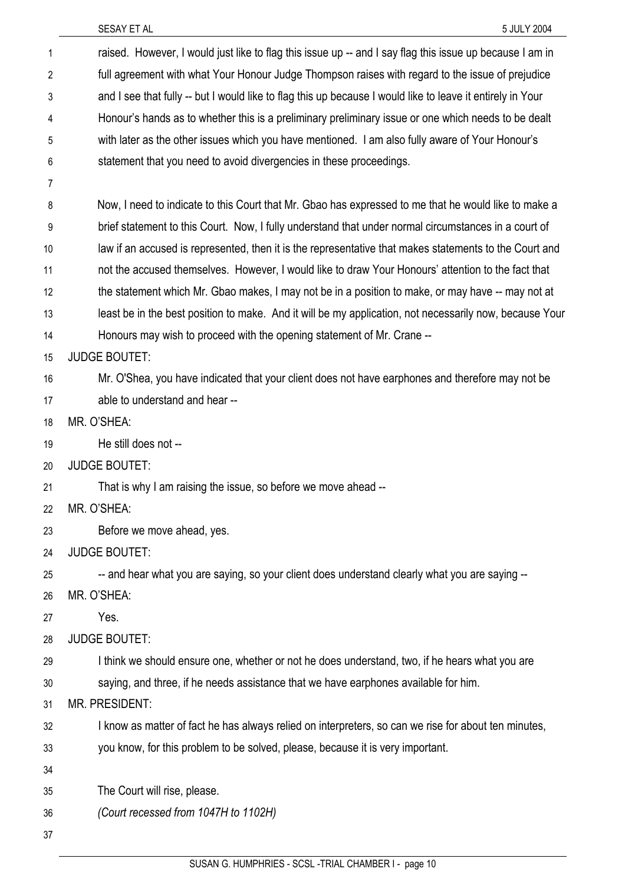|          | 5 JULY 2004<br>SESAY ET AL                                                                                                                                                            |
|----------|---------------------------------------------------------------------------------------------------------------------------------------------------------------------------------------|
| 1        | raised. However, I would just like to flag this issue up -- and I say flag this issue up because I am in                                                                              |
| 2        | full agreement with what Your Honour Judge Thompson raises with regard to the issue of prejudice                                                                                      |
| 3        | and I see that fully -- but I would like to flag this up because I would like to leave it entirely in Your                                                                            |
| 4        | Honour's hands as to whether this is a preliminary preliminary issue or one which needs to be dealt                                                                                   |
| 5        | with later as the other issues which you have mentioned. I am also fully aware of Your Honour's                                                                                       |
| 6        | statement that you need to avoid divergencies in these proceedings.                                                                                                                   |
| 7        |                                                                                                                                                                                       |
| 8        | Now, I need to indicate to this Court that Mr. Gbao has expressed to me that he would like to make a                                                                                  |
| 9        | brief statement to this Court. Now, I fully understand that under normal circumstances in a court of                                                                                  |
| 10       | law if an accused is represented, then it is the representative that makes statements to the Court and                                                                                |
| 11       | not the accused themselves. However, I would like to draw Your Honours' attention to the fact that                                                                                    |
| 12       | the statement which Mr. Gbao makes, I may not be in a position to make, or may have -- may not at                                                                                     |
| 13       | least be in the best position to make. And it will be my application, not necessarily now, because Your                                                                               |
| 14       | Honours may wish to proceed with the opening statement of Mr. Crane --                                                                                                                |
| 15       | <b>JUDGE BOUTET:</b>                                                                                                                                                                  |
| 16       | Mr. O'Shea, you have indicated that your client does not have earphones and therefore may not be                                                                                      |
| 17       | able to understand and hear --                                                                                                                                                        |
| 18       | MR. O'SHEA:                                                                                                                                                                           |
| 19       | He still does not --                                                                                                                                                                  |
| 20       | <b>JUDGE BOUTET:</b>                                                                                                                                                                  |
| 21       | That is why I am raising the issue, so before we move ahead --                                                                                                                        |
| 22       | MR. O'SHEA:                                                                                                                                                                           |
| 23       | Before we move ahead, yes.                                                                                                                                                            |
| 24       | <b>JUDGE BOUTET:</b>                                                                                                                                                                  |
| 25       | -- and hear what you are saying, so your client does understand clearly what you are saying --                                                                                        |
| 26       | MR. O'SHEA:                                                                                                                                                                           |
| 27       | Yes.                                                                                                                                                                                  |
| 28       | <b>JUDGE BOUTET:</b>                                                                                                                                                                  |
| 29       | I think we should ensure one, whether or not he does understand, two, if he hears what you are<br>saying, and three, if he needs assistance that we have earphones available for him. |
| 30<br>31 | <b>MR. PRESIDENT:</b>                                                                                                                                                                 |
| 32       | I know as matter of fact he has always relied on interpreters, so can we rise for about ten minutes,                                                                                  |
| 33       | you know, for this problem to be solved, please, because it is very important.                                                                                                        |
| 34       |                                                                                                                                                                                       |
| 35       | The Court will rise, please.                                                                                                                                                          |
| 36       | (Court recessed from 1047H to 1102H)                                                                                                                                                  |
|          |                                                                                                                                                                                       |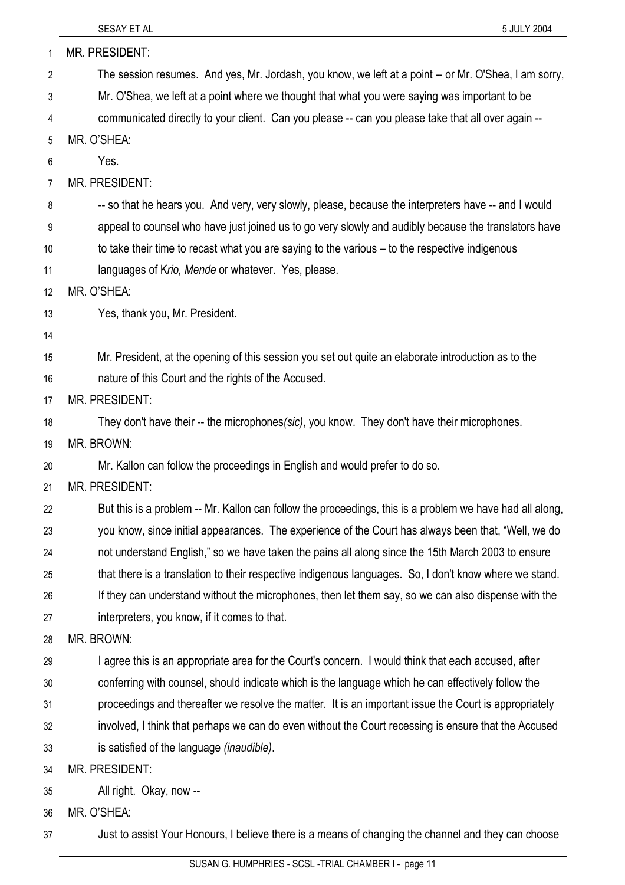|    | SESAY ET AL<br>5 JULY 2004                                                                               |
|----|----------------------------------------------------------------------------------------------------------|
| 1  | MR. PRESIDENT:                                                                                           |
| 2  | The session resumes. And yes, Mr. Jordash, you know, we left at a point -- or Mr. O'Shea, I am sorry,    |
| 3  | Mr. O'Shea, we left at a point where we thought that what you were saying was important to be            |
| 4  | communicated directly to your client. Can you please -- can you please take that all over again --       |
| 5  | MR. O'SHEA:                                                                                              |
| 6  | Yes.                                                                                                     |
| 7  | MR. PRESIDENT:                                                                                           |
| 8  | -- so that he hears you. And very, very slowly, please, because the interpreters have -- and I would     |
| 9  | appeal to counsel who have just joined us to go very slowly and audibly because the translators have     |
| 10 | to take their time to recast what you are saying to the various – to the respective indigenous           |
| 11 | languages of Krio, Mende or whatever. Yes, please.                                                       |
| 12 | MR. O'SHEA:                                                                                              |
| 13 | Yes, thank you, Mr. President.                                                                           |
| 14 |                                                                                                          |
| 15 | Mr. President, at the opening of this session you set out quite an elaborate introduction as to the      |
| 16 | nature of this Court and the rights of the Accused.                                                      |
| 17 | MR. PRESIDENT:                                                                                           |
| 18 | They don't have their -- the microphones(sic), you know. They don't have their microphones.              |
| 19 | MR. BROWN:                                                                                               |
| 20 | Mr. Kallon can follow the proceedings in English and would prefer to do so.                              |
| 21 | MR. PRESIDENT:                                                                                           |
| 22 | But this is a problem -- Mr. Kallon can follow the proceedings, this is a problem we have had all along, |
| 23 | you know, since initial appearances. The experience of the Court has always been that, "Well, we do      |
| 24 | not understand English," so we have taken the pains all along since the 15th March 2003 to ensure        |
| 25 | that there is a translation to their respective indigenous languages. So, I don't know where we stand.   |
| 26 | If they can understand without the microphones, then let them say, so we can also dispense with the      |
| 27 | interpreters, you know, if it comes to that.                                                             |
| 28 | MR. BROWN:                                                                                               |
| 29 | I agree this is an appropriate area for the Court's concern. I would think that each accused, after      |
| 30 | conferring with counsel, should indicate which is the language which he can effectively follow the       |
| 31 | proceedings and thereafter we resolve the matter. It is an important issue the Court is appropriately    |
| 32 | involved, I think that perhaps we can do even without the Court recessing is ensure that the Accused     |
| 33 | is satisfied of the language ( <i>inaudible</i> ).                                                       |
| 34 | MR. PRESIDENT:                                                                                           |
| 35 | All right. Okay, now --                                                                                  |
| 36 | MR. O'SHEA:                                                                                              |
| 37 | Just to assist Your Honours, I believe there is a means of changing the channel and they can choose      |
|    |                                                                                                          |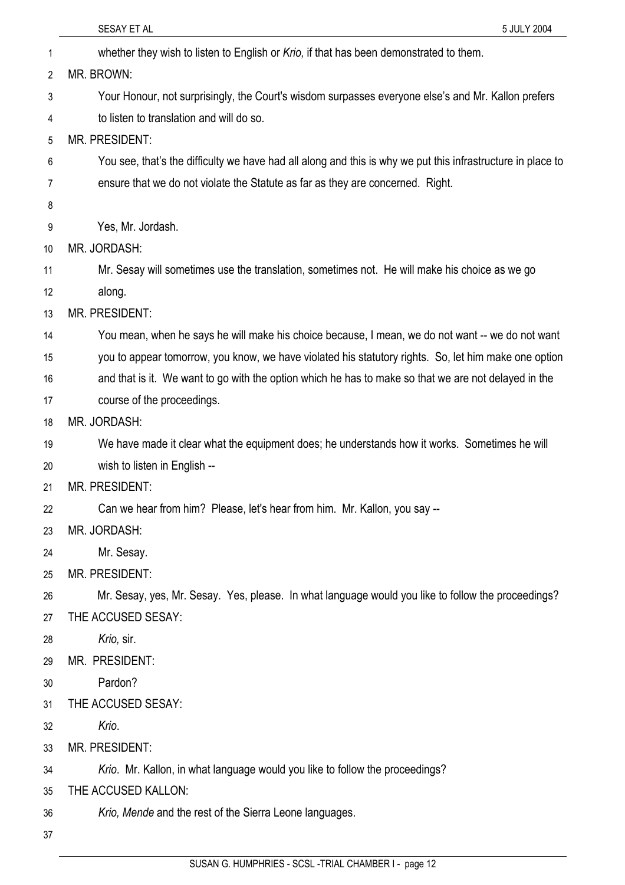| 1              | whether they wish to listen to English or Krio, if that has been demonstrated to them.                      |
|----------------|-------------------------------------------------------------------------------------------------------------|
| 2              | MR. BROWN:                                                                                                  |
| 3              | Your Honour, not surprisingly, the Court's wisdom surpasses everyone else's and Mr. Kallon prefers          |
| 4              | to listen to translation and will do so.                                                                    |
| 5              | MR. PRESIDENT:                                                                                              |
| 6              | You see, that's the difficulty we have had all along and this is why we put this infrastructure in place to |
| $\overline{7}$ | ensure that we do not violate the Statute as far as they are concerned. Right.                              |
| 8              |                                                                                                             |
| 9              | Yes, Mr. Jordash.                                                                                           |
| 10             | MR. JORDASH:                                                                                                |
| 11             | Mr. Sesay will sometimes use the translation, sometimes not. He will make his choice as we go               |
| 12             | along.                                                                                                      |
| 13             | MR. PRESIDENT:                                                                                              |
| 14             | You mean, when he says he will make his choice because, I mean, we do not want -- we do not want            |
| 15             | you to appear tomorrow, you know, we have violated his statutory rights. So, let him make one option        |
| 16             | and that is it. We want to go with the option which he has to make so that we are not delayed in the        |
| 17             | course of the proceedings.                                                                                  |
| 18             | MR. JORDASH:                                                                                                |
| 19             | We have made it clear what the equipment does; he understands how it works. Sometimes he will               |
| 20             | wish to listen in English --                                                                                |
| 21             | <b>MR. PRESIDENT:</b>                                                                                       |
| 22             | Can we hear from him? Please, let's hear from him. Mr. Kallon, you say --                                   |
| 23             | MR. JORDASH:                                                                                                |
| 24             | Mr. Sesay.                                                                                                  |
| 25             | MR. PRESIDENT:                                                                                              |
| 26             | Mr. Sesay, yes, Mr. Sesay. Yes, please. In what language would you like to follow the proceedings?          |
| 27             | THE ACCUSED SESAY:                                                                                          |
| 28             | Krio, sir.                                                                                                  |
| 29             | MR. PRESIDENT:                                                                                              |
| 30             | Pardon?                                                                                                     |
| 31             | THE ACCUSED SESAY:                                                                                          |
| 32             | Krio.                                                                                                       |
| 33             | MR. PRESIDENT:                                                                                              |
| 34             | Krio. Mr. Kallon, in what language would you like to follow the proceedings?                                |
| 35             | THE ACCUSED KALLON:                                                                                         |
| 36             | Krio, Mende and the rest of the Sierra Leone languages.                                                     |
|                |                                                                                                             |

37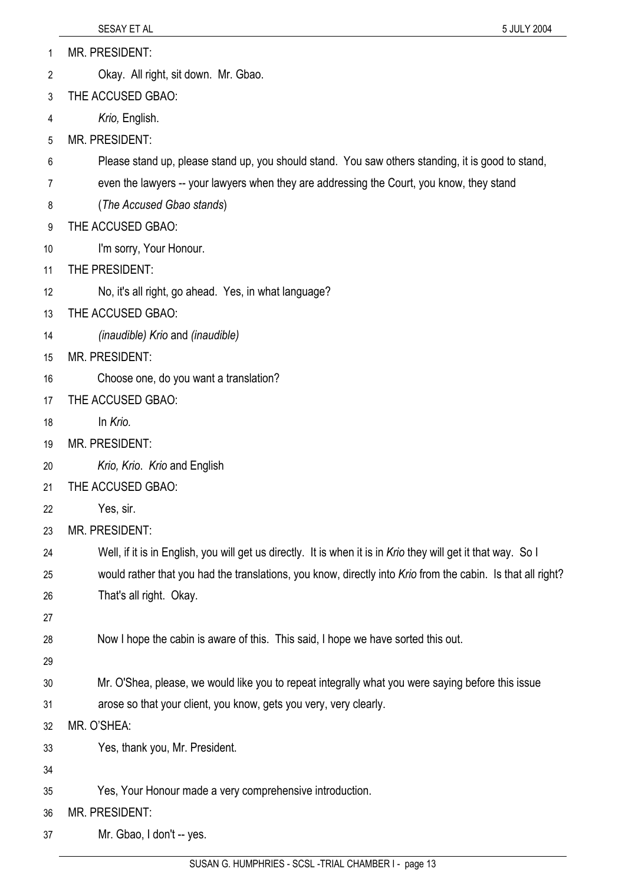- MR. PRESIDENT: 1
- Okay. All right, sit down. Mr. Gbao. 2
- 3 THE ACCUSED GBAO:
- 4 *Krio,* English.
- 5 MR. PRESIDENT:
- 6 Please stand up, please stand up, you should stand. You saw others standing, it is good to stand,
- 7 even the lawyers -- your lawyers when they are addressing the Court, you know, they stand
- 8 (*The Accused Gbao stands*)
- 9 THE ACCUSED GBAO:
- 10 I'm sorry, Your Honour.
- 11 THE PRESIDENT:
- 12 No, it's all right, go ahead. Yes, in what language?
- 13 THE ACCUSED GBAO:
- 14 *(inaudible) Krio* and *(inaudible)*
- 15 MR. PRESIDENT:
- 16 Choose one, do you want a translation?
- 17 THE ACCUSED GBAO:
- 18 In *Krio.*
- 19 MR. PRESIDENT:
- 20 *Krio, Krio*. *Krio* and English
- 21 THE ACCUSED GBAO:
- 22 Yes, sir.
- 23 MR. PRESIDENT:
- 24 Well, if it is in English, you will get us directly. It is when it is in *Krio* they will get it that way. So I
- 25 26 would rather that you had the translations, you know, directly into *Krio* from the cabin. Is that all right? That's all right. Okay.
- 27
- 28 Now I hope the cabin is aware of this. This said, I hope we have sorted this out.
- 29
- 30 Mr. O'Shea, please, we would like you to repeat integrally what you were saying before this issue
- 31 arose so that your client, you know, gets you very, very clearly.
- 32 MR. O'SHEA:
- 33 Yes, thank you, Mr. President.
- 34
- 35 Yes, Your Honour made a very comprehensive introduction.
- 36 MR. PRESIDENT:
- 37 Mr. Gbao, I don't -- yes.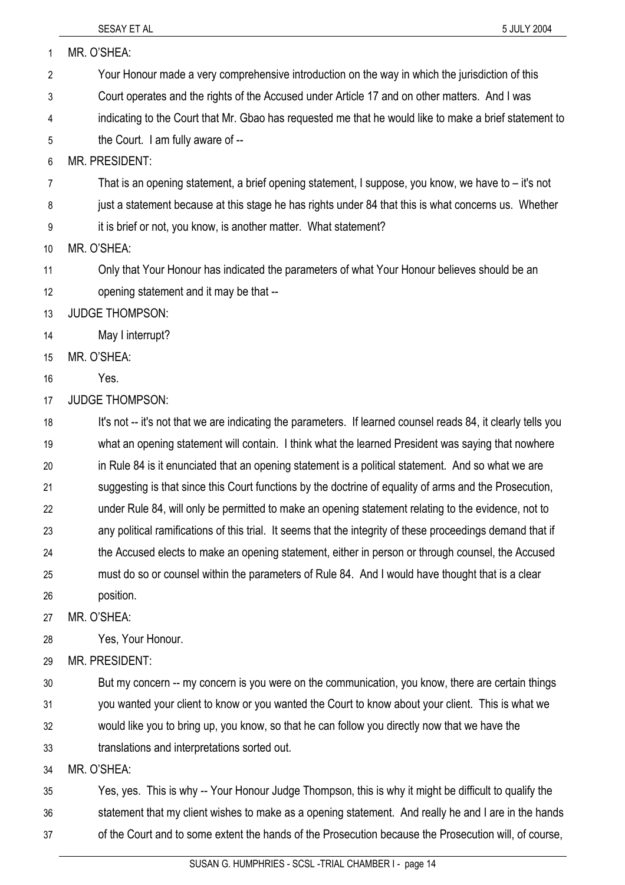| 1  | MR. O'SHEA:                                                                                                   |
|----|---------------------------------------------------------------------------------------------------------------|
| 2  | Your Honour made a very comprehensive introduction on the way in which the jurisdiction of this               |
| 3  | Court operates and the rights of the Accused under Article 17 and on other matters. And I was                 |
| 4  | indicating to the Court that Mr. Gbao has requested me that he would like to make a brief statement to        |
| 5  | the Court. I am fully aware of --                                                                             |
| 6  | <b>MR. PRESIDENT:</b>                                                                                         |
| 7  | That is an opening statement, a brief opening statement, I suppose, you know, we have to $-$ it's not         |
| 8  | just a statement because at this stage he has rights under 84 that this is what concerns us. Whether          |
| 9  | it is brief or not, you know, is another matter. What statement?                                              |
| 10 | MR. O'SHEA:                                                                                                   |
| 11 | Only that Your Honour has indicated the parameters of what Your Honour believes should be an                  |
| 12 | opening statement and it may be that --                                                                       |
| 13 | <b>JUDGE THOMPSON:</b>                                                                                        |
| 14 | May I interrupt?                                                                                              |
| 15 | MR. O'SHEA:                                                                                                   |
| 16 | Yes.                                                                                                          |
| 17 | <b>JUDGE THOMPSON:</b>                                                                                        |
| 18 | It's not -- it's not that we are indicating the parameters. If learned counsel reads 84, it clearly tells you |
| 19 | what an opening statement will contain. I think what the learned President was saying that nowhere            |
| 20 | in Rule 84 is it enunciated that an opening statement is a political statement. And so what we are            |
| 21 | suggesting is that since this Court functions by the doctrine of equality of arms and the Prosecution,        |
| 22 | under Rule 84, will only be permitted to make an opening statement relating to the evidence, not to           |
| 23 | any political ramifications of this trial. It seems that the integrity of these proceedings demand that if    |
| 24 | the Accused elects to make an opening statement, either in person or through counsel, the Accused             |
| 25 | must do so or counsel within the parameters of Rule 84. And I would have thought that is a clear              |
| 26 | position.                                                                                                     |
| 27 | MR. O'SHEA:                                                                                                   |
| 28 | Yes, Your Honour.                                                                                             |
| 29 | MR. PRESIDENT:                                                                                                |
| 30 | But my concern -- my concern is you were on the communication, you know, there are certain things             |
| 31 | you wanted your client to know or you wanted the Court to know about your client. This is what we             |
| 32 | would like you to bring up, you know, so that he can follow you directly now that we have the                 |
| 33 | translations and interpretations sorted out.                                                                  |
| 34 | MR. O'SHEA:                                                                                                   |
| 35 | Yes, yes. This is why -- Your Honour Judge Thompson, this is why it might be difficult to qualify the         |

36 statement that my client wishes to make as a opening statement. And really he and I are in the hands

37 of the Court and to some extent the hands of the Prosecution because the Prosecution will, of course,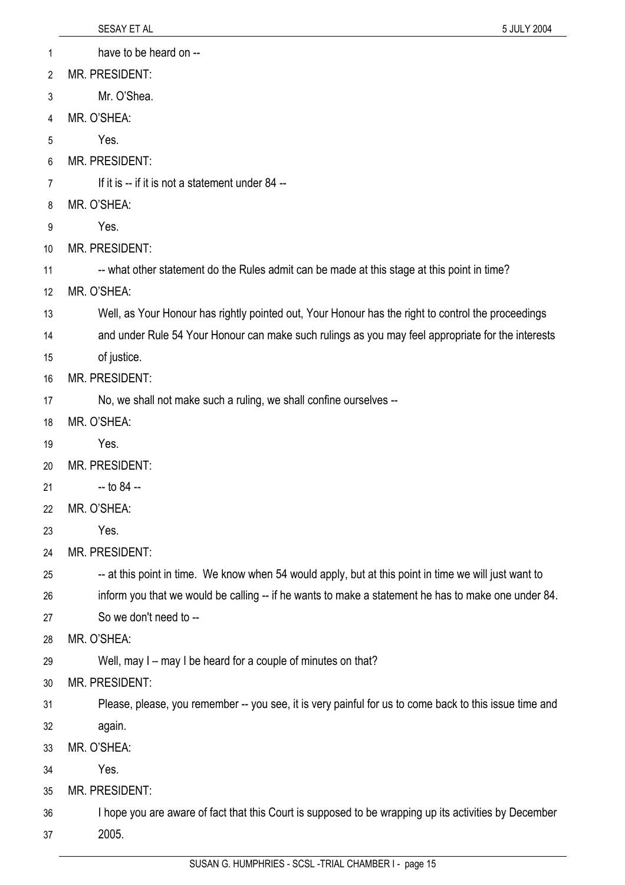| 1  | have to be heard on --                                                                                 |
|----|--------------------------------------------------------------------------------------------------------|
| 2  | MR. PRESIDENT:                                                                                         |
| 3  | Mr. O'Shea.                                                                                            |
| 4  | MR. O'SHEA:                                                                                            |
| 5  | Yes.                                                                                                   |
| 6  | MR. PRESIDENT:                                                                                         |
| 7  | If it is -- if it is not a statement under 84 --                                                       |
| 8  | MR. O'SHEA:                                                                                            |
| 9  | Yes.                                                                                                   |
| 10 | MR. PRESIDENT:                                                                                         |
| 11 | -- what other statement do the Rules admit can be made at this stage at this point in time?            |
| 12 | MR. O'SHEA:                                                                                            |
| 13 | Well, as Your Honour has rightly pointed out, Your Honour has the right to control the proceedings     |
| 14 | and under Rule 54 Your Honour can make such rulings as you may feel appropriate for the interests      |
| 15 | of justice.                                                                                            |
| 16 | <b>MR. PRESIDENT:</b>                                                                                  |
| 17 | No, we shall not make such a ruling, we shall confine ourselves --                                     |
| 18 | MR. O'SHEA:                                                                                            |
| 19 | Yes.                                                                                                   |
| 20 | MR. PRESIDENT:                                                                                         |
| 21 | $-$ to 84 $-$                                                                                          |
| 22 | MR. O'SHEA:                                                                                            |
| 23 | Yes.                                                                                                   |
| 24 | MR. PRESIDENT:                                                                                         |
| 25 | -- at this point in time. We know when 54 would apply, but at this point in time we will just want to  |
| 26 | inform you that we would be calling -- if he wants to make a statement he has to make one under 84.    |
| 27 | So we don't need to --                                                                                 |
| 28 | MR. O'SHEA:                                                                                            |
| 29 | Well, may I - may I be heard for a couple of minutes on that?                                          |
| 30 | MR. PRESIDENT:                                                                                         |
| 31 | Please, please, you remember -- you see, it is very painful for us to come back to this issue time and |
| 32 | again.                                                                                                 |
| 33 | MR. O'SHEA:                                                                                            |
| 34 | Yes.                                                                                                   |
| 35 | MR. PRESIDENT:                                                                                         |
| 36 | I hope you are aware of fact that this Court is supposed to be wrapping up its activities by December  |
| 37 | 2005.                                                                                                  |

SESAY ET AL 5 JULY 2004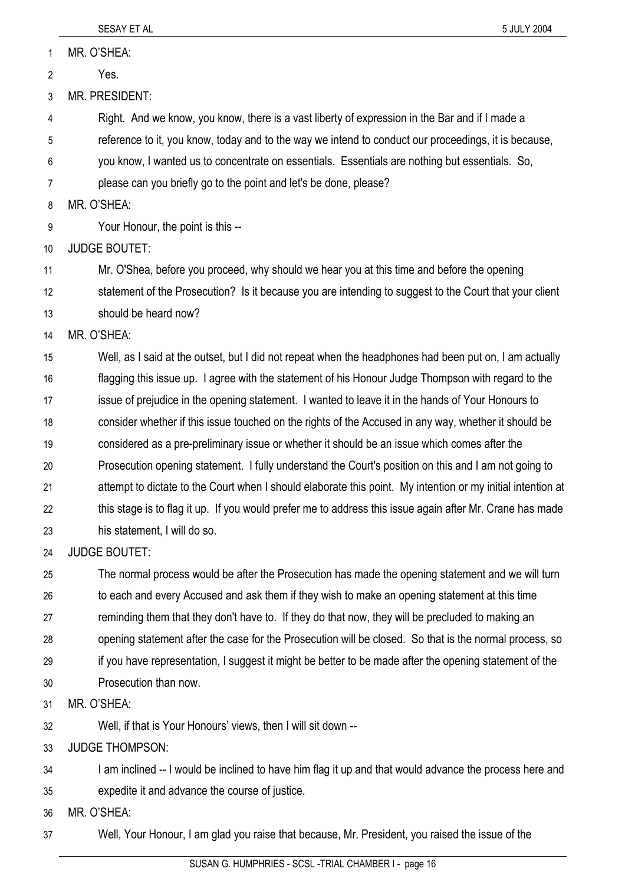MR. O'SHEA: 1

Yes. 2

3 MR. PRESIDENT:

4 Right. And we know, you know, there is a vast liberty of expression in the Bar and if I made a

5 reference to it, you know, today and to the way we intend to conduct our proceedings, it is because,

6 you know, I wanted us to concentrate on essentials. Essentials are nothing but essentials. So,

7 please can you briefly go to the point and let's be done, please?

8 MR. O'SHEA:

9 Your Honour, the point is this --

10 JUDGE BOUTET:

11 Mr. O'Shea, before you proceed, why should we hear you at this time and before the opening

12 statement of the Prosecution? Is it because you are intending to suggest to the Court that your client

13 should be heard now?

14 MR. O'SHEA:

15 16 17 18 19 20 21 22 23 Well, as I said at the outset, but I did not repeat when the headphones had been put on, I am actually flagging this issue up. I agree with the statement of his Honour Judge Thompson with regard to the issue of prejudice in the opening statement. I wanted to leave it in the hands of Your Honours to consider whether if this issue touched on the rights of the Accused in any way, whether it should be considered as a pre-preliminary issue or whether it should be an issue which comes after the Prosecution opening statement. I fully understand the Court's position on this and I am not going to attempt to dictate to the Court when I should elaborate this point. My intention or my initial intention at this stage is to flag it up. If you would prefer me to address this issue again after Mr. Crane has made his statement, I will do so.

24 JUDGE BOUTET:

25 26 27 28 29 30 The normal process would be after the Prosecution has made the opening statement and we will turn to each and every Accused and ask them if they wish to make an opening statement at this time reminding them that they don't have to. If they do that now, they will be precluded to making an opening statement after the case for the Prosecution will be closed. So that is the normal process, so if you have representation, I suggest it might be better to be made after the opening statement of the Prosecution than now.

31 MR. O'SHEA:

32 Well, if that is Your Honours' views, then I will sit down --

33 JUDGE THOMPSON:

34 I am inclined -- I would be inclined to have him flag it up and that would advance the process here and

35 expedite it and advance the course of justice.

36 MR. O'SHEA:

37 Well, Your Honour, I am glad you raise that because, Mr. President, you raised the issue of the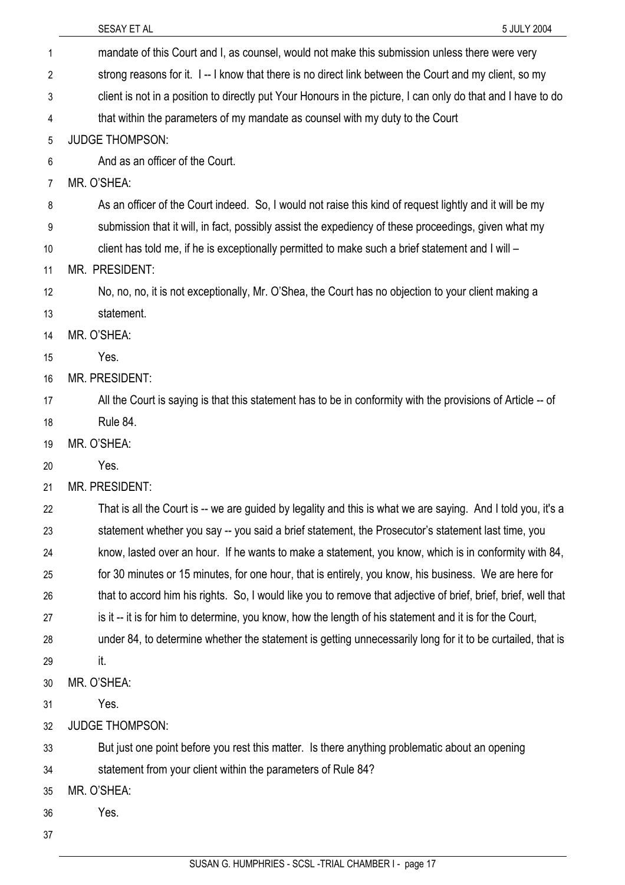| 1  | mandate of this Court and I, as counsel, would not make this submission unless there were very                 |
|----|----------------------------------------------------------------------------------------------------------------|
| 2  | strong reasons for it. 1--1 know that there is no direct link between the Court and my client, so my           |
| 3  | client is not in a position to directly put Your Honours in the picture, I can only do that and I have to do   |
| 4  | that within the parameters of my mandate as counsel with my duty to the Court                                  |
| 5  | <b>JUDGE THOMPSON:</b>                                                                                         |
| 6  | And as an officer of the Court.                                                                                |
| 7  | MR. O'SHEA:                                                                                                    |
| 8  | As an officer of the Court indeed. So, I would not raise this kind of request lightly and it will be my        |
| 9  | submission that it will, in fact, possibly assist the expediency of these proceedings, given what my           |
| 10 | client has told me, if he is exceptionally permitted to make such a brief statement and I will -               |
| 11 | MR. PRESIDENT:                                                                                                 |
| 12 | No, no, no, it is not exceptionally, Mr. O'Shea, the Court has no objection to your client making a            |
| 13 | statement.                                                                                                     |
| 14 | MR. O'SHEA:                                                                                                    |
| 15 | Yes.                                                                                                           |
| 16 | <b>MR. PRESIDENT:</b>                                                                                          |
| 17 | All the Court is saying is that this statement has to be in conformity with the provisions of Article -- of    |
| 18 | Rule 84.                                                                                                       |
| 19 | MR. O'SHEA:                                                                                                    |
| 20 | Yes.                                                                                                           |
| 21 | MR. PRESIDENT:                                                                                                 |
| 22 | That is all the Court is -- we are guided by legality and this is what we are saying. And I told you, it's a   |
| 23 | statement whether you say -- you said a brief statement, the Prosecutor's statement last time, you             |
| 24 | know, lasted over an hour. If he wants to make a statement, you know, which is in conformity with 84,          |
| 25 | for 30 minutes or 15 minutes, for one hour, that is entirely, you know, his business. We are here for          |
| 26 | that to accord him his rights. So, I would like you to remove that adjective of brief, brief, brief, well that |
| 27 | is it -- it is for him to determine, you know, how the length of his statement and it is for the Court,        |
| 28 | under 84, to determine whether the statement is getting unnecessarily long for it to be curtailed, that is     |
| 29 | it.                                                                                                            |
| 30 | MR. O'SHEA:                                                                                                    |
| 31 | Yes.                                                                                                           |
| 32 | <b>JUDGE THOMPSON:</b>                                                                                         |
| 33 | But just one point before you rest this matter. Is there anything problematic about an opening                 |
| 34 | statement from your client within the parameters of Rule 84?                                                   |
| 35 | MR. O'SHEA:                                                                                                    |
| 36 | Yes.                                                                                                           |
| 37 |                                                                                                                |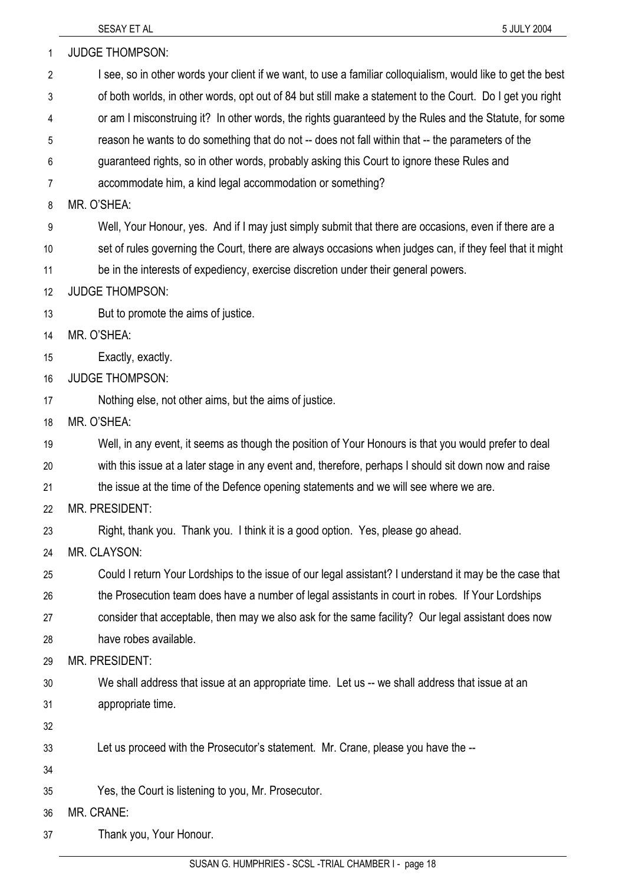| 1  | <b>JUDGE THOMPSON:</b>                                                                                       |
|----|--------------------------------------------------------------------------------------------------------------|
| 2  | I see, so in other words your client if we want, to use a familiar colloquialism, would like to get the best |
| 3  | of both worlds, in other words, opt out of 84 but still make a statement to the Court. Do I get you right    |
| 4  | or am I misconstruing it? In other words, the rights guaranteed by the Rules and the Statute, for some       |
| 5  | reason he wants to do something that do not -- does not fall within that -- the parameters of the            |
| 6  | guaranteed rights, so in other words, probably asking this Court to ignore these Rules and                   |
| 7  | accommodate him, a kind legal accommodation or something?                                                    |
| 8  | MR. O'SHEA:                                                                                                  |
| 9  | Well, Your Honour, yes. And if I may just simply submit that there are occasions, even if there are a        |
| 10 | set of rules governing the Court, there are always occasions when judges can, if they feel that it might     |
| 11 | be in the interests of expediency, exercise discretion under their general powers.                           |
| 12 | <b>JUDGE THOMPSON:</b>                                                                                       |
| 13 | But to promote the aims of justice.                                                                          |
| 14 | MR. O'SHEA:                                                                                                  |
| 15 | Exactly, exactly.                                                                                            |
| 16 | <b>JUDGE THOMPSON:</b>                                                                                       |
| 17 | Nothing else, not other aims, but the aims of justice.                                                       |
| 18 | MR. O'SHEA:                                                                                                  |
| 19 | Well, in any event, it seems as though the position of Your Honours is that you would prefer to deal         |
| 20 | with this issue at a later stage in any event and, therefore, perhaps I should sit down now and raise        |
| 21 | the issue at the time of the Defence opening statements and we will see where we are.                        |
| 22 | MR. PRESIDENT:                                                                                               |
| 23 | Right, thank you. Thank you. I think it is a good option. Yes, please go ahead.                              |
| 24 | MR. CLAYSON:                                                                                                 |
| 25 | Could I return Your Lordships to the issue of our legal assistant? I understand it may be the case that      |
| 26 | the Prosecution team does have a number of legal assistants in court in robes. If Your Lordships             |
| 27 | consider that acceptable, then may we also ask for the same facility? Our legal assistant does now           |
| 28 | have robes available.                                                                                        |
| 29 | MR. PRESIDENT:                                                                                               |
| 30 | We shall address that issue at an appropriate time. Let us -- we shall address that issue at an              |
| 31 | appropriate time.                                                                                            |
| 32 |                                                                                                              |
| 33 | Let us proceed with the Prosecutor's statement. Mr. Crane, please you have the --                            |
| 34 |                                                                                                              |
| 35 | Yes, the Court is listening to you, Mr. Prosecutor.                                                          |
| 36 | MR. CRANE:                                                                                                   |
| 37 | Thank you, Your Honour.                                                                                      |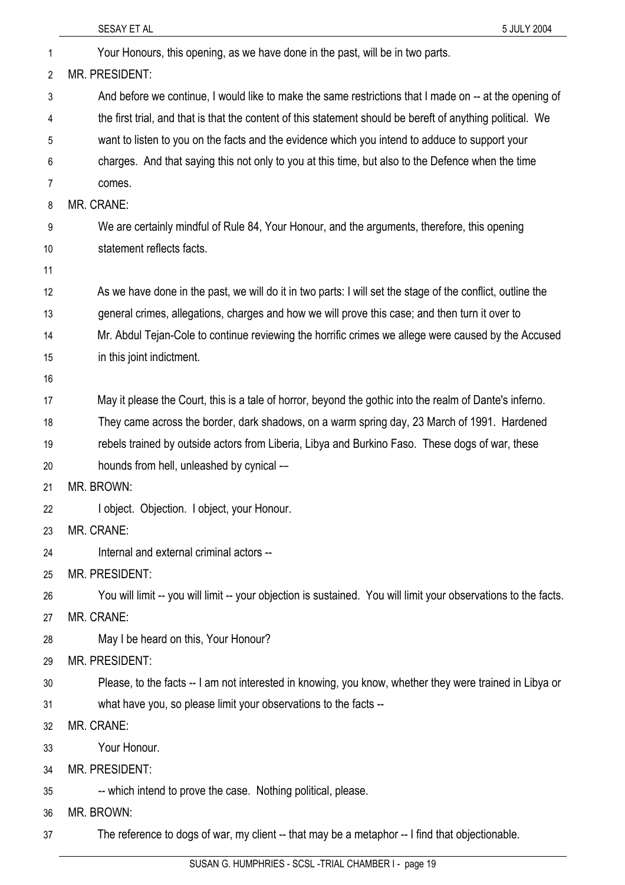|    | SESAY ET AL<br>5 JULY 2004                                                                                      |
|----|-----------------------------------------------------------------------------------------------------------------|
| 1  | Your Honours, this opening, as we have done in the past, will be in two parts.                                  |
| 2  | MR. PRESIDENT:                                                                                                  |
| 3  | And before we continue, I would like to make the same restrictions that I made on -- at the opening of          |
| 4  | the first trial, and that is that the content of this statement should be bereft of anything political. We      |
| 5  | want to listen to you on the facts and the evidence which you intend to adduce to support your                  |
| 6  | charges. And that saying this not only to you at this time, but also to the Defence when the time               |
| 7  | comes.                                                                                                          |
| 8  | MR. CRANE:                                                                                                      |
| 9  | We are certainly mindful of Rule 84, Your Honour, and the arguments, therefore, this opening                    |
| 10 | statement reflects facts.                                                                                       |
| 11 |                                                                                                                 |
| 12 | As we have done in the past, we will do it in two parts: I will set the stage of the conflict, outline the      |
| 13 | general crimes, allegations, charges and how we will prove this case; and then turn it over to                  |
| 14 | Mr. Abdul Tejan-Cole to continue reviewing the horrific crimes we allege were caused by the Accused             |
| 15 | in this joint indictment.                                                                                       |
| 16 |                                                                                                                 |
| 17 | May it please the Court, this is a tale of horror, beyond the gothic into the realm of Dante's inferno.         |
| 18 | They came across the border, dark shadows, on a warm spring day, 23 March of 1991. Hardened                     |
| 19 | rebels trained by outside actors from Liberia, Libya and Burkino Faso. These dogs of war, these                 |
| 20 | hounds from hell, unleashed by cynical -                                                                        |
| 21 | MR. BROWN:                                                                                                      |
| 22 | I object. Objection. I object, your Honour.                                                                     |
| 23 | MR. CRANE:                                                                                                      |
| 24 | Internal and external criminal actors --                                                                        |
| 25 | <b>MR. PRESIDENT:</b>                                                                                           |
| 26 | You will limit -- you will limit -- your objection is sustained. You will limit your observations to the facts. |
| 27 | MR. CRANE:                                                                                                      |
| 28 | May I be heard on this, Your Honour?                                                                            |
| 29 | <b>MR. PRESIDENT:</b>                                                                                           |
| 30 | Please, to the facts -- I am not interested in knowing, you know, whether they were trained in Libya or         |
| 31 | what have you, so please limit your observations to the facts --                                                |
| 32 | MR. CRANE:                                                                                                      |
| 33 | Your Honour.                                                                                                    |
| 34 | <b>MR. PRESIDENT:</b>                                                                                           |
| 35 | -- which intend to prove the case. Nothing political, please.                                                   |
| 36 | MR. BROWN:                                                                                                      |
| 37 | The reference to dogs of war, my client -- that may be a metaphor -- I find that objectionable.                 |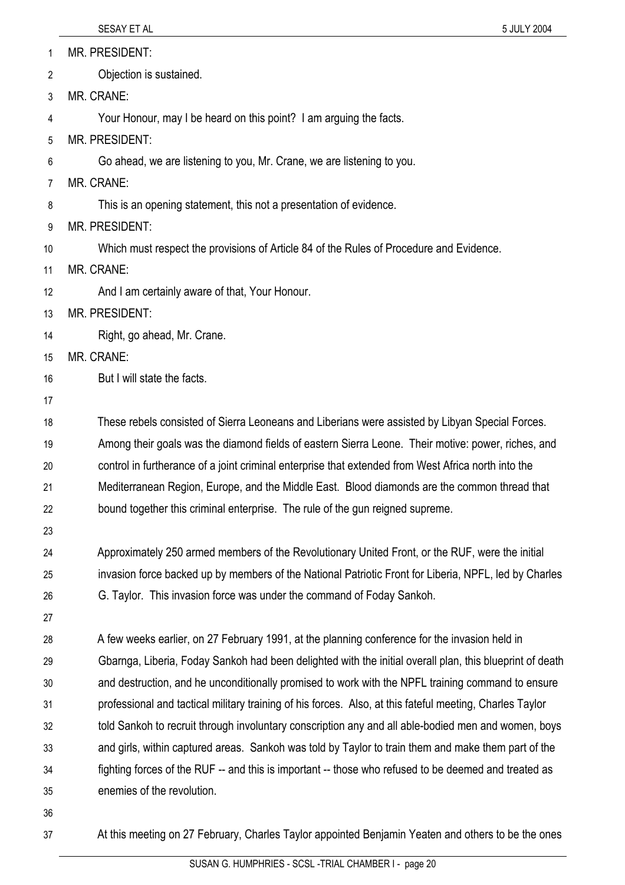37

| 1  | <b>MR. PRESIDENT:</b>                                                                                    |
|----|----------------------------------------------------------------------------------------------------------|
| 2  | Objection is sustained.                                                                                  |
| 3  | MR. CRANE:                                                                                               |
| 4  | Your Honour, may I be heard on this point? I am arguing the facts.                                       |
| 5  | <b>MR. PRESIDENT:</b>                                                                                    |
| 6  | Go ahead, we are listening to you, Mr. Crane, we are listening to you.                                   |
| 7  | MR. CRANE:                                                                                               |
| 8  | This is an opening statement, this not a presentation of evidence.                                       |
| 9  | <b>MR. PRESIDENT:</b>                                                                                    |
| 10 | Which must respect the provisions of Article 84 of the Rules of Procedure and Evidence.                  |
| 11 | MR. CRANE:                                                                                               |
| 12 | And I am certainly aware of that, Your Honour.                                                           |
| 13 | <b>MR. PRESIDENT:</b>                                                                                    |
| 14 | Right, go ahead, Mr. Crane.                                                                              |
| 15 | MR. CRANE:                                                                                               |
| 16 | But I will state the facts.                                                                              |
| 17 |                                                                                                          |
| 18 | These rebels consisted of Sierra Leoneans and Liberians were assisted by Libyan Special Forces.          |
| 19 | Among their goals was the diamond fields of eastern Sierra Leone. Their motive: power, riches, and       |
| 20 | control in furtherance of a joint criminal enterprise that extended from West Africa north into the      |
| 21 | Mediterranean Region, Europe, and the Middle East. Blood diamonds are the common thread that             |
| 22 | bound together this criminal enterprise. The rule of the gun reigned supreme.                            |
| 23 |                                                                                                          |
| 24 | Approximately 250 armed members of the Revolutionary United Front, or the RUF, were the initial          |
| 25 | invasion force backed up by members of the National Patriotic Front for Liberia, NPFL, led by Charles    |
| 26 | G. Taylor. This invasion force was under the command of Foday Sankoh.                                    |
| 27 |                                                                                                          |
| 28 | A few weeks earlier, on 27 February 1991, at the planning conference for the invasion held in            |
| 29 | Gbarnga, Liberia, Foday Sankoh had been delighted with the initial overall plan, this blueprint of death |
| 30 | and destruction, and he unconditionally promised to work with the NPFL training command to ensure        |
| 31 | professional and tactical military training of his forces. Also, at this fateful meeting, Charles Taylor |
| 32 | told Sankoh to recruit through involuntary conscription any and all able-bodied men and women, boys      |
| 33 | and girls, within captured areas. Sankoh was told by Taylor to train them and make them part of the      |
| 34 | fighting forces of the RUF -- and this is important -- those who refused to be deemed and treated as     |
| 35 | enemies of the revolution.                                                                               |
| 36 |                                                                                                          |

SUSAN G. HUMPHRIES - SCSL -TRIAL CHAMBER I - page 20

At this meeting on 27 February, Charles Taylor appointed Benjamin Yeaten and others to be the ones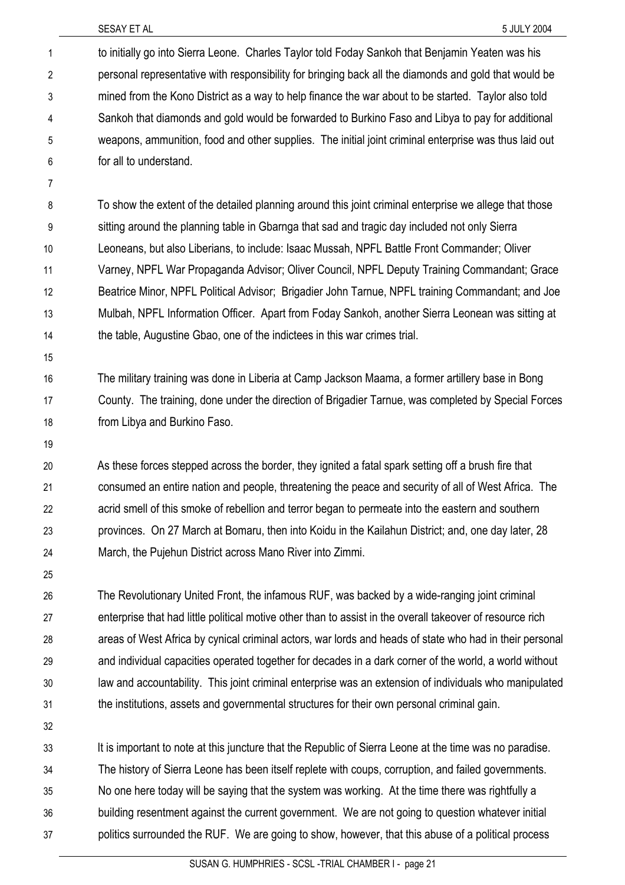to initially go into Sierra Leone. Charles Taylor told Foday Sankoh that Benjamin Yeaten was his personal representative with responsibility for bringing back all the diamonds and gold that would be mined from the Kono District as a way to help finance the war about to be started. Taylor also told Sankoh that diamonds and gold would be forwarded to Burkino Faso and Libya to pay for additional weapons, ammunition, food and other supplies. The initial joint criminal enterprise was thus laid out for all to understand. 1 2 3 4 5 6

8 9 10 11 12 13 14 To show the extent of the detailed planning around this joint criminal enterprise we allege that those sitting around the planning table in Gbarnga that sad and tragic day included not only Sierra Leoneans, but also Liberians, to include: Isaac Mussah, NPFL Battle Front Commander; Oliver Varney, NPFL War Propaganda Advisor; Oliver Council, NPFL Deputy Training Commandant; Grace Beatrice Minor, NPFL Political Advisor; Brigadier John Tarnue, NPFL training Commandant; and Joe Mulbah, NPFL Information Officer. Apart from Foday Sankoh, another Sierra Leonean was sitting at the table, Augustine Gbao, one of the indictees in this war crimes trial.

15

7

16 17 18 The military training was done in Liberia at Camp Jackson Maama, a former artillery base in Bong County. The training, done under the direction of Brigadier Tarnue, was completed by Special Forces from Libya and Burkino Faso.

19

20 21 22 23 24 As these forces stepped across the border, they ignited a fatal spark setting off a brush fire that consumed an entire nation and people, threatening the peace and security of all of West Africa. The acrid smell of this smoke of rebellion and terror began to permeate into the eastern and southern provinces. On 27 March at Bomaru, then into Koidu in the Kailahun District; and, one day later, 28 March, the Pujehun District across Mano River into Zimmi.

25

26 27 28 29 30 31 The Revolutionary United Front, the infamous RUF, was backed by a wide-ranging joint criminal enterprise that had little political motive other than to assist in the overall takeover of resource rich areas of West Africa by cynical criminal actors, war lords and heads of state who had in their personal and individual capacities operated together for decades in a dark corner of the world, a world without law and accountability. This joint criminal enterprise was an extension of individuals who manipulated the institutions, assets and governmental structures for their own personal criminal gain.

32

33 34 35 36 37 It is important to note at this juncture that the Republic of Sierra Leone at the time was no paradise. The history of Sierra Leone has been itself replete with coups, corruption, and failed governments. No one here today will be saying that the system was working. At the time there was rightfully a building resentment against the current government. We are not going to question whatever initial politics surrounded the RUF. We are going to show, however, that this abuse of a political process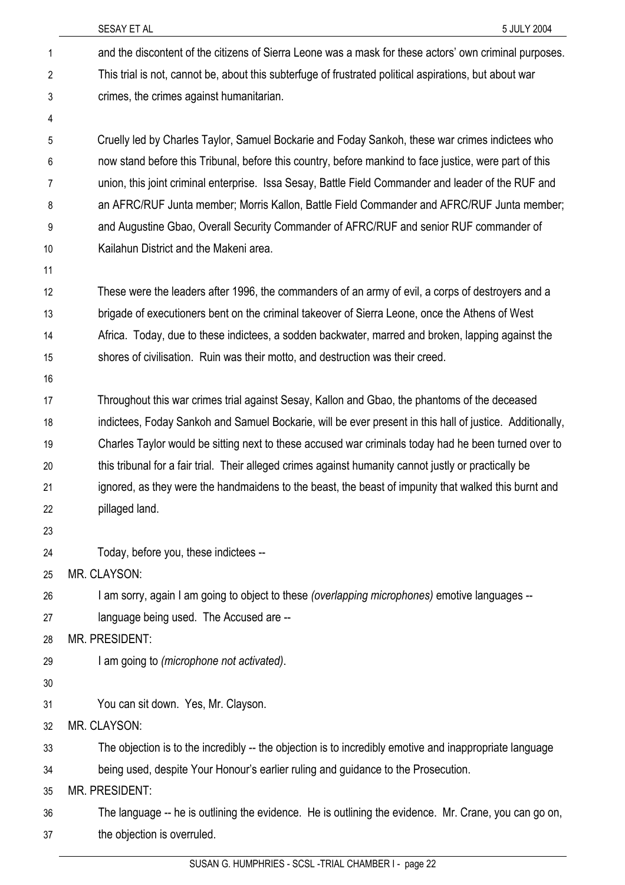SESAY ET AL 5 JULY 2004 and the discontent of the citizens of Sierra Leone was a mask for these actors' own criminal purposes. This trial is not, cannot be, about this subterfuge of frustrated political aspirations, but about war crimes, the crimes against humanitarian. 1 2 3 4 5 6 7 8 9 10 11 12 13 14 15 16 17 18 19 20 21 22 23 24 25 26 27 28 29 30 31 32 33 34 35 36 37 Cruelly led by Charles Taylor, Samuel Bockarie and Foday Sankoh, these war crimes indictees who now stand before this Tribunal, before this country, before mankind to face justice, were part of this union, this joint criminal enterprise. Issa Sesay, Battle Field Commander and leader of the RUF and an AFRC/RUF Junta member; Morris Kallon, Battle Field Commander and AFRC/RUF Junta member; and Augustine Gbao, Overall Security Commander of AFRC/RUF and senior RUF commander of Kailahun District and the Makeni area. These were the leaders after 1996, the commanders of an army of evil, a corps of destroyers and a brigade of executioners bent on the criminal takeover of Sierra Leone, once the Athens of West Africa. Today, due to these indictees, a sodden backwater, marred and broken, lapping against the shores of civilisation. Ruin was their motto, and destruction was their creed. Throughout this war crimes trial against Sesay, Kallon and Gbao, the phantoms of the deceased indictees, Foday Sankoh and Samuel Bockarie, will be ever present in this hall of justice. Additionally, Charles Taylor would be sitting next to these accused war criminals today had he been turned over to this tribunal for a fair trial. Their alleged crimes against humanity cannot justly or practically be ignored, as they were the handmaidens to the beast, the beast of impunity that walked this burnt and pillaged land. Today, before you, these indictees -- MR. CLAYSON: I am sorry, again I am going to object to these *(overlapping microphones)* emotive languages - language being used. The Accused are -- MR. PRESIDENT: I am going to *(microphone not activated)*. You can sit down. Yes, Mr. Clayson. MR. CLAYSON: The objection is to the incredibly -- the objection is to incredibly emotive and inappropriate language being used, despite Your Honour's earlier ruling and guidance to the Prosecution. MR. PRESIDENT: The language -- he is outlining the evidence. He is outlining the evidence. Mr. Crane, you can go on, the objection is overruled.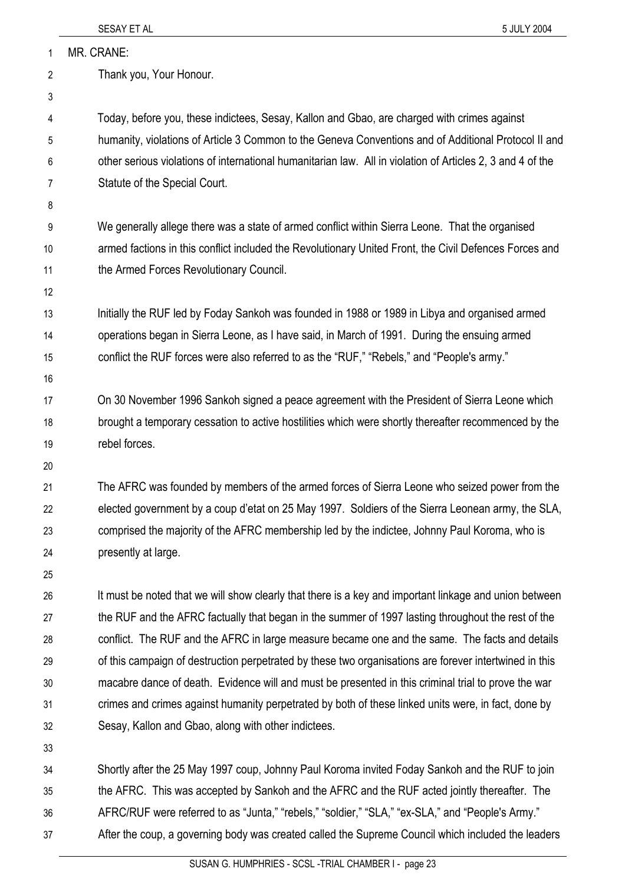| 1        | MR. CRANE:                                                                                                                                                                                                    |
|----------|---------------------------------------------------------------------------------------------------------------------------------------------------------------------------------------------------------------|
| 2        | Thank you, Your Honour.                                                                                                                                                                                       |
| 3        |                                                                                                                                                                                                               |
| 4        | Today, before you, these indictees, Sesay, Kallon and Gbao, are charged with crimes against                                                                                                                   |
| 5        | humanity, violations of Article 3 Common to the Geneva Conventions and of Additional Protocol II and                                                                                                          |
| 6        | other serious violations of international humanitarian law. All in violation of Articles 2, 3 and 4 of the                                                                                                    |
| 7        | Statute of the Special Court.                                                                                                                                                                                 |
| 8        |                                                                                                                                                                                                               |
| 9        | We generally allege there was a state of armed conflict within Sierra Leone. That the organised                                                                                                               |
| 10       | armed factions in this conflict included the Revolutionary United Front, the Civil Defences Forces and                                                                                                        |
| 11       | the Armed Forces Revolutionary Council.                                                                                                                                                                       |
| 12       |                                                                                                                                                                                                               |
| 13       | Initially the RUF led by Foday Sankoh was founded in 1988 or 1989 in Libya and organised armed                                                                                                                |
| 14       | operations began in Sierra Leone, as I have said, in March of 1991. During the ensuing armed                                                                                                                  |
| 15       | conflict the RUF forces were also referred to as the "RUF," "Rebels," and "People's army."                                                                                                                    |
| 16       |                                                                                                                                                                                                               |
| 17       | On 30 November 1996 Sankoh signed a peace agreement with the President of Sierra Leone which                                                                                                                  |
| 18       | brought a temporary cessation to active hostilities which were shortly thereafter recommenced by the                                                                                                          |
| 19       | rebel forces.                                                                                                                                                                                                 |
| 20       |                                                                                                                                                                                                               |
| 21       | The AFRC was founded by members of the armed forces of Sierra Leone who seized power from the                                                                                                                 |
| 22       | elected government by a coup d'etat on 25 May 1997. Soldiers of the Sierra Leonean army, the SLA,                                                                                                             |
| 23       | comprised the majority of the AFRC membership led by the indictee, Johnny Paul Koroma, who is                                                                                                                 |
| 24       | presently at large.                                                                                                                                                                                           |
| 25       |                                                                                                                                                                                                               |
| 26       | It must be noted that we will show clearly that there is a key and important linkage and union between                                                                                                        |
| 27       | the RUF and the AFRC factually that began in the summer of 1997 lasting throughout the rest of the                                                                                                            |
| 28       | conflict. The RUF and the AFRC in large measure became one and the same. The facts and details                                                                                                                |
| 29       | of this campaign of destruction perpetrated by these two organisations are forever intertwined in this<br>macabre dance of death. Evidence will and must be presented in this criminal trial to prove the war |
| 30       |                                                                                                                                                                                                               |
| 31<br>32 | crimes and crimes against humanity perpetrated by both of these linked units were, in fact, done by<br>Sesay, Kallon and Gbao, along with other indictees.                                                    |
| 33       |                                                                                                                                                                                                               |
| 34       | Shortly after the 25 May 1997 coup, Johnny Paul Koroma invited Foday Sankoh and the RUF to join                                                                                                               |
| 35       | the AFRC. This was accepted by Sankoh and the AFRC and the RUF acted jointly thereafter. The                                                                                                                  |
| 36       | AFRC/RUF were referred to as "Junta," "rebels," "soldier," "SLA," "ex-SLA," and "People's Army."                                                                                                              |

37 After the coup, a governing body was created called the Supreme Council which included the leaders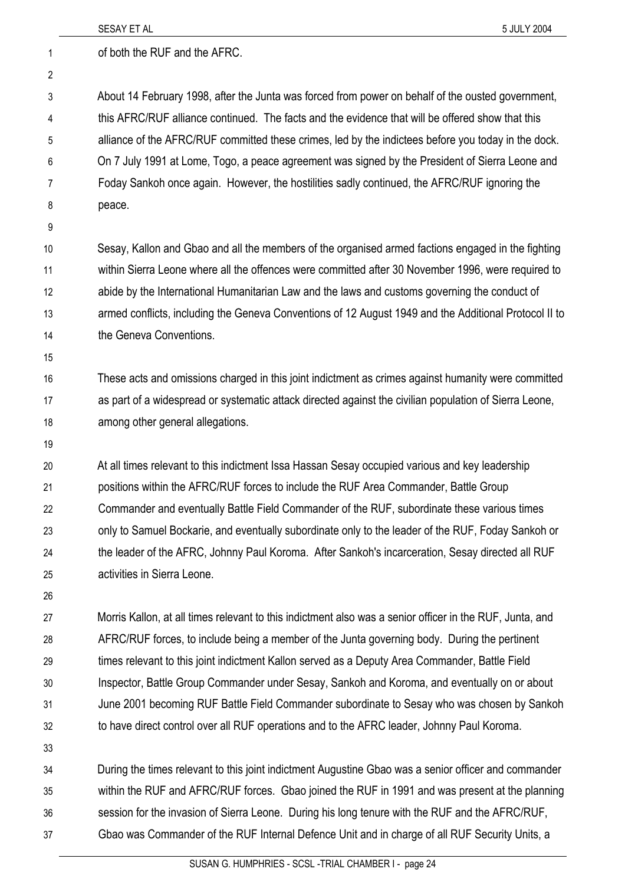|                | 5 JULY 2004<br>SESAY ET AL                                                                                                                                                                              |
|----------------|---------------------------------------------------------------------------------------------------------------------------------------------------------------------------------------------------------|
| 1              | of both the RUF and the AFRC.                                                                                                                                                                           |
| $\overline{2}$ |                                                                                                                                                                                                         |
| 3              | About 14 February 1998, after the Junta was forced from power on behalf of the ousted government,                                                                                                       |
| 4              | this AFRC/RUF alliance continued. The facts and the evidence that will be offered show that this                                                                                                        |
| 5              | alliance of the AFRC/RUF committed these crimes, led by the indictees before you today in the dock.                                                                                                     |
| 6              | On 7 July 1991 at Lome, Togo, a peace agreement was signed by the President of Sierra Leone and                                                                                                         |
| 7              | Foday Sankoh once again. However, the hostilities sadly continued, the AFRC/RUF ignoring the                                                                                                            |
| 8              | peace.                                                                                                                                                                                                  |
| 9              |                                                                                                                                                                                                         |
| 10             | Sesay, Kallon and Gbao and all the members of the organised armed factions engaged in the fighting                                                                                                      |
| 11             | within Sierra Leone where all the offences were committed after 30 November 1996, were required to                                                                                                      |
| 12             | abide by the International Humanitarian Law and the laws and customs governing the conduct of                                                                                                           |
| 13             | armed conflicts, including the Geneva Conventions of 12 August 1949 and the Additional Protocol II to                                                                                                   |
| 14             | the Geneva Conventions.                                                                                                                                                                                 |
| 15             |                                                                                                                                                                                                         |
| 16             | These acts and omissions charged in this joint indictment as crimes against humanity were committed                                                                                                     |
| 17             | as part of a widespread or systematic attack directed against the civilian population of Sierra Leone,                                                                                                  |
| 18             | among other general allegations.                                                                                                                                                                        |
| 19             |                                                                                                                                                                                                         |
| 20             | At all times relevant to this indictment Issa Hassan Sesay occupied various and key leadership                                                                                                          |
| 21             | positions within the AFRC/RUF forces to include the RUF Area Commander, Battle Group                                                                                                                    |
| 22             | Commander and eventually Battle Field Commander of the RUF, subordinate these various times                                                                                                             |
| 23             | only to Samuel Bockarie, and eventually subordinate only to the leader of the RUF, Foday Sankoh or                                                                                                      |
| 24             | the leader of the AFRC, Johnny Paul Koroma. After Sankoh's incarceration, Sesay directed all RUF                                                                                                        |
| 25             | activities in Sierra Leone.                                                                                                                                                                             |
| 26             |                                                                                                                                                                                                         |
| 27             | Morris Kallon, at all times relevant to this indictment also was a senior officer in the RUF, Junta, and                                                                                                |
| 28             | AFRC/RUF forces, to include being a member of the Junta governing body. During the pertinent                                                                                                            |
| 29             | times relevant to this joint indictment Kallon served as a Deputy Area Commander, Battle Field                                                                                                          |
| 30             | Inspector, Battle Group Commander under Sesay, Sankoh and Koroma, and eventually on or about                                                                                                            |
| 31             | June 2001 becoming RUF Battle Field Commander subordinate to Sesay who was chosen by Sankoh                                                                                                             |
| 32             | to have direct control over all RUF operations and to the AFRC leader, Johnny Paul Koroma.                                                                                                              |
| 33             |                                                                                                                                                                                                         |
| 34             | During the times relevant to this joint indictment Augustine Gbao was a senior officer and commander<br>within the RUF and AFRC/RUF forces. Gbao joined the RUF in 1991 and was present at the planning |
| 35<br>36       | session for the invasion of Sierra Leone. During his long tenure with the RUF and the AFRC/RUF,                                                                                                         |
| 37             | Gbao was Commander of the RUF Internal Defence Unit and in charge of all RUF Security Units, a                                                                                                          |
|                |                                                                                                                                                                                                         |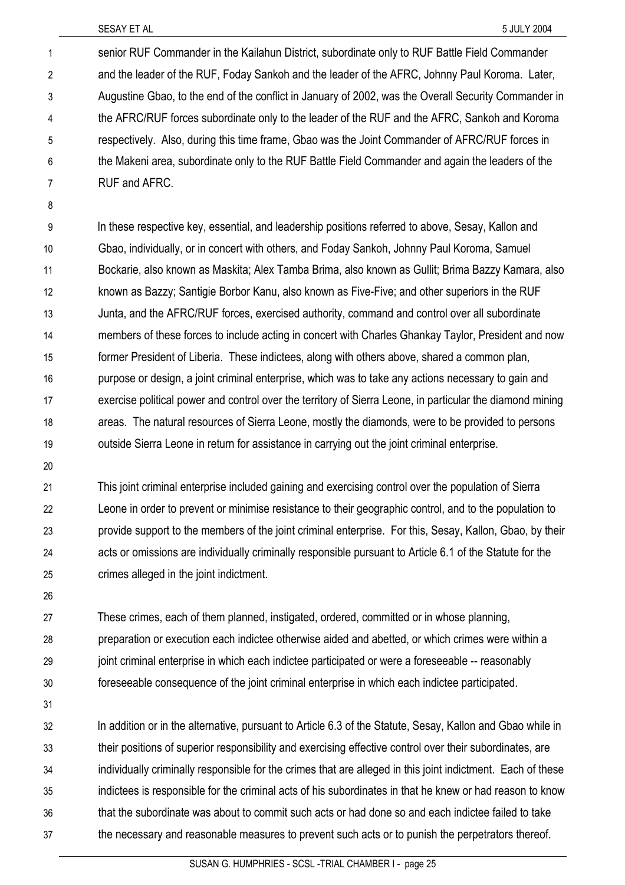senior RUF Commander in the Kailahun District, subordinate only to RUF Battle Field Commander and the leader of the RUF, Foday Sankoh and the leader of the AFRC, Johnny Paul Koroma. Later, Augustine Gbao, to the end of the conflict in January of 2002, was the Overall Security Commander in the AFRC/RUF forces subordinate only to the leader of the RUF and the AFRC, Sankoh and Koroma respectively. Also, during this time frame, Gbao was the Joint Commander of AFRC/RUF forces in the Makeni area, subordinate only to the RUF Battle Field Commander and again the leaders of the RUF and AFRC. 1 2 3 4 5 6 7

9 10 11 12 13 14 15 16 17 18 19 In these respective key, essential, and leadership positions referred to above, Sesay, Kallon and Gbao, individually, or in concert with others, and Foday Sankoh, Johnny Paul Koroma, Samuel Bockarie, also known as Maskita; Alex Tamba Brima, also known as Gullit; Brima Bazzy Kamara, also known as Bazzy; Santigie Borbor Kanu, also known as Five-Five; and other superiors in the RUF Junta, and the AFRC/RUF forces, exercised authority, command and control over all subordinate members of these forces to include acting in concert with Charles Ghankay Taylor, President and now former President of Liberia. These indictees, along with others above, shared a common plan, purpose or design, a joint criminal enterprise, which was to take any actions necessary to gain and exercise political power and control over the territory of Sierra Leone, in particular the diamond mining areas. The natural resources of Sierra Leone, mostly the diamonds, were to be provided to persons outside Sierra Leone in return for assistance in carrying out the joint criminal enterprise.

20

8

21 22 23 24 25 This joint criminal enterprise included gaining and exercising control over the population of Sierra Leone in order to prevent or minimise resistance to their geographic control, and to the population to provide support to the members of the joint criminal enterprise. For this, Sesay, Kallon, Gbao, by their acts or omissions are individually criminally responsible pursuant to Article 6.1 of the Statute for the crimes alleged in the joint indictment.

26

27 28 29 30 These crimes, each of them planned, instigated, ordered, committed or in whose planning, preparation or execution each indictee otherwise aided and abetted, or which crimes were within a joint criminal enterprise in which each indictee participated or were a foreseeable -- reasonably foreseeable consequence of the joint criminal enterprise in which each indictee participated.

31

32 33 34 35 36 37 In addition or in the alternative, pursuant to Article 6.3 of the Statute, Sesay, Kallon and Gbao while in their positions of superior responsibility and exercising effective control over their subordinates, are individually criminally responsible for the crimes that are alleged in this joint indictment. Each of these indictees is responsible for the criminal acts of his subordinates in that he knew or had reason to know that the subordinate was about to commit such acts or had done so and each indictee failed to take the necessary and reasonable measures to prevent such acts or to punish the perpetrators thereof.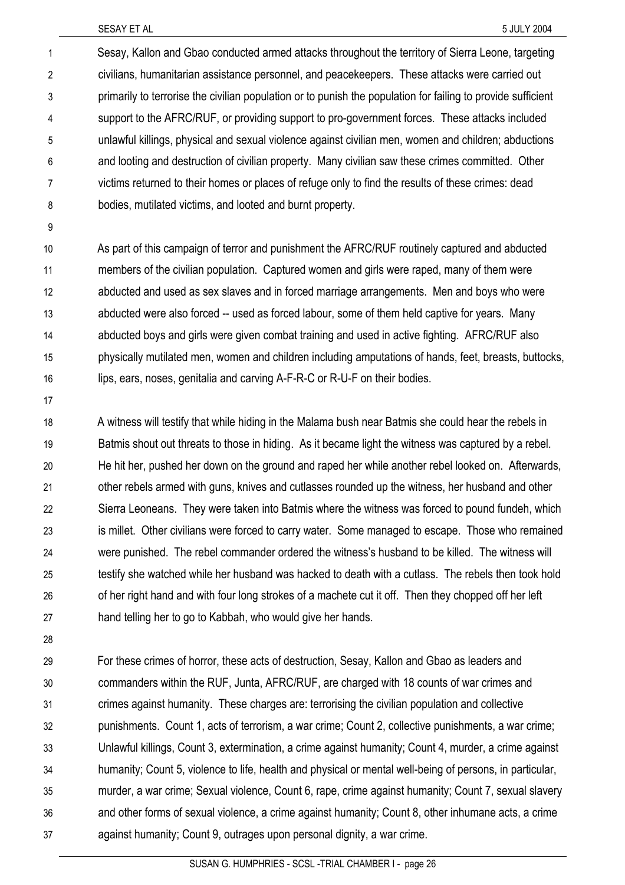Sesay, Kallon and Gbao conducted armed attacks throughout the territory of Sierra Leone, targeting civilians, humanitarian assistance personnel, and peacekeepers. These attacks were carried out primarily to terrorise the civilian population or to punish the population for failing to provide sufficient support to the AFRC/RUF, or providing support to pro-government forces. These attacks included unlawful killings, physical and sexual violence against civilian men, women and children; abductions and looting and destruction of civilian property. Many civilian saw these crimes committed. Other victims returned to their homes or places of refuge only to find the results of these crimes: dead bodies, mutilated victims, and looted and burnt property. 1 2 3 4 5 6 7 8

9

10 11 12 13 14 15 16 As part of this campaign of terror and punishment the AFRC/RUF routinely captured and abducted members of the civilian population. Captured women and girls were raped, many of them were abducted and used as sex slaves and in forced marriage arrangements. Men and boys who were abducted were also forced -- used as forced labour, some of them held captive for years. Many abducted boys and girls were given combat training and used in active fighting. AFRC/RUF also physically mutilated men, women and children including amputations of hands, feet, breasts, buttocks, lips, ears, noses, genitalia and carving A-F-R-C or R-U-F on their bodies.

17

18 19 20 21 22 23 24 25 26 27 A witness will testify that while hiding in the Malama bush near Batmis she could hear the rebels in Batmis shout out threats to those in hiding. As it became light the witness was captured by a rebel. He hit her, pushed her down on the ground and raped her while another rebel looked on. Afterwards, other rebels armed with guns, knives and cutlasses rounded up the witness, her husband and other Sierra Leoneans. They were taken into Batmis where the witness was forced to pound fundeh, which is millet. Other civilians were forced to carry water. Some managed to escape. Those who remained were punished. The rebel commander ordered the witness's husband to be killed. The witness will testify she watched while her husband was hacked to death with a cutlass. The rebels then took hold of her right hand and with four long strokes of a machete cut it off. Then they chopped off her left hand telling her to go to Kabbah, who would give her hands.

28

29 30 31 32 33 34 35 36 37 For these crimes of horror, these acts of destruction, Sesay, Kallon and Gbao as leaders and commanders within the RUF, Junta, AFRC/RUF, are charged with 18 counts of war crimes and crimes against humanity. These charges are: terrorising the civilian population and collective punishments. Count 1, acts of terrorism, a war crime; Count 2, collective punishments, a war crime; Unlawful killings, Count 3, extermination, a crime against humanity; Count 4, murder, a crime against humanity; Count 5, violence to life, health and physical or mental well-being of persons, in particular, murder, a war crime; Sexual violence, Count 6, rape, crime against humanity; Count 7, sexual slavery and other forms of sexual violence, a crime against humanity; Count 8, other inhumane acts, a crime against humanity; Count 9, outrages upon personal dignity, a war crime.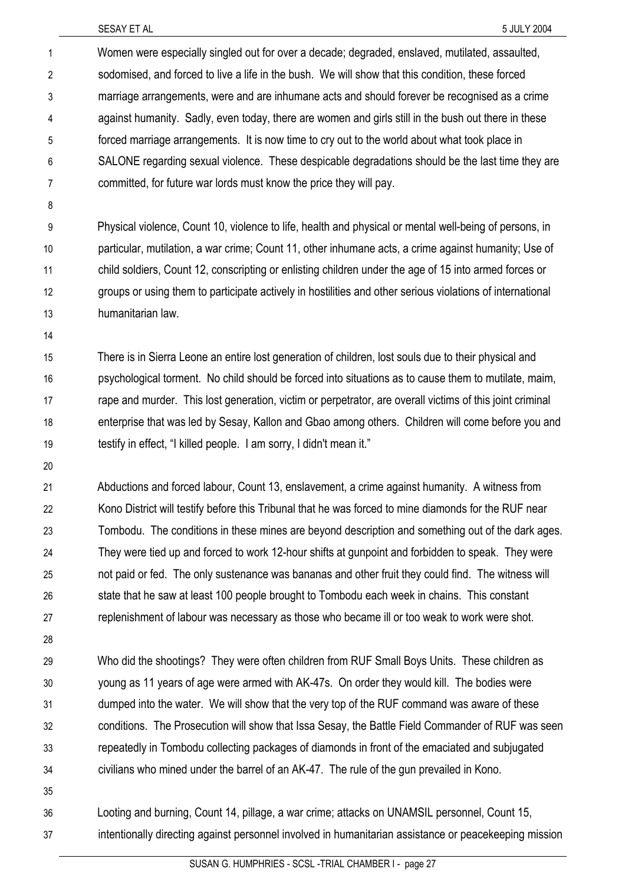Women were especially singled out for over a decade; degraded, enslaved, mutilated, assaulted, sodomised, and forced to live a life in the bush. We will show that this condition, these forced marriage arrangements, were and are inhumane acts and should forever be recognised as a crime against humanity. Sadly, even today, there are women and girls still in the bush out there in these forced marriage arrangements. It is now time to cry out to the world about what took place in SALONE regarding sexual violence. These despicable degradations should be the last time they are committed, for future war lords must know the price they will pay. 1 2 3 4 5 6 7

8

9 10 11 12 13 Physical violence, Count 10, violence to life, health and physical or mental well-being of persons, in particular, mutilation, a war crime; Count 11, other inhumane acts, a crime against humanity; Use of child soldiers, Count 12, conscripting or enlisting children under the age of 15 into armed forces or groups or using them to participate actively in hostilities and other serious violations of international humanitarian law.

14

15 16 17 18 19 There is in Sierra Leone an entire lost generation of children, lost souls due to their physical and psychological torment. No child should be forced into situations as to cause them to mutilate, maim, rape and murder. This lost generation, victim or perpetrator, are overall victims of this joint criminal enterprise that was led by Sesay, Kallon and Gbao among others. Children will come before you and testify in effect, "I killed people. I am sorry, I didn't mean it."

20

21 22 23 24 25 26 27 Abductions and forced labour, Count 13, enslavement, a crime against humanity. A witness from Kono District will testify before this Tribunal that he was forced to mine diamonds for the RUF near Tombodu. The conditions in these mines are beyond description and something out of the dark ages. They were tied up and forced to work 12-hour shifts at gunpoint and forbidden to speak. They were not paid or fed. The only sustenance was bananas and other fruit they could find. The witness will state that he saw at least 100 people brought to Tombodu each week in chains. This constant replenishment of labour was necessary as those who became ill or too weak to work were shot.

28

29 30 31 32 33 34 Who did the shootings? They were often children from RUF Small Boys Units. These children as young as 11 years of age were armed with AK-47s. On order they would kill. The bodies were dumped into the water. We will show that the very top of the RUF command was aware of these conditions. The Prosecution will show that Issa Sesay, the Battle Field Commander of RUF was seen repeatedly in Tombodu collecting packages of diamonds in front of the emaciated and subjugated civilians who mined under the barrel of an AK-47. The rule of the gun prevailed in Kono.

35

36 37 Looting and burning, Count 14, pillage, a war crime; attacks on UNAMSIL personnel, Count 15, intentionally directing against personnel involved in humanitarian assistance or peacekeeping mission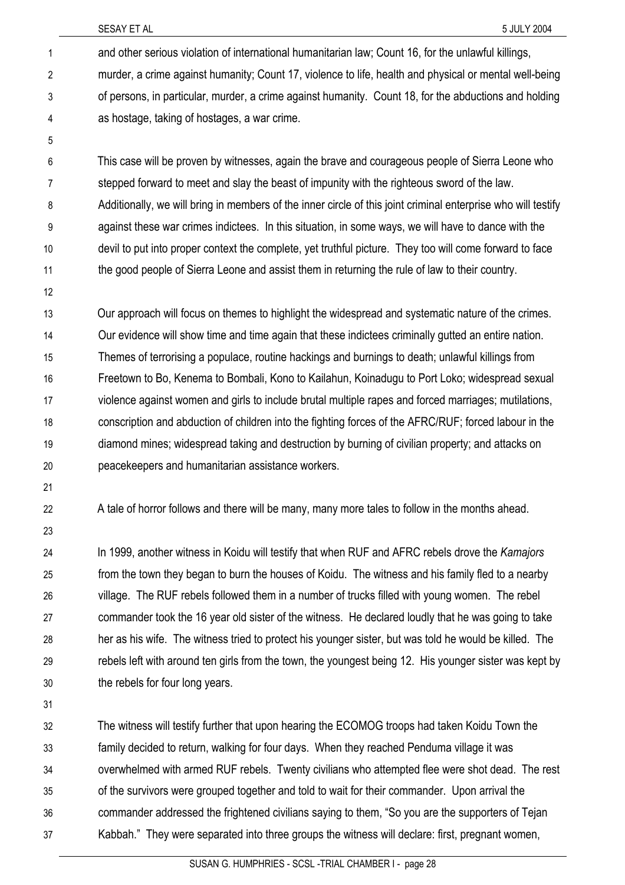and other serious violation of international humanitarian law; Count 16, for the unlawful killings, murder, a crime against humanity; Count 17, violence to life, health and physical or mental well-being of persons, in particular, murder, a crime against humanity. Count 18, for the abductions and holding as hostage, taking of hostages, a war crime. 1 2 3 4

6 7 8 9 10 11 This case will be proven by witnesses, again the brave and courageous people of Sierra Leone who stepped forward to meet and slay the beast of impunity with the righteous sword of the law. Additionally, we will bring in members of the inner circle of this joint criminal enterprise who will testify against these war crimes indictees. In this situation, in some ways, we will have to dance with the devil to put into proper context the complete, yet truthful picture. They too will come forward to face the good people of Sierra Leone and assist them in returning the rule of law to their country.

12

5

13 14 15 16 17 18 19 20 Our approach will focus on themes to highlight the widespread and systematic nature of the crimes. Our evidence will show time and time again that these indictees criminally gutted an entire nation. Themes of terrorising a populace, routine hackings and burnings to death; unlawful killings from Freetown to Bo, Kenema to Bombali, Kono to Kailahun, Koinadugu to Port Loko; widespread sexual violence against women and girls to include brutal multiple rapes and forced marriages; mutilations, conscription and abduction of children into the fighting forces of the AFRC/RUF; forced labour in the diamond mines; widespread taking and destruction by burning of civilian property; and attacks on peacekeepers and humanitarian assistance workers.

- 21
- 22

A tale of horror follows and there will be many, many more tales to follow in the months ahead.

23

24 25 26 27 28 29 30 In 1999, another witness in Koidu will testify that when RUF and AFRC rebels drove the *Kamajors*  from the town they began to burn the houses of Koidu. The witness and his family fled to a nearby village. The RUF rebels followed them in a number of trucks filled with young women. The rebel commander took the 16 year old sister of the witness. He declared loudly that he was going to take her as his wife. The witness tried to protect his younger sister, but was told he would be killed. The rebels left with around ten girls from the town, the youngest being 12. His younger sister was kept by the rebels for four long years.

31

32 33 34 35 36 37 The witness will testify further that upon hearing the ECOMOG troops had taken Koidu Town the family decided to return, walking for four days. When they reached Penduma village it was overwhelmed with armed RUF rebels. Twenty civilians who attempted flee were shot dead. The rest of the survivors were grouped together and told to wait for their commander. Upon arrival the commander addressed the frightened civilians saying to them, "So you are the supporters of Tejan Kabbah." They were separated into three groups the witness will declare: first, pregnant women,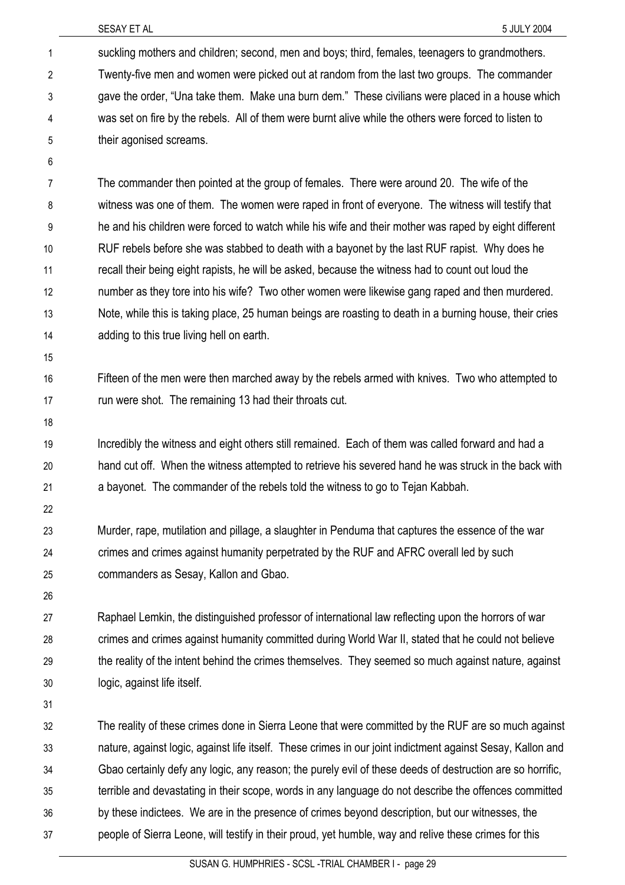suckling mothers and children; second, men and boys; third, females, teenagers to grandmothers. Twenty-five men and women were picked out at random from the last two groups. The commander gave the order, "Una take them. Make una burn dem." These civilians were placed in a house which was set on fire by the rebels. All of them were burnt alive while the others were forced to listen to their agonised screams. 1 2 3 4 5

6

7 8 9 10 11 12 13 14 The commander then pointed at the group of females. There were around 20. The wife of the witness was one of them. The women were raped in front of everyone. The witness will testify that he and his children were forced to watch while his wife and their mother was raped by eight different RUF rebels before she was stabbed to death with a bayonet by the last RUF rapist. Why does he recall their being eight rapists, he will be asked, because the witness had to count out loud the number as they tore into his wife? Two other women were likewise gang raped and then murdered. Note, while this is taking place, 25 human beings are roasting to death in a burning house, their cries adding to this true living hell on earth.

15

18

16 17 Fifteen of the men were then marched away by the rebels armed with knives. Two who attempted to run were shot. The remaining 13 had their throats cut.

19 20 21 Incredibly the witness and eight others still remained. Each of them was called forward and had a hand cut off. When the witness attempted to retrieve his severed hand he was struck in the back with a bayonet. The commander of the rebels told the witness to go to Tejan Kabbah.

22

23 24 25 Murder, rape, mutilation and pillage, a slaughter in Penduma that captures the essence of the war crimes and crimes against humanity perpetrated by the RUF and AFRC overall led by such commanders as Sesay, Kallon and Gbao.

26

27 28 29 30 Raphael Lemkin, the distinguished professor of international law reflecting upon the horrors of war crimes and crimes against humanity committed during World War II, stated that he could not believe the reality of the intent behind the crimes themselves. They seemed so much against nature, against logic, against life itself.

31

32 33 34 35 36 37 The reality of these crimes done in Sierra Leone that were committed by the RUF are so much against nature, against logic, against life itself. These crimes in our joint indictment against Sesay, Kallon and Gbao certainly defy any logic, any reason; the purely evil of these deeds of destruction are so horrific, terrible and devastating in their scope, words in any language do not describe the offences committed by these indictees. We are in the presence of crimes beyond description, but our witnesses, the people of Sierra Leone, will testify in their proud, yet humble, way and relive these crimes for this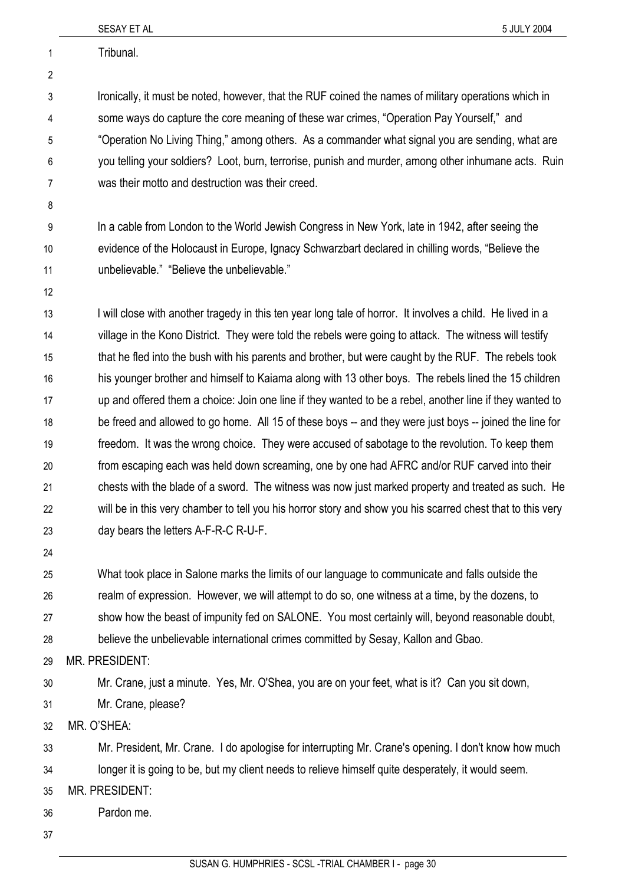|                | SESAY ET AL<br>5 JULY 2004                                                                                 |
|----------------|------------------------------------------------------------------------------------------------------------|
| 1              | Tribunal.                                                                                                  |
| $\overline{2}$ |                                                                                                            |
| 3              | Ironically, it must be noted, however, that the RUF coined the names of military operations which in       |
| 4              | some ways do capture the core meaning of these war crimes, "Operation Pay Yourself," and                   |
| 5              | "Operation No Living Thing," among others. As a commander what signal you are sending, what are            |
| 6              | you telling your soldiers? Loot, burn, terrorise, punish and murder, among other inhumane acts. Ruin       |
| 7              | was their motto and destruction was their creed.                                                           |
| 8              |                                                                                                            |
| 9              | In a cable from London to the World Jewish Congress in New York, late in 1942, after seeing the            |
| 10             | evidence of the Holocaust in Europe, Ignacy Schwarzbart declared in chilling words, "Believe the           |
| 11             | unbelievable." "Believe the unbelievable."                                                                 |
| 12             |                                                                                                            |
| 13             | I will close with another tragedy in this ten year long tale of horror. It involves a child. He lived in a |
| 14             | village in the Kono District. They were told the rebels were going to attack. The witness will testify     |
| 15             | that he fled into the bush with his parents and brother, but were caught by the RUF. The rebels took       |
| 16             | his younger brother and himself to Kaiama along with 13 other boys. The rebels lined the 15 children       |
| 17             | up and offered them a choice: Join one line if they wanted to be a rebel, another line if they wanted to   |
| 18             | be freed and allowed to go home. All 15 of these boys -- and they were just boys -- joined the line for    |
| 19             | freedom. It was the wrong choice. They were accused of sabotage to the revolution. To keep them            |
| 20             | from escaping each was held down screaming, one by one had AFRC and/or RUF carved into their               |
| 21             | chests with the blade of a sword. The witness was now just marked property and treated as such. He         |
| 22             | will be in this very chamber to tell you his horror story and show you his scarred chest that to this very |
| 23             | day bears the letters A-F-R-C R-U-F.                                                                       |
| 24             |                                                                                                            |
| 25             | What took place in Salone marks the limits of our language to communicate and falls outside the            |
| 26             | realm of expression. However, we will attempt to do so, one witness at a time, by the dozens, to           |
| 27             | show how the beast of impunity fed on SALONE. You most certainly will, beyond reasonable doubt,            |
| 28             | believe the unbelievable international crimes committed by Sesay, Kallon and Gbao.                         |
| 29             | MR. PRESIDENT:                                                                                             |
| 30             | Mr. Crane, just a minute. Yes, Mr. O'Shea, you are on your feet, what is it? Can you sit down,             |
| 31             | Mr. Crane, please?                                                                                         |
| 32             | MR. O'SHEA:                                                                                                |
| 33             | Mr. President, Mr. Crane. I do apologise for interrupting Mr. Crane's opening. I don't know how much       |
| 34             | longer it is going to be, but my client needs to relieve himself quite desperately, it would seem.         |
| 35             | MR. PRESIDENT:                                                                                             |
| 36             | Pardon me.                                                                                                 |
| 37             |                                                                                                            |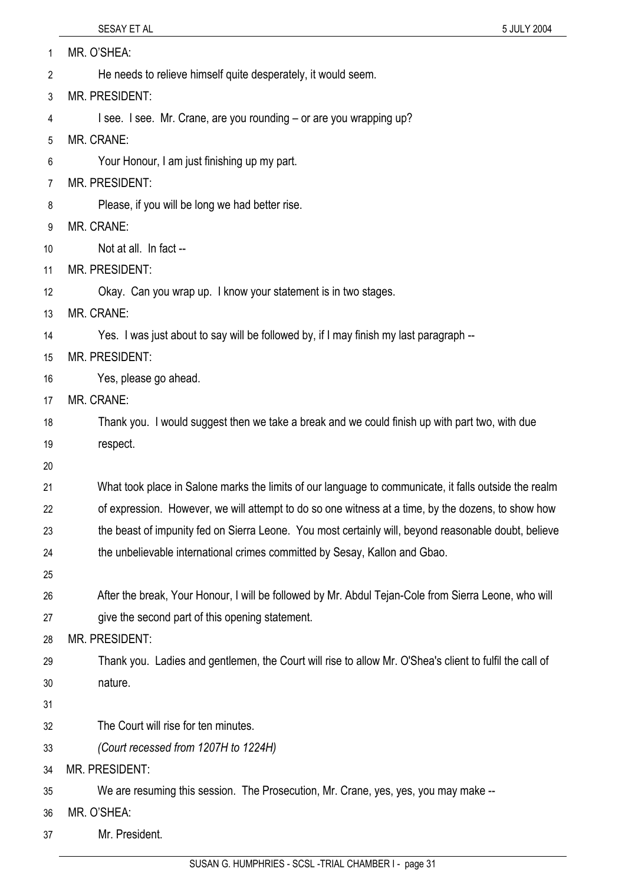| 1  | MR. O'SHEA:                                                                                             |
|----|---------------------------------------------------------------------------------------------------------|
| 2  | He needs to relieve himself quite desperately, it would seem.                                           |
| 3  | <b>MR. PRESIDENT:</b>                                                                                   |
| 4  | I see. I see. Mr. Crane, are you rounding - or are you wrapping up?                                     |
| 5  | MR. CRANE:                                                                                              |
| 6  | Your Honour, I am just finishing up my part.                                                            |
| 7  | <b>MR. PRESIDENT:</b>                                                                                   |
| 8  | Please, if you will be long we had better rise.                                                         |
| 9  | MR. CRANE:                                                                                              |
| 10 | Not at all. In fact --                                                                                  |
| 11 | MR. PRESIDENT:                                                                                          |
| 12 | Okay. Can you wrap up. I know your statement is in two stages.                                          |
| 13 | MR. CRANE:                                                                                              |
| 14 | Yes. I was just about to say will be followed by, if I may finish my last paragraph --                  |
| 15 | MR. PRESIDENT:                                                                                          |
| 16 | Yes, please go ahead.                                                                                   |
| 17 | MR. CRANE:                                                                                              |
| 18 | Thank you. I would suggest then we take a break and we could finish up with part two, with due          |
| 19 | respect.                                                                                                |
| 20 |                                                                                                         |
| 21 | What took place in Salone marks the limits of our language to communicate, it falls outside the realm   |
| 22 | of expression. However, we will attempt to do so one witness at a time, by the dozens, to show how      |
| 23 | the beast of impunity fed on Sierra Leone. You most certainly will, beyond reasonable doubt, believe    |
| 24 | the unbelievable international crimes committed by Sesay, Kallon and Gbao.                              |
| 25 |                                                                                                         |
| 26 | After the break, Your Honour, I will be followed by Mr. Abdul Tejan-Cole from Sierra Leone, who will    |
| 27 | give the second part of this opening statement.                                                         |
| 28 | MR. PRESIDENT:                                                                                          |
| 29 | Thank you. Ladies and gentlemen, the Court will rise to allow Mr. O'Shea's client to fulfil the call of |
| 30 | nature.                                                                                                 |
| 31 |                                                                                                         |
| 32 | The Court will rise for ten minutes.                                                                    |
| 33 | (Court recessed from 1207H to 1224H)                                                                    |
| 34 | <b>MR. PRESIDENT:</b>                                                                                   |
| 35 | We are resuming this session. The Prosecution, Mr. Crane, yes, yes, you may make --                     |
| 36 | MR. O'SHEA:                                                                                             |
| 37 | Mr. President.                                                                                          |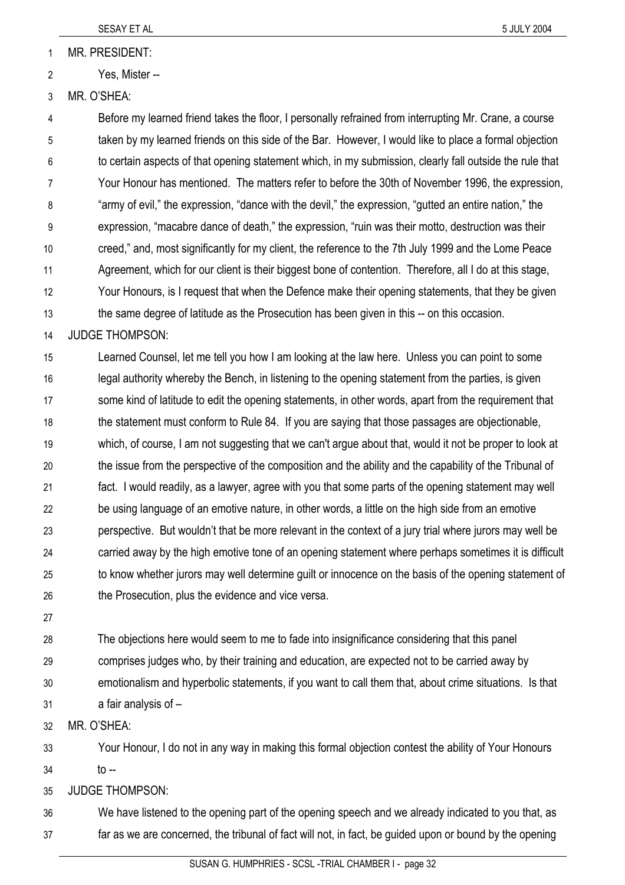MR. PRESIDENT: 1

3 MR. O'SHEA:

4 5 6 7 8 9 10 11 12 13 Before my learned friend takes the floor, I personally refrained from interrupting Mr. Crane, a course taken by my learned friends on this side of the Bar. However, I would like to place a formal objection to certain aspects of that opening statement which, in my submission, clearly fall outside the rule that Your Honour has mentioned. The matters refer to before the 30th of November 1996, the expression, "army of evil," the expression, "dance with the devil," the expression, "gutted an entire nation," the expression, "macabre dance of death," the expression, "ruin was their motto, destruction was their creed," and, most significantly for my client, the reference to the 7th July 1999 and the Lome Peace Agreement, which for our client is their biggest bone of contention. Therefore, all I do at this stage, Your Honours, is I request that when the Defence make their opening statements, that they be given the same degree of latitude as the Prosecution has been given in this -- on this occasion.

## 14 JUDGE THOMPSON:

15 16 17 18 19 20 21 22 23 24 25 26 Learned Counsel, let me tell you how I am looking at the law here. Unless you can point to some legal authority whereby the Bench, in listening to the opening statement from the parties, is given some kind of latitude to edit the opening statements, in other words, apart from the requirement that the statement must conform to Rule 84. If you are saying that those passages are objectionable, which, of course, I am not suggesting that we can't argue about that, would it not be proper to look at the issue from the perspective of the composition and the ability and the capability of the Tribunal of fact. I would readily, as a lawyer, agree with you that some parts of the opening statement may well be using language of an emotive nature, in other words, a little on the high side from an emotive perspective. But wouldn't that be more relevant in the context of a jury trial where jurors may well be carried away by the high emotive tone of an opening statement where perhaps sometimes it is difficult to know whether jurors may well determine guilt or innocence on the basis of the opening statement of the Prosecution, plus the evidence and vice versa.

27

28 29 30 31 The objections here would seem to me to fade into insignificance considering that this panel comprises judges who, by their training and education, are expected not to be carried away by emotionalism and hyperbolic statements, if you want to call them that, about crime situations. Is that a fair analysis of –

32 MR. O'SHEA:

33 34 Your Honour, I do not in any way in making this formal objection contest the ability of Your Honours to  $-$ 

35 JUDGE THOMPSON:

36 37 We have listened to the opening part of the opening speech and we already indicated to you that, as far as we are concerned, the tribunal of fact will not, in fact, be guided upon or bound by the opening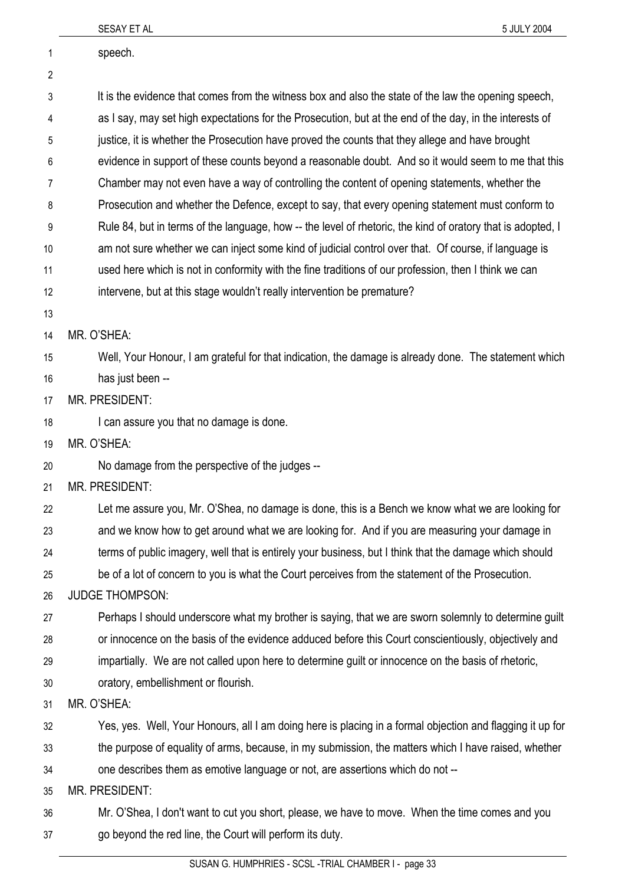|    | 5 JULY 2004<br>SESAY ET AL                                                                                  |
|----|-------------------------------------------------------------------------------------------------------------|
| 1  | speech.                                                                                                     |
| 2  |                                                                                                             |
| 3  | It is the evidence that comes from the witness box and also the state of the law the opening speech,        |
| 4  | as I say, may set high expectations for the Prosecution, but at the end of the day, in the interests of     |
| 5  | justice, it is whether the Prosecution have proved the counts that they allege and have brought             |
| 6  | evidence in support of these counts beyond a reasonable doubt. And so it would seem to me that this         |
| 7  | Chamber may not even have a way of controlling the content of opening statements, whether the               |
| 8  | Prosecution and whether the Defence, except to say, that every opening statement must conform to            |
| 9  | Rule 84, but in terms of the language, how -- the level of rhetoric, the kind of oratory that is adopted, I |
| 10 | am not sure whether we can inject some kind of judicial control over that. Of course, if language is        |
| 11 | used here which is not in conformity with the fine traditions of our profession, then I think we can        |
| 12 | intervene, but at this stage wouldn't really intervention be premature?                                     |
| 13 |                                                                                                             |
| 14 | MR. O'SHEA:                                                                                                 |
| 15 | Well, Your Honour, I am grateful for that indication, the damage is already done. The statement which       |
| 16 | has just been --                                                                                            |
| 17 | MR. PRESIDENT:                                                                                              |
| 18 | I can assure you that no damage is done.                                                                    |
| 19 | MR. O'SHEA:                                                                                                 |
| 20 | No damage from the perspective of the judges --                                                             |
| 21 | MR. PRESIDENT:                                                                                              |
| 22 | Let me assure you, Mr. O'Shea, no damage is done, this is a Bench we know what we are looking for           |
| 23 | and we know how to get around what we are looking for. And if you are measuring your damage in              |
| 24 | terms of public imagery, well that is entirely your business, but I think that the damage which should      |
| 25 | be of a lot of concern to you is what the Court perceives from the statement of the Prosecution.            |
| 26 | <b>JUDGE THOMPSON:</b>                                                                                      |
| 27 | Perhaps I should underscore what my brother is saying, that we are sworn solemnly to determine guilt        |
| 28 | or innocence on the basis of the evidence adduced before this Court conscientiously, objectively and        |
| 29 | impartially. We are not called upon here to determine guilt or innocence on the basis of rhetoric,          |
| 30 | oratory, embellishment or flourish.                                                                         |
| 31 | MR. O'SHEA:                                                                                                 |
| 32 | Yes, yes. Well, Your Honours, all I am doing here is placing in a formal objection and flagging it up for   |
| 33 | the purpose of equality of arms, because, in my submission, the matters which I have raised, whether        |
| 34 | one describes them as emotive language or not, are assertions which do not --                               |
| 35 | MR. PRESIDENT:                                                                                              |
| 36 | Mr. O'Shea, I don't want to cut you short, please, we have to move. When the time comes and you             |
| 37 | go beyond the red line, the Court will perform its duty.                                                    |
|    |                                                                                                             |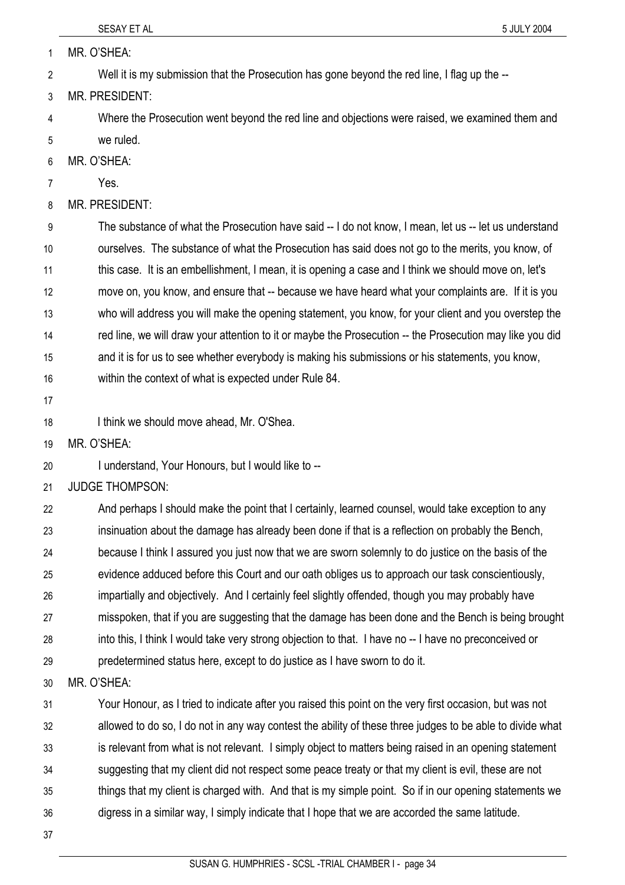MR. O'SHEA: 1

Well it is my submission that the Prosecution has gone beyond the red line, I flag up the --2

3 MR. PRESIDENT:

4 5 Where the Prosecution went beyond the red line and objections were raised, we examined them and we ruled.

6 MR. O'SHEA:

7 Yes.

8 MR. PRESIDENT:

9 10 11 12 13 14 15 16 The substance of what the Prosecution have said -- I do not know, I mean, let us -- let us understand ourselves. The substance of what the Prosecution has said does not go to the merits, you know, of this case. It is an embellishment, I mean, it is opening a case and I think we should move on, let's move on, you know, and ensure that -- because we have heard what your complaints are. If it is you who will address you will make the opening statement, you know, for your client and you overstep the red line, we will draw your attention to it or maybe the Prosecution -- the Prosecution may like you did and it is for us to see whether everybody is making his submissions or his statements, you know, within the context of what is expected under Rule 84.

17

18 I think we should move ahead, Mr. O'Shea.

19 MR. O'SHEA:

20 I understand, Your Honours, but I would like to --

21 JUDGE THOMPSON:

22 23 24 25 26 27 28 29 And perhaps I should make the point that I certainly, learned counsel, would take exception to any insinuation about the damage has already been done if that is a reflection on probably the Bench, because I think I assured you just now that we are sworn solemnly to do justice on the basis of the evidence adduced before this Court and our oath obliges us to approach our task conscientiously, impartially and objectively. And I certainly feel slightly offended, though you may probably have misspoken, that if you are suggesting that the damage has been done and the Bench is being brought into this, I think I would take very strong objection to that. I have no -- I have no preconceived or predetermined status here, except to do justice as I have sworn to do it.

30 MR. O'SHEA:

31 32 33 34 35 36 Your Honour, as I tried to indicate after you raised this point on the very first occasion, but was not allowed to do so, I do not in any way contest the ability of these three judges to be able to divide what is relevant from what is not relevant. I simply object to matters being raised in an opening statement suggesting that my client did not respect some peace treaty or that my client is evil, these are not things that my client is charged with. And that is my simple point. So if in our opening statements we digress in a similar way, I simply indicate that I hope that we are accorded the same latitude.

37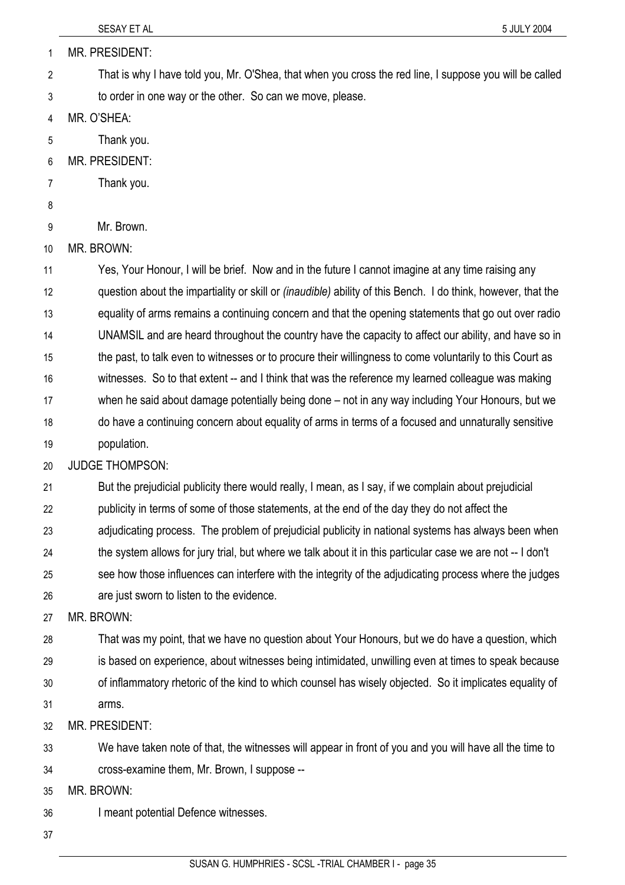MR. PRESIDENT: 1

That is why I have told you, Mr. O'Shea, that when you cross the red line, I suppose you will be called to order in one way or the other. So can we move, please. 2 3

4 MR. O'SHEA:

5 Thank you.

6 MR. PRESIDENT:

7 Thank you.

8

9 Mr. Brown.

10 MR. BROWN:

11 Yes, Your Honour, I will be brief. Now and in the future I cannot imagine at any time raising any

12 question about the impartiality or skill or *(inaudible)* ability of this Bench. I do think, however, that the

13 equality of arms remains a continuing concern and that the opening statements that go out over radio

14 15 UNAMSIL and are heard throughout the country have the capacity to affect our ability, and have so in the past, to talk even to witnesses or to procure their willingness to come voluntarily to this Court as

16 witnesses. So to that extent -- and I think that was the reference my learned colleague was making

17 when he said about damage potentially being done – not in any way including Your Honours, but we

18 do have a continuing concern about equality of arms in terms of a focused and unnaturally sensitive

19 population.

20 JUDGE THOMPSON:

21 But the prejudicial publicity there would really, I mean, as I say, if we complain about prejudicial

22 publicity in terms of some of those statements, at the end of the day they do not affect the

23 adjudicating process. The problem of prejudicial publicity in national systems has always been when

24 the system allows for jury trial, but where we talk about it in this particular case we are not -- I don't

25 26 see how those influences can interfere with the integrity of the adjudicating process where the judges are just sworn to listen to the evidence.

27 MR. BROWN:

28 29 30 That was my point, that we have no question about Your Honours, but we do have a question, which is based on experience, about witnesses being intimidated, unwilling even at times to speak because of inflammatory rhetoric of the kind to which counsel has wisely objected. So it implicates equality of

31 arms.

32 MR. PRESIDENT:

33 34 We have taken note of that, the witnesses will appear in front of you and you will have all the time to cross-examine them, Mr. Brown, I suppose --

35 MR. BROWN:

36 I meant potential Defence witnesses.

37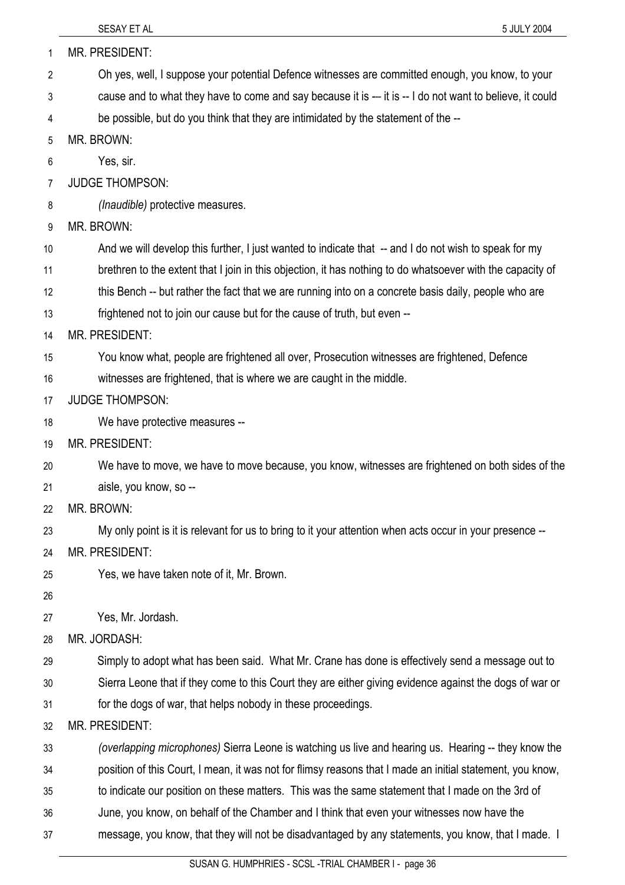|                | SESAY ET AL<br>5 JULY 2004                                                                                 |
|----------------|------------------------------------------------------------------------------------------------------------|
| 1              | MR. PRESIDENT:                                                                                             |
| $\overline{2}$ | Oh yes, well, I suppose your potential Defence witnesses are committed enough, you know, to your           |
| 3              | cause and to what they have to come and say because it is -- it is -- I do not want to believe, it could   |
| 4              | be possible, but do you think that they are intimidated by the statement of the --                         |
| 5              | MR. BROWN:                                                                                                 |
| 6              | Yes, sir.                                                                                                  |
| 7              | <b>JUDGE THOMPSON:</b>                                                                                     |
| 8              | (Inaudible) protective measures.                                                                           |
| 9              | MR. BROWN:                                                                                                 |
| 10             | And we will develop this further, I just wanted to indicate that -- and I do not wish to speak for my      |
| 11             | brethren to the extent that I join in this objection, it has nothing to do whatsoever with the capacity of |
| 12             | this Bench -- but rather the fact that we are running into on a concrete basis daily, people who are       |
| 13             | frightened not to join our cause but for the cause of truth, but even --                                   |
| 14             | <b>MR. PRESIDENT:</b>                                                                                      |
| 15             | You know what, people are frightened all over, Prosecution witnesses are frightened, Defence               |
| 16             | witnesses are frightened, that is where we are caught in the middle.                                       |
| 17             | <b>JUDGE THOMPSON:</b>                                                                                     |
| 18             | We have protective measures --                                                                             |
| 19             | <b>MR. PRESIDENT:</b>                                                                                      |
| 20             | We have to move, we have to move because, you know, witnesses are frightened on both sides of the          |
| 21             | aisle, you know, so --                                                                                     |
| 22             | MR. BROWN:                                                                                                 |
| 23             | My only point is it is relevant for us to bring to it your attention when acts occur in your presence --   |
| 24             | MR. PRESIDENT:                                                                                             |
| 25             | Yes, we have taken note of it, Mr. Brown.                                                                  |
| 26             |                                                                                                            |
| 27             | Yes, Mr. Jordash.                                                                                          |
| 28             | MR. JORDASH:                                                                                               |
| 29             | Simply to adopt what has been said. What Mr. Crane has done is effectively send a message out to           |
| 30             | Sierra Leone that if they come to this Court they are either giving evidence against the dogs of war or    |
| 31             | for the dogs of war, that helps nobody in these proceedings.                                               |
| 32             | MR. PRESIDENT:                                                                                             |
| 33             | (overlapping microphones) Sierra Leone is watching us live and hearing us. Hearing -- they know the        |
| 34             | position of this Court, I mean, it was not for flimsy reasons that I made an initial statement, you know,  |
| 35             | to indicate our position on these matters. This was the same statement that I made on the 3rd of           |
| 36             | June, you know, on behalf of the Chamber and I think that even your witnesses now have the                 |
| 37             | message, you know, that they will not be disadvantaged by any statements, you know, that I made. I         |
|                |                                                                                                            |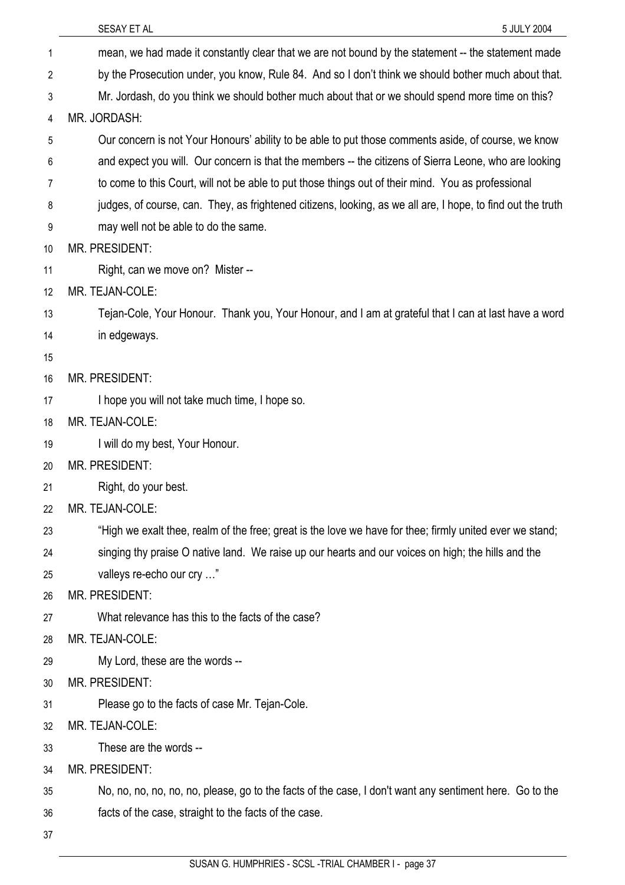| 1  | mean, we had made it constantly clear that we are not bound by the statement -- the statement made          |
|----|-------------------------------------------------------------------------------------------------------------|
| 2  | by the Prosecution under, you know, Rule 84. And so I don't think we should bother much about that.         |
| 3  | Mr. Jordash, do you think we should bother much about that or we should spend more time on this?            |
| 4  | MR. JORDASH:                                                                                                |
| 5  | Our concern is not Your Honours' ability to be able to put those comments aside, of course, we know         |
| 6  | and expect you will. Our concern is that the members -- the citizens of Sierra Leone, who are looking       |
| 7  | to come to this Court, will not be able to put those things out of their mind. You as professional          |
| 8  | judges, of course, can. They, as frightened citizens, looking, as we all are, I hope, to find out the truth |
| 9  | may well not be able to do the same.                                                                        |
| 10 | <b>MR. PRESIDENT:</b>                                                                                       |
| 11 | Right, can we move on? Mister --                                                                            |
| 12 | MR. TEJAN-COLE:                                                                                             |
| 13 | Tejan-Cole, Your Honour. Thank you, Your Honour, and I am at grateful that I can at last have a word        |
| 14 | in edgeways.                                                                                                |
| 15 |                                                                                                             |
| 16 | <b>MR. PRESIDENT:</b>                                                                                       |
| 17 | I hope you will not take much time, I hope so.                                                              |
| 18 | MR. TEJAN-COLE:                                                                                             |
| 19 | I will do my best, Your Honour.                                                                             |
| 20 | MR. PRESIDENT:                                                                                              |
| 21 | Right, do your best.                                                                                        |
| 22 | MR. TEJAN-COLE:                                                                                             |
| 23 | "High we exalt thee, realm of the free; great is the love we have for thee; firmly united ever we stand;    |
| 24 | singing thy praise O native land. We raise up our hearts and our voices on high; the hills and the          |
| 25 | valleys re-echo our cry "                                                                                   |
| 26 | MR. PRESIDENT:                                                                                              |
| 27 | What relevance has this to the facts of the case?                                                           |
| 28 | MR. TEJAN-COLE:                                                                                             |
| 29 | My Lord, these are the words --                                                                             |
| 30 | MR. PRESIDENT:                                                                                              |
| 31 | Please go to the facts of case Mr. Tejan-Cole.                                                              |
| 32 | MR. TEJAN-COLE:                                                                                             |
| 33 | These are the words --                                                                                      |
| 34 | MR. PRESIDENT:                                                                                              |
| 35 | No, no, no, no, no, no, please, go to the facts of the case, I don't want any sentiment here. Go to the     |
| 36 | facts of the case, straight to the facts of the case.                                                       |
| 37 |                                                                                                             |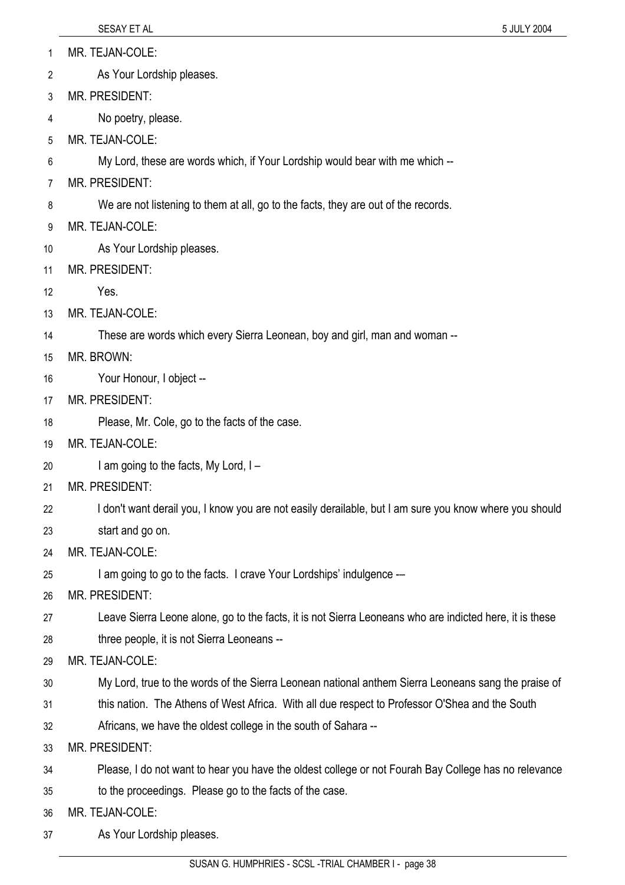- 1 MR. TEJAN-COLE:
- 2 As Your Lordship pleases.
- 3 MR. PRESIDENT:
- 4 No poetry, please.
- 5 MR. TEJAN-COLE:
- 6 My Lord, these are words which, if Your Lordship would bear with me which --
- 7 MR. PRESIDENT:
- 8 We are not listening to them at all, go to the facts, they are out of the records.
- 9 MR. TEJAN-COLE:
- 10 As Your Lordship pleases.
- 11 MR. PRESIDENT:
- 12 Yes.
- 13 MR. TEJAN-COLE:
- 14 These are words which every Sierra Leonean, boy and girl, man and woman --
- 15 MR. BROWN:
- 16 Your Honour, I object --
- 17 MR. PRESIDENT:
- 18 Please, Mr. Cole, go to the facts of the case.
- 19 MR. TEJAN-COLE:
- 20 I am going to the facts, My Lord, I –
- 21 MR. PRESIDENT:
- 22 I don't want derail you, I know you are not easily derailable, but I am sure you know where you should
- 23 start and go on.
- 24 MR. TEJAN-COLE:
- 25 I am going to go to the facts. I crave Your Lordships' indulgence -–
- 26 MR. PRESIDENT:
- 27 Leave Sierra Leone alone, go to the facts, it is not Sierra Leoneans who are indicted here, it is these
- 28 three people, it is not Sierra Leoneans --
- 29 MR. TEJAN-COLE:
- 30 My Lord, true to the words of the Sierra Leonean national anthem Sierra Leoneans sang the praise of
- 31 this nation. The Athens of West Africa. With all due respect to Professor O'Shea and the South
- 32 Africans, we have the oldest college in the south of Sahara --
- 33 MR. PRESIDENT:
- 34 Please, I do not want to hear you have the oldest college or not Fourah Bay College has no relevance
- 35 to the proceedings. Please go to the facts of the case.
- 36 MR. TEJAN-COLE:
- 37 As Your Lordship pleases.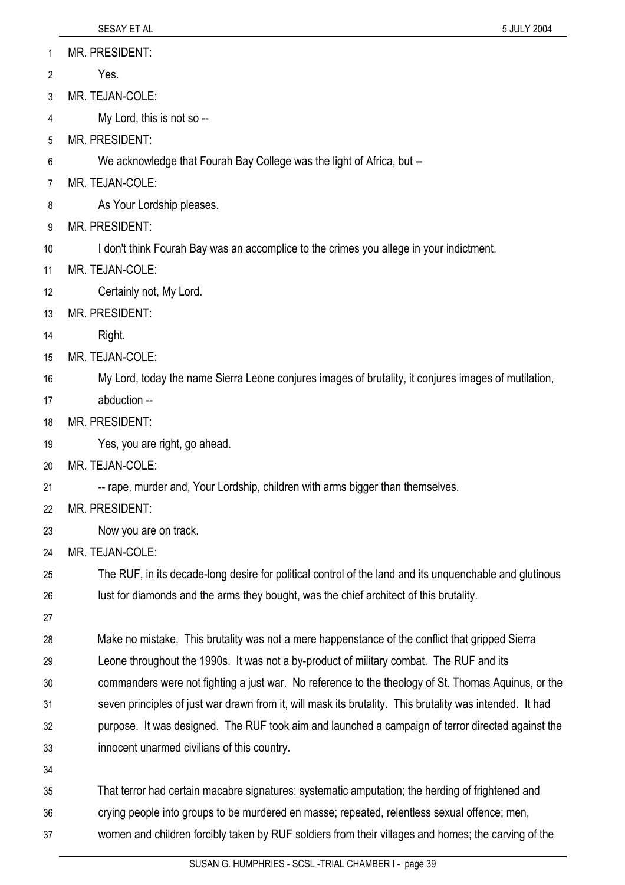- MR. PRESIDENT: 1
- Yes. 2
- 3 MR. TEJAN-COLE:
- 4 My Lord, this is not so --
- 5 MR. PRESIDENT:
- 6 We acknowledge that Fourah Bay College was the light of Africa, but --
- 7 MR. TEJAN-COLE:
- 8 As Your Lordship pleases.
- 9 MR. PRESIDENT:
- 10 I don't think Fourah Bay was an accomplice to the crimes you allege in your indictment.
- 11 MR. TEJAN-COLE:
- 12 Certainly not, My Lord.
- 13 MR. PRESIDENT:
- 14 Right.
- 15 MR. TEJAN-COLE:
- 16 My Lord, today the name Sierra Leone conjures images of brutality, it conjures images of mutilation,
- 17 abduction --
- 18 MR. PRESIDENT:
- 19 Yes, you are right, go ahead.
- 20 MR. TEJAN-COLE:
- 21 -- rape, murder and, Your Lordship, children with arms bigger than themselves.
- 22 MR. PRESIDENT:
- 23 Now you are on track.
- 24 MR. TEJAN-COLE:
- 25 26 The RUF, in its decade-long desire for political control of the land and its unquenchable and glutinous lust for diamonds and the arms they bought, was the chief architect of this brutality.
- 27
- 28 Make no mistake. This brutality was not a mere happenstance of the conflict that gripped Sierra
- 29 Leone throughout the 1990s. It was not a by-product of military combat. The RUF and its
- 30 commanders were not fighting a just war. No reference to the theology of St. Thomas Aquinus, or the
- 31 32 seven principles of just war drawn from it, will mask its brutality. This brutality was intended. It had purpose. It was designed. The RUF took aim and launched a campaign of terror directed against the
- 33 innocent unarmed civilians of this country.
- 34
- 35 That terror had certain macabre signatures: systematic amputation; the herding of frightened and
- 36 crying people into groups to be murdered en masse; repeated, relentless sexual offence; men,
- 37 women and children forcibly taken by RUF soldiers from their villages and homes; the carving of the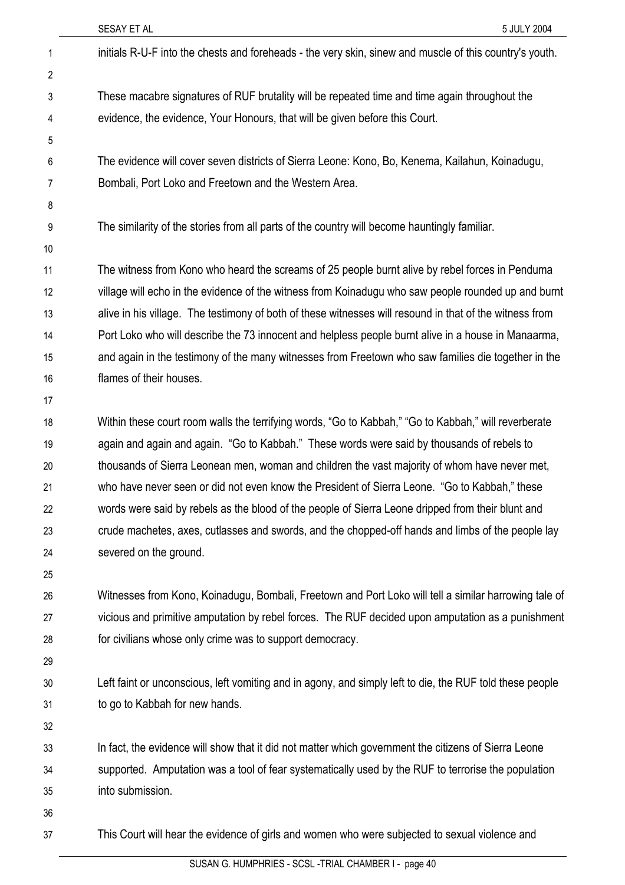| 1              | initials R-U-F into the chests and foreheads - the very skin, sinew and muscle of this country's youth.  |
|----------------|----------------------------------------------------------------------------------------------------------|
| $\mathbf{2}$   |                                                                                                          |
| $\mathfrak{Z}$ | These macabre signatures of RUF brutality will be repeated time and time again throughout the            |
| 4              | evidence, the evidence, Your Honours, that will be given before this Court.                              |
| 5              |                                                                                                          |
| 6              | The evidence will cover seven districts of Sierra Leone: Kono, Bo, Kenema, Kailahun, Koinadugu,          |
| 7              | Bombali, Port Loko and Freetown and the Western Area.                                                    |
| 8              |                                                                                                          |
| 9              | The similarity of the stories from all parts of the country will become hauntingly familiar.             |
| 10             |                                                                                                          |
| 11             | The witness from Kono who heard the screams of 25 people burnt alive by rebel forces in Penduma          |
| 12             | village will echo in the evidence of the witness from Koinadugu who saw people rounded up and burnt      |
| 13             | alive in his village. The testimony of both of these witnesses will resound in that of the witness from  |
| 14             | Port Loko who will describe the 73 innocent and helpless people burnt alive in a house in Manaarma,      |
| 15             | and again in the testimony of the many witnesses from Freetown who saw families die together in the      |
| 16             | flames of their houses.                                                                                  |
| 17             |                                                                                                          |
| 18             | Within these court room walls the terrifying words, "Go to Kabbah," "Go to Kabbah," will reverberate     |
| 19             | again and again and again. "Go to Kabbah." These words were said by thousands of rebels to               |
| 20             | thousands of Sierra Leonean men, woman and children the vast majority of whom have never met,            |
| 21             | who have never seen or did not even know the President of Sierra Leone. "Go to Kabbah," these            |
| 22             | words were said by rebels as the blood of the people of Sierra Leone dripped from their blunt and        |
| 23             | crude machetes, axes, cutlasses and swords, and the chopped-off hands and limbs of the people lay        |
| 24             | severed on the ground.                                                                                   |
| 25             |                                                                                                          |
| 26             | Witnesses from Kono, Koinadugu, Bombali, Freetown and Port Loko will tell a similar harrowing tale of    |
| 27             | vicious and primitive amputation by rebel forces. The RUF decided upon amputation as a punishment        |
| 28             | for civilians whose only crime was to support democracy.                                                 |
| 29             |                                                                                                          |
| 30             | Left faint or unconscious, left vomiting and in agony, and simply left to die, the RUF told these people |
| 31             | to go to Kabbah for new hands.                                                                           |
| 32             |                                                                                                          |
| 33             | In fact, the evidence will show that it did not matter which government the citizens of Sierra Leone     |
| 34             | supported. Amputation was a tool of fear systematically used by the RUF to terrorise the population      |
| 35             | into submission.                                                                                         |
| 36             |                                                                                                          |
| 37             | This Court will hear the evidence of girls and women who were subjected to sexual violence and           |
|                | CUCAN CULIMBURIES COST TRIAL CUAMPERT                                                                    |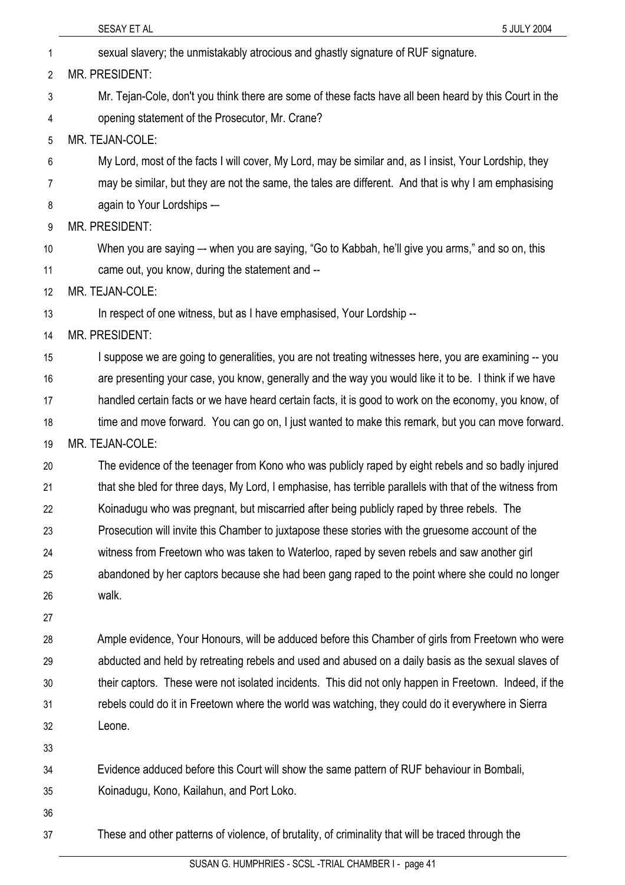| 1  | sexual slavery; the unmistakably atrocious and ghastly signature of RUF signature.                       |
|----|----------------------------------------------------------------------------------------------------------|
| 2  | <b>MR. PRESIDENT:</b>                                                                                    |
| 3  | Mr. Tejan-Cole, don't you think there are some of these facts have all been heard by this Court in the   |
| 4  | opening statement of the Prosecutor, Mr. Crane?                                                          |
| 5  | MR. TEJAN-COLE:                                                                                          |
| 6  | My Lord, most of the facts I will cover, My Lord, may be similar and, as I insist, Your Lordship, they   |
| 7  | may be similar, but they are not the same, the tales are different. And that is why I am emphasising     |
| 8  | again to Your Lordships -                                                                                |
| 9  | MR. PRESIDENT:                                                                                           |
| 10 | When you are saying — when you are saying, "Go to Kabbah, he'll give you arms," and so on, this          |
| 11 | came out, you know, during the statement and --                                                          |
| 12 | MR. TEJAN-COLE:                                                                                          |
| 13 | In respect of one witness, but as I have emphasised, Your Lordship --                                    |
| 14 | MR. PRESIDENT:                                                                                           |
| 15 | I suppose we are going to generalities, you are not treating witnesses here, you are examining -- you    |
| 16 | are presenting your case, you know, generally and the way you would like it to be. I think if we have    |
| 17 | handled certain facts or we have heard certain facts, it is good to work on the economy, you know, of    |
| 18 | time and move forward. You can go on, I just wanted to make this remark, but you can move forward.       |
| 19 | MR. TEJAN-COLE:                                                                                          |
| 20 | The evidence of the teenager from Kono who was publicly raped by eight rebels and so badly injured       |
| 21 | that she bled for three days, My Lord, I emphasise, has terrible parallels with that of the witness from |
| 22 | Koinadugu who was pregnant, but miscarried after being publicly raped by three rebels. The               |
| 23 | Prosecution will invite this Chamber to juxtapose these stories with the gruesome account of the         |
| 24 | witness from Freetown who was taken to Waterloo, raped by seven rebels and saw another girl              |
| 25 | abandoned by her captors because she had been gang raped to the point where she could no longer          |
| 26 | walk.                                                                                                    |
| 27 |                                                                                                          |
| 28 | Ample evidence, Your Honours, will be adduced before this Chamber of girls from Freetown who were        |
| 29 | abducted and held by retreating rebels and used and abused on a daily basis as the sexual slaves of      |
| 30 | their captors. These were not isolated incidents. This did not only happen in Freetown. Indeed, if the   |
| 31 | rebels could do it in Freetown where the world was watching, they could do it everywhere in Sierra       |
| 32 | Leone.                                                                                                   |
| 33 |                                                                                                          |
| 34 | Evidence adduced before this Court will show the same pattern of RUF behaviour in Bombali,               |
| 35 | Koinadugu, Kono, Kailahun, and Port Loko.                                                                |
| 36 |                                                                                                          |
| 37 | These and other patterns of violence, of brutality, of criminality that will be traced through the       |

SESAY ET AL 5 JULY 2004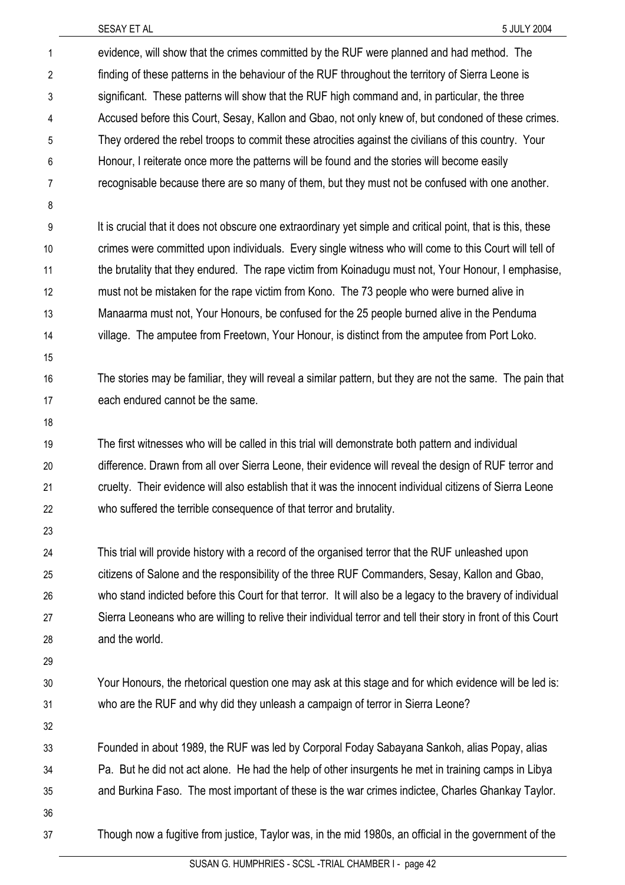| 1              | evidence, will show that the crimes committed by the RUF were planned and had method. The                     |
|----------------|---------------------------------------------------------------------------------------------------------------|
| $\overline{2}$ | finding of these patterns in the behaviour of the RUF throughout the territory of Sierra Leone is             |
| 3              | significant. These patterns will show that the RUF high command and, in particular, the three                 |
| 4              | Accused before this Court, Sesay, Kallon and Gbao, not only knew of, but condoned of these crimes.            |
| 5              | They ordered the rebel troops to commit these atrocities against the civilians of this country. Your          |
| 6              | Honour, I reiterate once more the patterns will be found and the stories will become easily                   |
| 7              | recognisable because there are so many of them, but they must not be confused with one another.               |
| 8              |                                                                                                               |
| 9              | It is crucial that it does not obscure one extraordinary yet simple and critical point, that is this, these   |
| 10             | crimes were committed upon individuals. Every single witness who will come to this Court will tell of         |
| 11             | the brutality that they endured. The rape victim from Koinadugu must not, Your Honour, I emphasise,           |
| 12             | must not be mistaken for the rape victim from Kono. The 73 people who were burned alive in                    |
| 13             | Manaarma must not, Your Honours, be confused for the 25 people burned alive in the Penduma                    |
| 14             | village. The amputee from Freetown, Your Honour, is distinct from the amputee from Port Loko.                 |
| 15             |                                                                                                               |
| 16             | The stories may be familiar, they will reveal a similar pattern, but they are not the same. The pain that     |
| 17             | each endured cannot be the same.                                                                              |
| 18             |                                                                                                               |
| 19             | The first witnesses who will be called in this trial will demonstrate both pattern and individual             |
| 20             | difference. Drawn from all over Sierra Leone, their evidence will reveal the design of RUF terror and         |
| 21             | cruelty. Their evidence will also establish that it was the innocent individual citizens of Sierra Leone      |
| 22             | who suffered the terrible consequence of that terror and brutality.                                           |
| 23             |                                                                                                               |
| 24             | This trial will provide history with a record of the organised terror that the RUF unleashed upon             |
| 25             | citizens of Salone and the responsibility of the three RUF Commanders, Sesay, Kallon and Gbao,                |
| 26             | who stand indicted before this Court for that terror. It will also be a legacy to the bravery of individual   |
| 27             | Sierra Leoneans who are willing to relive their individual terror and tell their story in front of this Court |
| 28             | and the world.                                                                                                |
| 29             |                                                                                                               |
| 30             | Your Honours, the rhetorical question one may ask at this stage and for which evidence will be led is:        |
| 31             | who are the RUF and why did they unleash a campaign of terror in Sierra Leone?                                |
| 32             |                                                                                                               |
| 33             | Founded in about 1989, the RUF was led by Corporal Foday Sabayana Sankoh, alias Popay, alias                  |
| 34             | Pa. But he did not act alone. He had the help of other insurgents he met in training camps in Libya           |
| 35             | and Burkina Faso. The most important of these is the war crimes indictee, Charles Ghankay Taylor.             |
| 36             |                                                                                                               |
| 37             | Though now a fugitive from justice, Taylor was, in the mid 1980s, an official in the government of the        |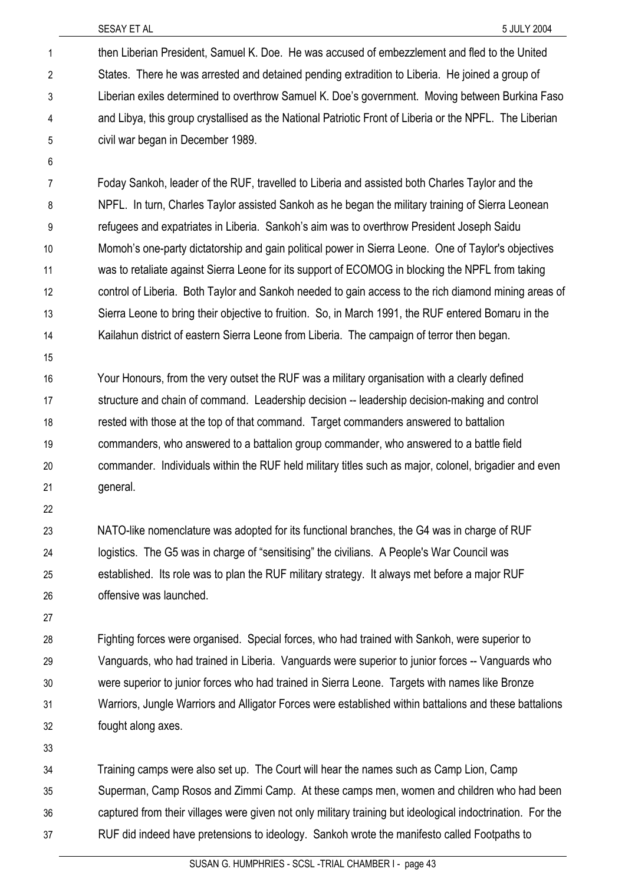then Liberian President, Samuel K. Doe. He was accused of embezzlement and fled to the United States. There he was arrested and detained pending extradition to Liberia. He joined a group of Liberian exiles determined to overthrow Samuel K. Doe's government. Moving between Burkina Faso and Libya, this group crystallised as the National Patriotic Front of Liberia or the NPFL. The Liberian civil war began in December 1989. 1 2 3 4 5

6

7 8 9 10 11 12 13 14 Foday Sankoh, leader of the RUF, travelled to Liberia and assisted both Charles Taylor and the NPFL. In turn, Charles Taylor assisted Sankoh as he began the military training of Sierra Leonean refugees and expatriates in Liberia. Sankoh's aim was to overthrow President Joseph Saidu Momoh's one-party dictatorship and gain political power in Sierra Leone. One of Taylor's objectives was to retaliate against Sierra Leone for its support of ECOMOG in blocking the NPFL from taking control of Liberia. Both Taylor and Sankoh needed to gain access to the rich diamond mining areas of Sierra Leone to bring their objective to fruition. So, in March 1991, the RUF entered Bomaru in the Kailahun district of eastern Sierra Leone from Liberia. The campaign of terror then began.

15

16 17 18 19 20 21 Your Honours, from the very outset the RUF was a military organisation with a clearly defined structure and chain of command. Leadership decision -- leadership decision-making and control rested with those at the top of that command. Target commanders answered to battalion commanders, who answered to a battalion group commander, who answered to a battle field commander. Individuals within the RUF held military titles such as major, colonel, brigadier and even general.

22

23 24 25 26 NATO-like nomenclature was adopted for its functional branches, the G4 was in charge of RUF logistics. The G5 was in charge of "sensitising" the civilians. A People's War Council was established. Its role was to plan the RUF military strategy. It always met before a major RUF offensive was launched.

27

28 29 30 31 32 Fighting forces were organised. Special forces, who had trained with Sankoh, were superior to Vanguards, who had trained in Liberia. Vanguards were superior to junior forces -- Vanguards who were superior to junior forces who had trained in Sierra Leone. Targets with names like Bronze Warriors, Jungle Warriors and Alligator Forces were established within battalions and these battalions fought along axes.

33

34 35 36 37 Training camps were also set up. The Court will hear the names such as Camp Lion, Camp Superman, Camp Rosos and Zimmi Camp. At these camps men, women and children who had been captured from their villages were given not only military training but ideological indoctrination. For the RUF did indeed have pretensions to ideology. Sankoh wrote the manifesto called Footpaths to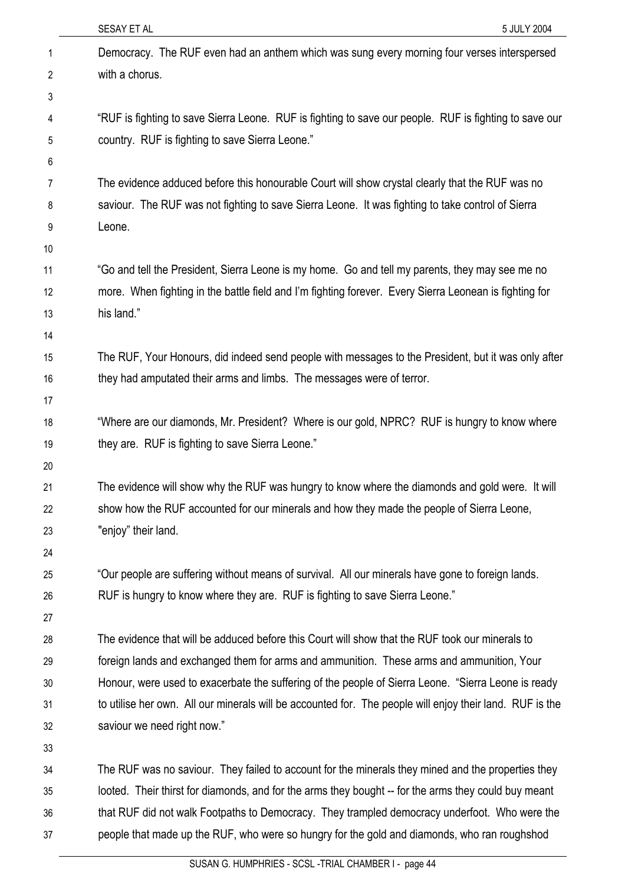|    | 5 JULY 2004<br>SESAY ET AL                                                                               |
|----|----------------------------------------------------------------------------------------------------------|
| 1  | Democracy. The RUF even had an anthem which was sung every morning four verses interspersed              |
| 2  | with a chorus.                                                                                           |
| 3  |                                                                                                          |
| 4  | "RUF is fighting to save Sierra Leone. RUF is fighting to save our people. RUF is fighting to save our   |
| 5  | country. RUF is fighting to save Sierra Leone."                                                          |
| 6  |                                                                                                          |
| 7  | The evidence adduced before this honourable Court will show crystal clearly that the RUF was no          |
| 8  | saviour. The RUF was not fighting to save Sierra Leone. It was fighting to take control of Sierra        |
| 9  | Leone.                                                                                                   |
| 10 |                                                                                                          |
| 11 | "Go and tell the President, Sierra Leone is my home. Go and tell my parents, they may see me no          |
| 12 | more. When fighting in the battle field and I'm fighting forever. Every Sierra Leonean is fighting for   |
| 13 | his land."                                                                                               |
| 14 |                                                                                                          |
| 15 | The RUF, Your Honours, did indeed send people with messages to the President, but it was only after      |
| 16 | they had amputated their arms and limbs. The messages were of terror.                                    |
| 17 |                                                                                                          |
| 18 | "Where are our diamonds, Mr. President? Where is our gold, NPRC? RUF is hungry to know where             |
| 19 | they are. RUF is fighting to save Sierra Leone."                                                         |
| 20 |                                                                                                          |
| 21 | The evidence will show why the RUF was hungry to know where the diamonds and gold were. It will          |
| 22 | show how the RUF accounted for our minerals and how they made the people of Sierra Leone,                |
| 23 | "enjoy" their land.                                                                                      |
| 24 |                                                                                                          |
| 25 | "Our people are suffering without means of survival. All our minerals have gone to foreign lands.        |
| 26 | RUF is hungry to know where they are. RUF is fighting to save Sierra Leone."                             |
| 27 |                                                                                                          |
| 28 | The evidence that will be adduced before this Court will show that the RUF took our minerals to          |
| 29 | foreign lands and exchanged them for arms and ammunition. These arms and ammunition, Your                |
| 30 | Honour, were used to exacerbate the suffering of the people of Sierra Leone. "Sierra Leone is ready      |
| 31 | to utilise her own. All our minerals will be accounted for. The people will enjoy their land. RUF is the |
| 32 | saviour we need right now."                                                                              |
| 33 |                                                                                                          |
| 34 | The RUF was no saviour. They failed to account for the minerals they mined and the properties they       |
| 35 | looted. Their thirst for diamonds, and for the arms they bought -- for the arms they could buy meant     |
| 36 | that RUF did not walk Footpaths to Democracy. They trampled democracy underfoot. Who were the            |
| 37 | people that made up the RUF, who were so hungry for the gold and diamonds, who ran roughshod             |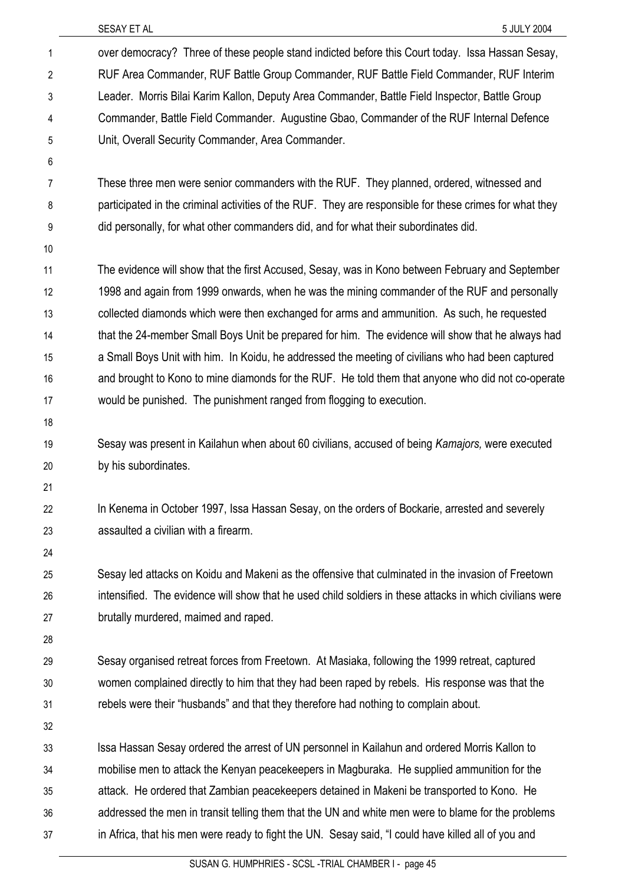| 1  | over democracy? Three of these people stand indicted before this Court today. Issa Hassan Sesay,         |  |
|----|----------------------------------------------------------------------------------------------------------|--|
| 2  | RUF Area Commander, RUF Battle Group Commander, RUF Battle Field Commander, RUF Interim                  |  |
| 3  | Leader. Morris Bilai Karim Kallon, Deputy Area Commander, Battle Field Inspector, Battle Group           |  |
| 4  | Commander, Battle Field Commander. Augustine Gbao, Commander of the RUF Internal Defence                 |  |
| 5  | Unit, Overall Security Commander, Area Commander.                                                        |  |
| 6  |                                                                                                          |  |
| 7  | These three men were senior commanders with the RUF. They planned, ordered, witnessed and                |  |
| 8  | participated in the criminal activities of the RUF. They are responsible for these crimes for what they  |  |
| 9  | did personally, for what other commanders did, and for what their subordinates did.                      |  |
| 10 |                                                                                                          |  |
| 11 | The evidence will show that the first Accused, Sesay, was in Kono between February and September         |  |
| 12 | 1998 and again from 1999 onwards, when he was the mining commander of the RUF and personally             |  |
| 13 | collected diamonds which were then exchanged for arms and ammunition. As such, he requested              |  |
| 14 | that the 24-member Small Boys Unit be prepared for him. The evidence will show that he always had        |  |
| 15 | a Small Boys Unit with him. In Koidu, he addressed the meeting of civilians who had been captured        |  |
| 16 | and brought to Kono to mine diamonds for the RUF. He told them that anyone who did not co-operate        |  |
| 17 | would be punished. The punishment ranged from flogging to execution.                                     |  |
| 18 |                                                                                                          |  |
| 19 | Sesay was present in Kailahun when about 60 civilians, accused of being Kamajors, were executed          |  |
| 20 | by his subordinates.                                                                                     |  |
| 21 |                                                                                                          |  |
| 22 | In Kenema in October 1997, Issa Hassan Sesay, on the orders of Bockarie, arrested and severely           |  |
| 23 | assaulted a civilian with a firearm.                                                                     |  |
| 24 |                                                                                                          |  |
| 25 | Sesay led attacks on Koidu and Makeni as the offensive that culminated in the invasion of Freetown       |  |
| 26 | intensified. The evidence will show that he used child soldiers in these attacks in which civilians were |  |
| 27 | brutally murdered, maimed and raped.                                                                     |  |
| 28 |                                                                                                          |  |
| 29 | Sesay organised retreat forces from Freetown. At Masiaka, following the 1999 retreat, captured           |  |
| 30 | women complained directly to him that they had been raped by rebels. His response was that the           |  |
| 31 | rebels were their "husbands" and that they therefore had nothing to complain about.                      |  |
| 32 |                                                                                                          |  |
| 33 | Issa Hassan Sesay ordered the arrest of UN personnel in Kailahun and ordered Morris Kallon to            |  |
| 34 | mobilise men to attack the Kenyan peacekeepers in Magburaka. He supplied ammunition for the              |  |
| 35 | attack. He ordered that Zambian peacekeepers detained in Makeni be transported to Kono. He               |  |
| 36 | addressed the men in transit telling them that the UN and white men were to blame for the problems       |  |
| 37 | in Africa, that his men were ready to fight the UN. Sesay said, "I could have killed all of you and      |  |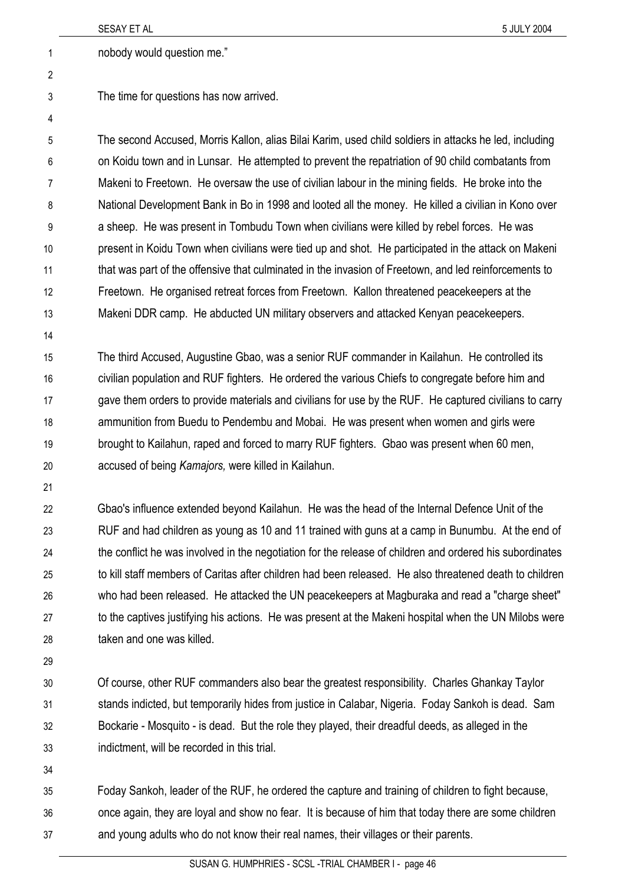1 nobody would question me."

2 3

4

The time for questions has now arrived.

5 6 7 8 9 10 11 12 13 The second Accused, Morris Kallon, alias Bilai Karim, used child soldiers in attacks he led, including on Koidu town and in Lunsar. He attempted to prevent the repatriation of 90 child combatants from Makeni to Freetown. He oversaw the use of civilian labour in the mining fields. He broke into the National Development Bank in Bo in 1998 and looted all the money. He killed a civilian in Kono over a sheep. He was present in Tombudu Town when civilians were killed by rebel forces. He was present in Koidu Town when civilians were tied up and shot. He participated in the attack on Makeni that was part of the offensive that culminated in the invasion of Freetown, and led reinforcements to Freetown. He organised retreat forces from Freetown. Kallon threatened peacekeepers at the Makeni DDR camp. He abducted UN military observers and attacked Kenyan peacekeepers.

14

15 16 17 18 19 20 The third Accused, Augustine Gbao, was a senior RUF commander in Kailahun. He controlled its civilian population and RUF fighters. He ordered the various Chiefs to congregate before him and gave them orders to provide materials and civilians for use by the RUF. He captured civilians to carry ammunition from Buedu to Pendembu and Mobai. He was present when women and girls were brought to Kailahun, raped and forced to marry RUF fighters. Gbao was present when 60 men, accused of being *Kamajors,* were killed in Kailahun.

21

22 23 24 25 26 27 28 Gbao's influence extended beyond Kailahun. He was the head of the Internal Defence Unit of the RUF and had children as young as 10 and 11 trained with guns at a camp in Bunumbu. At the end of the conflict he was involved in the negotiation for the release of children and ordered his subordinates to kill staff members of Caritas after children had been released. He also threatened death to children who had been released. He attacked the UN peacekeepers at Magburaka and read a "charge sheet" to the captives justifying his actions. He was present at the Makeni hospital when the UN Milobs were taken and one was killed.

29

30 31 32 33 Of course, other RUF commanders also bear the greatest responsibility. Charles Ghankay Taylor stands indicted, but temporarily hides from justice in Calabar, Nigeria. Foday Sankoh is dead. Sam Bockarie - Mosquito - is dead. But the role they played, their dreadful deeds, as alleged in the indictment, will be recorded in this trial.

34

35 36 37 Foday Sankoh, leader of the RUF, he ordered the capture and training of children to fight because, once again, they are loyal and show no fear. It is because of him that today there are some children and young adults who do not know their real names, their villages or their parents.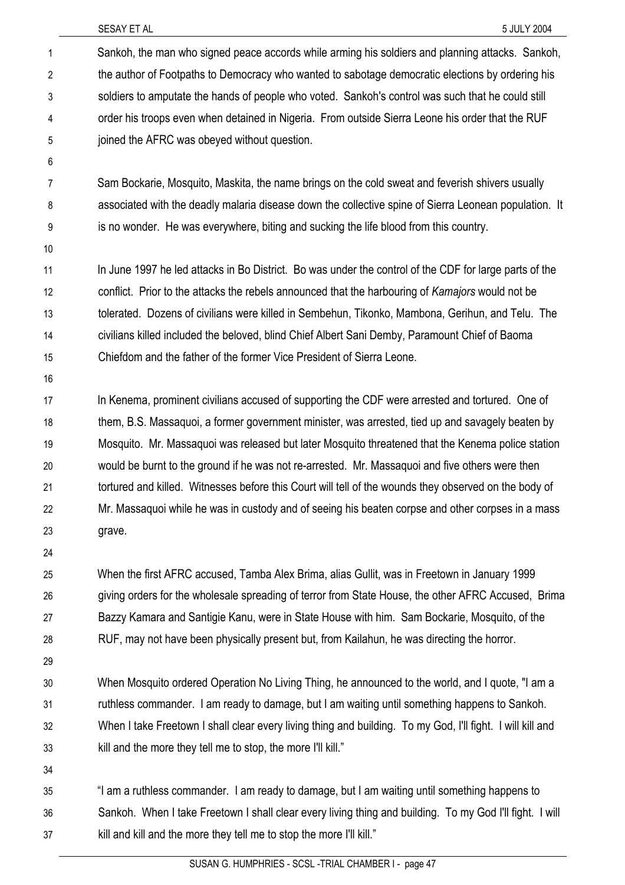Sankoh, the man who signed peace accords while arming his soldiers and planning attacks. Sankoh, the author of Footpaths to Democracy who wanted to sabotage democratic elections by ordering his soldiers to amputate the hands of people who voted. Sankoh's control was such that he could still order his troops even when detained in Nigeria. From outside Sierra Leone his order that the RUF joined the AFRC was obeyed without question. 1 2 3 4 5

7 8 9 Sam Bockarie, Mosquito, Maskita, the name brings on the cold sweat and feverish shivers usually associated with the deadly malaria disease down the collective spine of Sierra Leonean population. It is no wonder. He was everywhere, biting and sucking the life blood from this country.

10

6

11 12 13 14 15 In June 1997 he led attacks in Bo District. Bo was under the control of the CDF for large parts of the conflict. Prior to the attacks the rebels announced that the harbouring of *Kamajors* would not be tolerated. Dozens of civilians were killed in Sembehun, Tikonko, Mambona, Gerihun, and Telu. The civilians killed included the beloved, blind Chief Albert Sani Demby, Paramount Chief of Baoma Chiefdom and the father of the former Vice President of Sierra Leone.

16

17 18 19 20 21 22 23 In Kenema, prominent civilians accused of supporting the CDF were arrested and tortured. One of them, B.S. Massaquoi, a former government minister, was arrested, tied up and savagely beaten by Mosquito. Mr. Massaquoi was released but later Mosquito threatened that the Kenema police station would be burnt to the ground if he was not re-arrested. Mr. Massaquoi and five others were then tortured and killed. Witnesses before this Court will tell of the wounds they observed on the body of Mr. Massaquoi while he was in custody and of seeing his beaten corpse and other corpses in a mass grave.

24

25 26 27 28 When the first AFRC accused, Tamba Alex Brima, alias Gullit, was in Freetown in January 1999 giving orders for the wholesale spreading of terror from State House, the other AFRC Accused, Brima Bazzy Kamara and Santigie Kanu, were in State House with him. Sam Bockarie, Mosquito, of the RUF, may not have been physically present but, from Kailahun, he was directing the horror.

29

30 31 32 33 When Mosquito ordered Operation No Living Thing, he announced to the world, and I quote, "I am a ruthless commander. I am ready to damage, but I am waiting until something happens to Sankoh. When I take Freetown I shall clear every living thing and building. To my God, I'll fight. I will kill and kill and the more they tell me to stop, the more I'll kill."

34

35 36 37 "I am a ruthless commander. I am ready to damage, but I am waiting until something happens to Sankoh. When I take Freetown I shall clear every living thing and building. To my God I'll fight. I will kill and kill and the more they tell me to stop the more I'll kill."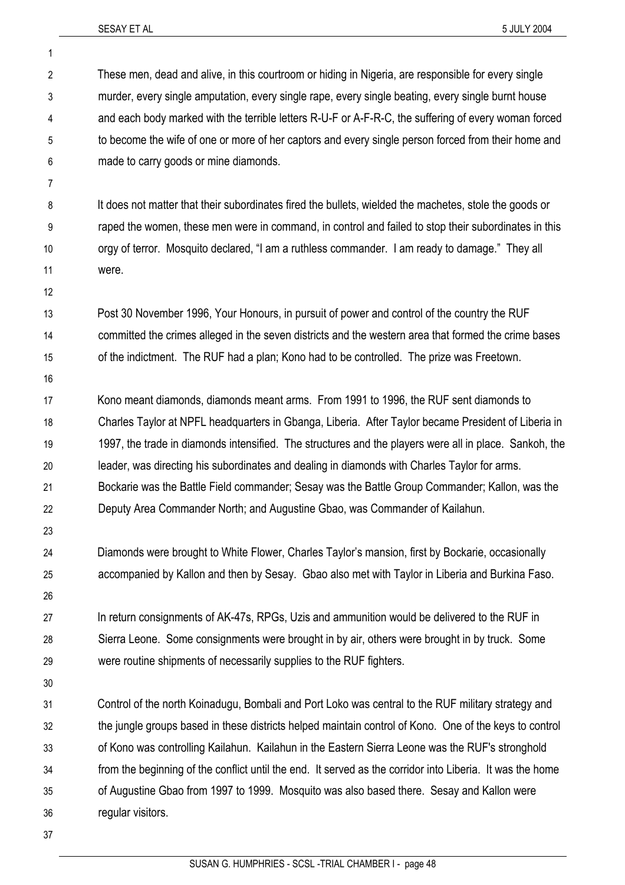1

|                | These men, dead and alive, in this courtroom or hiding in Nigeria, are responsible for every single       |
|----------------|-----------------------------------------------------------------------------------------------------------|
| $\overline{2}$ |                                                                                                           |
| 3              | murder, every single amputation, every single rape, every single beating, every single burnt house        |
| 4              | and each body marked with the terrible letters R-U-F or A-F-R-C, the suffering of every woman forced      |
| 5              | to become the wife of one or more of her captors and every single person forced from their home and       |
| 6              | made to carry goods or mine diamonds.                                                                     |
| 7              |                                                                                                           |
| 8              | It does not matter that their subordinates fired the bullets, wielded the machetes, stole the goods or    |
| 9              | raped the women, these men were in command, in control and failed to stop their subordinates in this      |
| 10             | orgy of terror. Mosquito declared, "I am a ruthless commander. I am ready to damage." They all            |
| 11             | were.                                                                                                     |
| 12             |                                                                                                           |
| 13             | Post 30 November 1996, Your Honours, in pursuit of power and control of the country the RUF               |
| 14             | committed the crimes alleged in the seven districts and the western area that formed the crime bases      |
| 15             | of the indictment. The RUF had a plan; Kono had to be controlled. The prize was Freetown.                 |
| 16             |                                                                                                           |
| 17             | Kono meant diamonds, diamonds meant arms. From 1991 to 1996, the RUF sent diamonds to                     |
| 18             | Charles Taylor at NPFL headquarters in Gbanga, Liberia. After Taylor became President of Liberia in       |
| 19             | 1997, the trade in diamonds intensified. The structures and the players were all in place. Sankoh, the    |
| 20             | leader, was directing his subordinates and dealing in diamonds with Charles Taylor for arms.              |
| 21             | Bockarie was the Battle Field commander; Sesay was the Battle Group Commander; Kallon, was the            |
| 22             | Deputy Area Commander North; and Augustine Gbao, was Commander of Kailahun.                               |
| 23             |                                                                                                           |
| 24             | Diamonds were brought to White Flower, Charles Taylor's mansion, first by Bockarie, occasionally          |
| 25             | accompanied by Kallon and then by Sesay. Gbao also met with Taylor in Liberia and Burkina Faso.           |
| 26             |                                                                                                           |
| 27             | In return consignments of AK-47s, RPGs, Uzis and ammunition would be delivered to the RUF in              |
| 28             | Sierra Leone. Some consignments were brought in by air, others were brought in by truck. Some             |
| 29             | were routine shipments of necessarily supplies to the RUF fighters.                                       |
| 30             |                                                                                                           |
| 31             | Control of the north Koinadugu, Bombali and Port Loko was central to the RUF military strategy and        |
| 32             | the jungle groups based in these districts helped maintain control of Kono. One of the keys to control    |
| 33             | of Kono was controlling Kailahun. Kailahun in the Eastern Sierra Leone was the RUF's stronghold           |
| 34             | from the beginning of the conflict until the end. It served as the corridor into Liberia. It was the home |
| 35             | of Augustine Gbao from 1997 to 1999. Mosquito was also based there. Sesay and Kallon were                 |
| 36             | regular visitors.                                                                                         |
| 37             |                                                                                                           |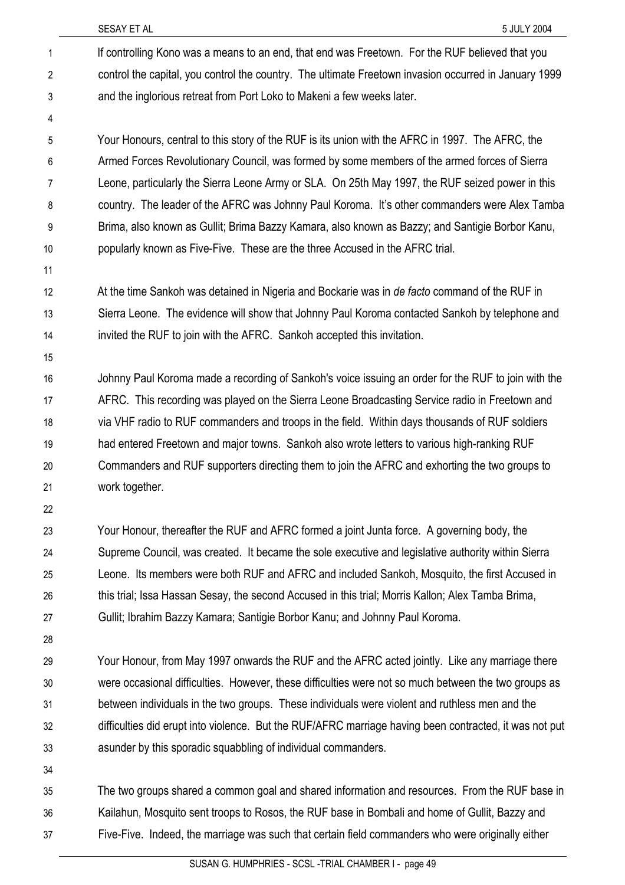| 1              | If controlling Kono was a means to an end, that end was Freetown. For the RUF believed that you        |
|----------------|--------------------------------------------------------------------------------------------------------|
| 2              | control the capital, you control the country. The ultimate Freetown invasion occurred in January 1999  |
| 3              | and the inglorious retreat from Port Loko to Makeni a few weeks later.                                 |
| 4              |                                                                                                        |
| 5              | Your Honours, central to this story of the RUF is its union with the AFRC in 1997. The AFRC, the       |
| 6              | Armed Forces Revolutionary Council, was formed by some members of the armed forces of Sierra           |
| $\overline{7}$ | Leone, particularly the Sierra Leone Army or SLA. On 25th May 1997, the RUF seized power in this       |
| 8              | country. The leader of the AFRC was Johnny Paul Koroma. It's other commanders were Alex Tamba          |
| 9              | Brima, also known as Gullit; Brima Bazzy Kamara, also known as Bazzy; and Santigie Borbor Kanu,        |
| 10             | popularly known as Five-Five. These are the three Accused in the AFRC trial.                           |
| 11             |                                                                                                        |
| 12             | At the time Sankoh was detained in Nigeria and Bockarie was in de facto command of the RUF in          |
| 13             | Sierra Leone. The evidence will show that Johnny Paul Koroma contacted Sankoh by telephone and         |
| 14             | invited the RUF to join with the AFRC. Sankoh accepted this invitation.                                |
| 15             |                                                                                                        |
| 16             | Johnny Paul Koroma made a recording of Sankoh's voice issuing an order for the RUF to join with the    |
| 17             | AFRC. This recording was played on the Sierra Leone Broadcasting Service radio in Freetown and         |
| 18             | via VHF radio to RUF commanders and troops in the field. Within days thousands of RUF soldiers         |
| 19             | had entered Freetown and major towns. Sankoh also wrote letters to various high-ranking RUF            |
| 20             | Commanders and RUF supporters directing them to join the AFRC and exhorting the two groups to          |
| 21             | work together.                                                                                         |
| 22             |                                                                                                        |
| 23             | Your Honour, thereafter the RUF and AFRC formed a joint Junta force. A governing body, the             |
| 24             | Supreme Council, was created. It became the sole executive and legislative authority within Sierra     |
| 25             | Leone. Its members were both RUF and AFRC and included Sankoh, Mosquito, the first Accused in          |
| 26             | this trial; Issa Hassan Sesay, the second Accused in this trial; Morris Kallon; Alex Tamba Brima,      |
| 27             | Gullit; Ibrahim Bazzy Kamara; Santigie Borbor Kanu; and Johnny Paul Koroma.                            |
| 28             |                                                                                                        |
| 29             | Your Honour, from May 1997 onwards the RUF and the AFRC acted jointly. Like any marriage there         |
| 30             | were occasional difficulties. However, these difficulties were not so much between the two groups as   |
| 31             | between individuals in the two groups. These individuals were violent and ruthless men and the         |
| 32             | difficulties did erupt into violence. But the RUF/AFRC marriage having been contracted, it was not put |
| 33             | asunder by this sporadic squabbling of individual commanders.                                          |
| 34             |                                                                                                        |
|                |                                                                                                        |

35 36 37 The two groups shared a common goal and shared information and resources. From the RUF base in Kailahun, Mosquito sent troops to Rosos, the RUF base in Bombali and home of Gullit, Bazzy and Five-Five. Indeed, the marriage was such that certain field commanders who were originally either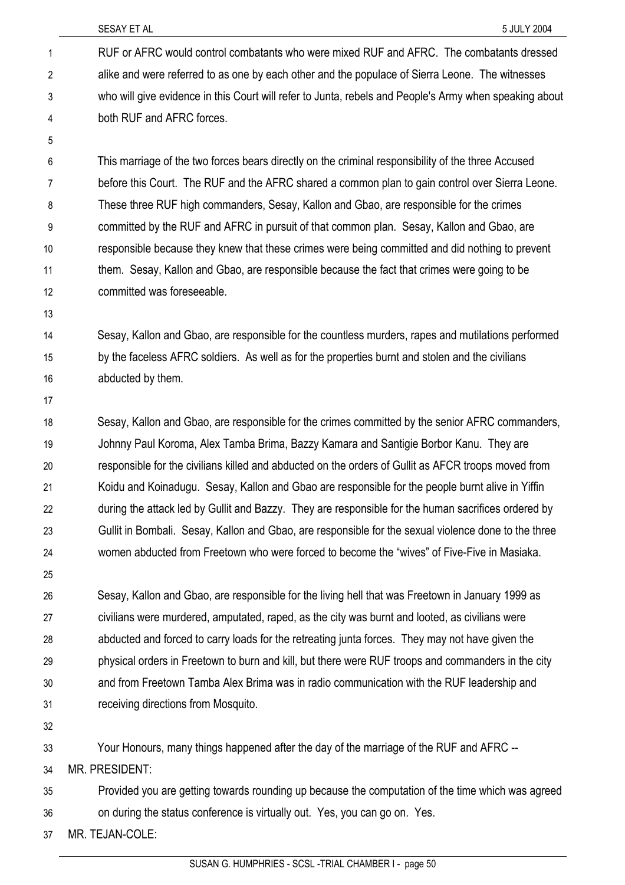RUF or AFRC would control combatants who were mixed RUF and AFRC. The combatants dressed alike and were referred to as one by each other and the populace of Sierra Leone. The witnesses who will give evidence in this Court will refer to Junta, rebels and People's Army when speaking about both RUF and AFRC forces. 1 2 3 4

6 7 8 9 10 11 12 This marriage of the two forces bears directly on the criminal responsibility of the three Accused before this Court. The RUF and the AFRC shared a common plan to gain control over Sierra Leone. These three RUF high commanders, Sesay, Kallon and Gbao, are responsible for the crimes committed by the RUF and AFRC in pursuit of that common plan. Sesay, Kallon and Gbao, are responsible because they knew that these crimes were being committed and did nothing to prevent them. Sesay, Kallon and Gbao, are responsible because the fact that crimes were going to be committed was foreseeable.

13

5

14 15 16 Sesay, Kallon and Gbao, are responsible for the countless murders, rapes and mutilations performed by the faceless AFRC soldiers. As well as for the properties burnt and stolen and the civilians abducted by them.

17

18 19 20 21 22 23 24 Sesay, Kallon and Gbao, are responsible for the crimes committed by the senior AFRC commanders, Johnny Paul Koroma, Alex Tamba Brima, Bazzy Kamara and Santigie Borbor Kanu. They are responsible for the civilians killed and abducted on the orders of Gullit as AFCR troops moved from Koidu and Koinadugu. Sesay, Kallon and Gbao are responsible for the people burnt alive in Yiffin during the attack led by Gullit and Bazzy. They are responsible for the human sacrifices ordered by Gullit in Bombali. Sesay, Kallon and Gbao, are responsible for the sexual violence done to the three women abducted from Freetown who were forced to become the "wives" of Five-Five in Masiaka.

25

26 27 28 29 30 31 Sesay, Kallon and Gbao, are responsible for the living hell that was Freetown in January 1999 as civilians were murdered, amputated, raped, as the city was burnt and looted, as civilians were abducted and forced to carry loads for the retreating junta forces. They may not have given the physical orders in Freetown to burn and kill, but there were RUF troops and commanders in the city and from Freetown Tamba Alex Brima was in radio communication with the RUF leadership and receiving directions from Mosquito.

32

33 Your Honours, many things happened after the day of the marriage of the RUF and AFRC --

34 MR. PRESIDENT:

35 36 Provided you are getting towards rounding up because the computation of the time which was agreed on during the status conference is virtually out. Yes, you can go on. Yes.

37 MR. TEJAN-COLE: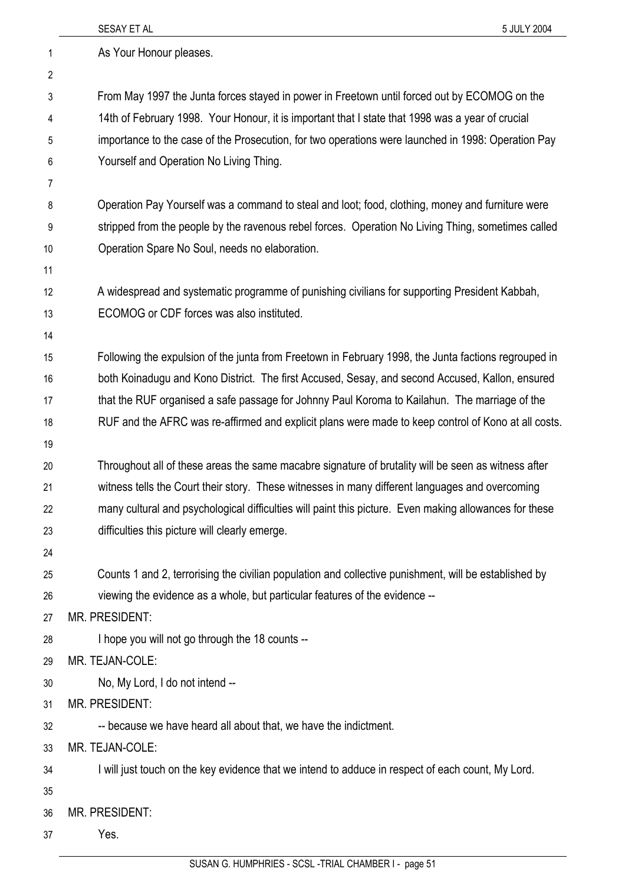|    | 5 JULY 2004<br>SESAY ET AL                                                                             |
|----|--------------------------------------------------------------------------------------------------------|
| 1  | As Your Honour pleases.                                                                                |
| 2  |                                                                                                        |
| 3  | From May 1997 the Junta forces stayed in power in Freetown until forced out by ECOMOG on the           |
| 4  | 14th of February 1998. Your Honour, it is important that I state that 1998 was a year of crucial       |
| 5  | importance to the case of the Prosecution, for two operations were launched in 1998: Operation Pay     |
| 6  | Yourself and Operation No Living Thing.                                                                |
| 7  |                                                                                                        |
| 8  | Operation Pay Yourself was a command to steal and loot; food, clothing, money and furniture were       |
| 9  | stripped from the people by the ravenous rebel forces. Operation No Living Thing, sometimes called     |
| 10 | Operation Spare No Soul, needs no elaboration.                                                         |
| 11 |                                                                                                        |
| 12 | A widespread and systematic programme of punishing civilians for supporting President Kabbah,          |
| 13 | ECOMOG or CDF forces was also instituted.                                                              |
| 14 |                                                                                                        |
| 15 | Following the expulsion of the junta from Freetown in February 1998, the Junta factions regrouped in   |
| 16 | both Koinadugu and Kono District. The first Accused, Sesay, and second Accused, Kallon, ensured        |
| 17 | that the RUF organised a safe passage for Johnny Paul Koroma to Kailahun. The marriage of the          |
| 18 | RUF and the AFRC was re-affirmed and explicit plans were made to keep control of Kono at all costs.    |
| 19 |                                                                                                        |
| 20 | Throughout all of these areas the same macabre signature of brutality will be seen as witness after    |
| 21 | witness tells the Court their story. These witnesses in many different languages and overcoming        |
| 22 | many cultural and psychological difficulties will paint this picture. Even making allowances for these |
| 23 | difficulties this picture will clearly emerge.                                                         |
| 24 |                                                                                                        |
| 25 | Counts 1 and 2, terrorising the civilian population and collective punishment, will be established by  |
| 26 | viewing the evidence as a whole, but particular features of the evidence --                            |
| 27 | <b>MR. PRESIDENT:</b>                                                                                  |
| 28 | I hope you will not go through the 18 counts --                                                        |
| 29 | MR. TEJAN-COLE:                                                                                        |
| 30 | No, My Lord, I do not intend --                                                                        |
| 31 | <b>MR. PRESIDENT:</b>                                                                                  |
| 32 | -- because we have heard all about that, we have the indictment.                                       |
| 33 | MR. TEJAN-COLE:                                                                                        |
| 34 | I will just touch on the key evidence that we intend to adduce in respect of each count, My Lord.      |
| 35 |                                                                                                        |
| 36 | <b>MR. PRESIDENT:</b>                                                                                  |
| 37 | Yes.                                                                                                   |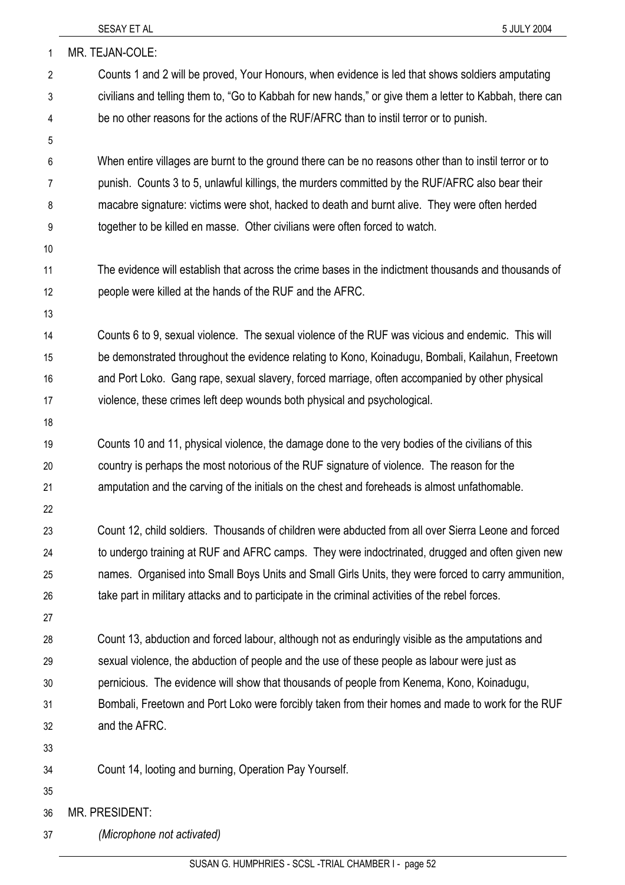| 1              | MR. TEJAN-COLE:                                                                                         |
|----------------|---------------------------------------------------------------------------------------------------------|
| $\mathbf{2}$   | Counts 1 and 2 will be proved, Your Honours, when evidence is led that shows soldiers amputating        |
| 3              | civilians and telling them to, "Go to Kabbah for new hands," or give them a letter to Kabbah, there can |
| 4              | be no other reasons for the actions of the RUF/AFRC than to instil terror or to punish.                 |
| 5              |                                                                                                         |
| 6              | When entire villages are burnt to the ground there can be no reasons other than to instil terror or to  |
| $\overline{7}$ | punish. Counts 3 to 5, unlawful killings, the murders committed by the RUF/AFRC also bear their         |
| 8              | macabre signature: victims were shot, hacked to death and burnt alive. They were often herded           |
| 9              | together to be killed en masse. Other civilians were often forced to watch.                             |
| 10             |                                                                                                         |
| 11             | The evidence will establish that across the crime bases in the indictment thousands and thousands of    |
| 12             | people were killed at the hands of the RUF and the AFRC.                                                |
| 13             |                                                                                                         |
| 14             | Counts 6 to 9, sexual violence. The sexual violence of the RUF was vicious and endemic. This will       |
| 15             | be demonstrated throughout the evidence relating to Kono, Koinadugu, Bombali, Kailahun, Freetown        |
| 16             | and Port Loko. Gang rape, sexual slavery, forced marriage, often accompanied by other physical          |
| 17             | violence, these crimes left deep wounds both physical and psychological.                                |
| 18             |                                                                                                         |
| 19             | Counts 10 and 11, physical violence, the damage done to the very bodies of the civilians of this        |
| 20             | country is perhaps the most notorious of the RUF signature of violence. The reason for the              |
| 21             | amputation and the carving of the initials on the chest and foreheads is almost unfathomable.           |
| 22             |                                                                                                         |
| 23             | Count 12, child soldiers. Thousands of children were abducted from all over Sierra Leone and forced     |
| 24             | to undergo training at RUF and AFRC camps. They were indoctrinated, drugged and often given new         |
| 25             | names. Organised into Small Boys Units and Small Girls Units, they were forced to carry ammunition,     |
| 26             | take part in military attacks and to participate in the criminal activities of the rebel forces.        |
| 27             |                                                                                                         |
| 28             | Count 13, abduction and forced labour, although not as enduringly visible as the amputations and        |
| 29             | sexual violence, the abduction of people and the use of these people as labour were just as             |
| 30             | pernicious. The evidence will show that thousands of people from Kenema, Kono, Koinadugu,               |
| 31             | Bombali, Freetown and Port Loko were forcibly taken from their homes and made to work for the RUF       |
| 32             | and the AFRC.                                                                                           |
| 33             |                                                                                                         |
| 34             | Count 14, looting and burning, Operation Pay Yourself.                                                  |
| 35             |                                                                                                         |
| 36             | MR. PRESIDENT:                                                                                          |

37 *(Microphone not activated)*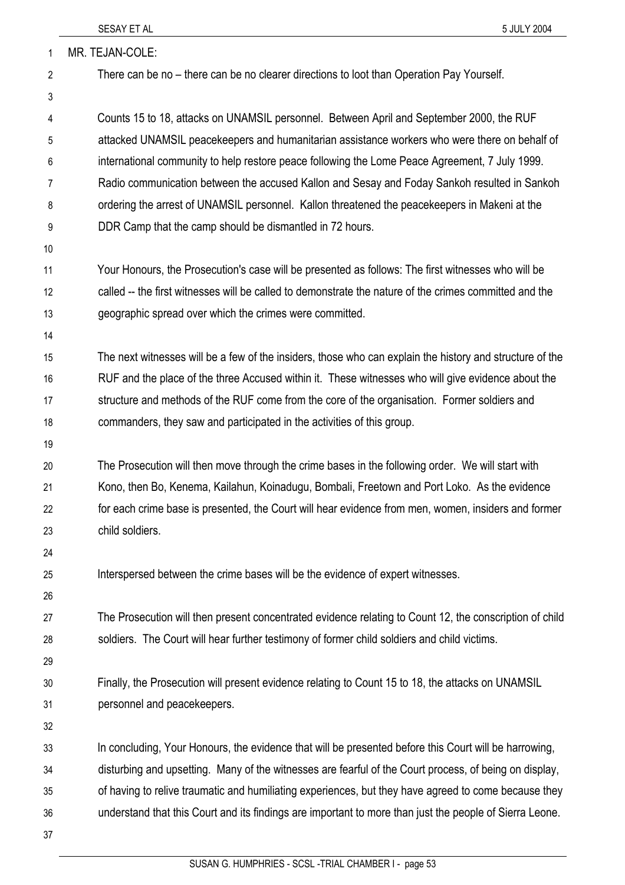| <b>SESAY ET AL</b> |  |
|--------------------|--|

| 1              | MR. TEJAN-COLE:                                                                                          |
|----------------|----------------------------------------------------------------------------------------------------------|
| $\overline{2}$ | There can be no – there can be no clearer directions to loot than Operation Pay Yourself.                |
| 3              |                                                                                                          |
| 4              | Counts 15 to 18, attacks on UNAMSIL personnel. Between April and September 2000, the RUF                 |
| 5              | attacked UNAMSIL peacekeepers and humanitarian assistance workers who were there on behalf of            |
| 6              | international community to help restore peace following the Lome Peace Agreement, 7 July 1999.           |
| $\overline{7}$ | Radio communication between the accused Kallon and Sesay and Foday Sankoh resulted in Sankoh             |
| 8              | ordering the arrest of UNAMSIL personnel. Kallon threatened the peacekeepers in Makeni at the            |
| 9              | DDR Camp that the camp should be dismantled in 72 hours.                                                 |
| 10             |                                                                                                          |
| 11             | Your Honours, the Prosecution's case will be presented as follows: The first witnesses who will be       |
| 12             | called -- the first witnesses will be called to demonstrate the nature of the crimes committed and the   |
| 13             | geographic spread over which the crimes were committed.                                                  |
| 14             |                                                                                                          |
| 15             | The next witnesses will be a few of the insiders, those who can explain the history and structure of the |
| 16             | RUF and the place of the three Accused within it. These witnesses who will give evidence about the       |
| 17             | structure and methods of the RUF come from the core of the organisation. Former soldiers and             |
| 18             | commanders, they saw and participated in the activities of this group.                                   |
| 19             |                                                                                                          |
| 20             | The Prosecution will then move through the crime bases in the following order. We will start with        |
| 21             | Kono, then Bo, Kenema, Kailahun, Koinadugu, Bombali, Freetown and Port Loko. As the evidence             |
| 22             | for each crime base is presented, the Court will hear evidence from men, women, insiders and former      |
| 23             | child soldiers.                                                                                          |
| 24             |                                                                                                          |
| 25             | Interspersed between the crime bases will be the evidence of expert witnesses.                           |
| 26             |                                                                                                          |
| 27             | The Prosecution will then present concentrated evidence relating to Count 12, the conscription of child  |
| 28             | soldiers. The Court will hear further testimony of former child soldiers and child victims.              |
| 29             |                                                                                                          |
| 30             | Finally, the Prosecution will present evidence relating to Count 15 to 18, the attacks on UNAMSIL        |
| 31             | personnel and peacekeepers.                                                                              |
| 32             |                                                                                                          |
| 33             | In concluding, Your Honours, the evidence that will be presented before this Court will be harrowing,    |
| 34             | disturbing and upsetting. Many of the witnesses are fearful of the Court process, of being on display,   |
| 35             | of having to relive traumatic and humiliating experiences, but they have agreed to come because they     |
| 36             | understand that this Court and its findings are important to more than just the people of Sierra Leone.  |
| 37             |                                                                                                          |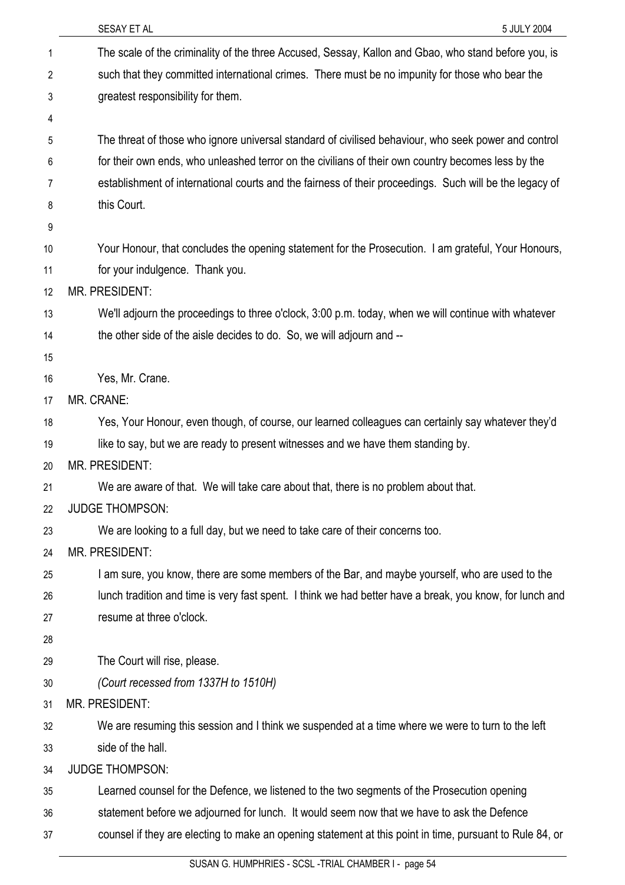|    | SESAY ET AL<br>5 JULY 2004                                                                               |
|----|----------------------------------------------------------------------------------------------------------|
| 1  | The scale of the criminality of the three Accused, Sessay, Kallon and Gbao, who stand before you, is     |
| 2  | such that they committed international crimes. There must be no impunity for those who bear the          |
| 3  | greatest responsibility for them.                                                                        |
| 4  |                                                                                                          |
| 5  | The threat of those who ignore universal standard of civilised behaviour, who seek power and control     |
| 6  | for their own ends, who unleashed terror on the civilians of their own country becomes less by the       |
| 7  | establishment of international courts and the fairness of their proceedings. Such will be the legacy of  |
| 8  | this Court.                                                                                              |
| 9  |                                                                                                          |
| 10 | Your Honour, that concludes the opening statement for the Prosecution. I am grateful, Your Honours,      |
| 11 | for your indulgence. Thank you.                                                                          |
| 12 | <b>MR. PRESIDENT:</b>                                                                                    |
| 13 | We'll adjourn the proceedings to three o'clock, 3:00 p.m. today, when we will continue with whatever     |
| 14 | the other side of the aisle decides to do. So, we will adjourn and --                                    |
| 15 |                                                                                                          |
| 16 | Yes, Mr. Crane.                                                                                          |
| 17 | MR. CRANE:                                                                                               |
| 18 | Yes, Your Honour, even though, of course, our learned colleagues can certainly say whatever they'd       |
| 19 | like to say, but we are ready to present witnesses and we have them standing by.                         |
| 20 | MR. PRESIDENT:                                                                                           |
| 21 | We are aware of that. We will take care about that, there is no problem about that.                      |
| 22 | <b>JUDGE THOMPSON:</b>                                                                                   |
| 23 | We are looking to a full day, but we need to take care of their concerns too.                            |
| 24 | MR. PRESIDENT:                                                                                           |
| 25 | I am sure, you know, there are some members of the Bar, and maybe yourself, who are used to the          |
| 26 | lunch tradition and time is very fast spent. I think we had better have a break, you know, for lunch and |
| 27 | resume at three o'clock.                                                                                 |
| 28 |                                                                                                          |
| 29 | The Court will rise, please.                                                                             |
| 30 | (Court recessed from 1337H to 1510H)                                                                     |
| 31 | MR. PRESIDENT:                                                                                           |
| 32 | We are resuming this session and I think we suspended at a time where we were to turn to the left        |
| 33 | side of the hall.                                                                                        |
| 34 | <b>JUDGE THOMPSON:</b>                                                                                   |
| 35 | Learned counsel for the Defence, we listened to the two segments of the Prosecution opening              |
| 36 | statement before we adjourned for lunch. It would seem now that we have to ask the Defence               |
| 37 | counsel if they are electing to make an opening statement at this point in time, pursuant to Rule 84, or |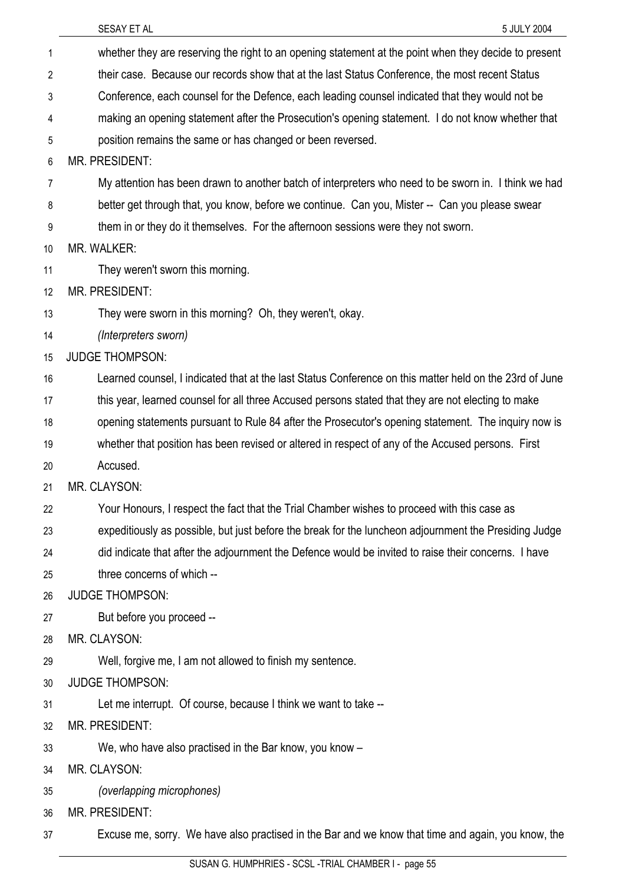| 1  | whether they are reserving the right to an opening statement at the point when they decide to present   |
|----|---------------------------------------------------------------------------------------------------------|
| 2  | their case. Because our records show that at the last Status Conference, the most recent Status         |
| 3  | Conference, each counsel for the Defence, each leading counsel indicated that they would not be         |
| 4  | making an opening statement after the Prosecution's opening statement. I do not know whether that       |
| 5  | position remains the same or has changed or been reversed.                                              |
| 6  | MR. PRESIDENT:                                                                                          |
| 7  | My attention has been drawn to another batch of interpreters who need to be sworn in. I think we had    |
| 8  | better get through that, you know, before we continue. Can you, Mister -- Can you please swear          |
| 9  | them in or they do it themselves. For the afternoon sessions were they not sworn.                       |
| 10 | <b>MR. WALKER:</b>                                                                                      |
| 11 | They weren't sworn this morning.                                                                        |
| 12 | MR. PRESIDENT:                                                                                          |
| 13 | They were sworn in this morning? Oh, they weren't, okay.                                                |
| 14 | (Interpreters sworn)                                                                                    |
| 15 | <b>JUDGE THOMPSON:</b>                                                                                  |
| 16 | Learned counsel, I indicated that at the last Status Conference on this matter held on the 23rd of June |
| 17 | this year, learned counsel for all three Accused persons stated that they are not electing to make      |
| 18 | opening statements pursuant to Rule 84 after the Prosecutor's opening statement. The inquiry now is     |
| 19 | whether that position has been revised or altered in respect of any of the Accused persons. First       |
| 20 | Accused.                                                                                                |
| 21 | MR. CLAYSON:                                                                                            |
| 22 | Your Honours, I respect the fact that the Trial Chamber wishes to proceed with this case as             |
| 23 | expeditiously as possible, but just before the break for the luncheon adjournment the Presiding Judge   |
| 24 | did indicate that after the adjournment the Defence would be invited to raise their concerns. I have    |
| 25 | three concerns of which --                                                                              |
| 26 | <b>JUDGE THOMPSON:</b>                                                                                  |
| 27 | But before you proceed --                                                                               |
| 28 | MR. CLAYSON:                                                                                            |
| 29 | Well, forgive me, I am not allowed to finish my sentence.                                               |
| 30 | <b>JUDGE THOMPSON:</b>                                                                                  |
| 31 | Let me interrupt. Of course, because I think we want to take --                                         |
| 32 | MR. PRESIDENT:                                                                                          |
| 33 | We, who have also practised in the Bar know, you know -                                                 |
| 34 | MR. CLAYSON:                                                                                            |
| 35 | (overlapping microphones)                                                                               |
| 36 | MR. PRESIDENT:                                                                                          |
| 37 | Excuse me, sorry. We have also practised in the Bar and we know that time and again, you know, the      |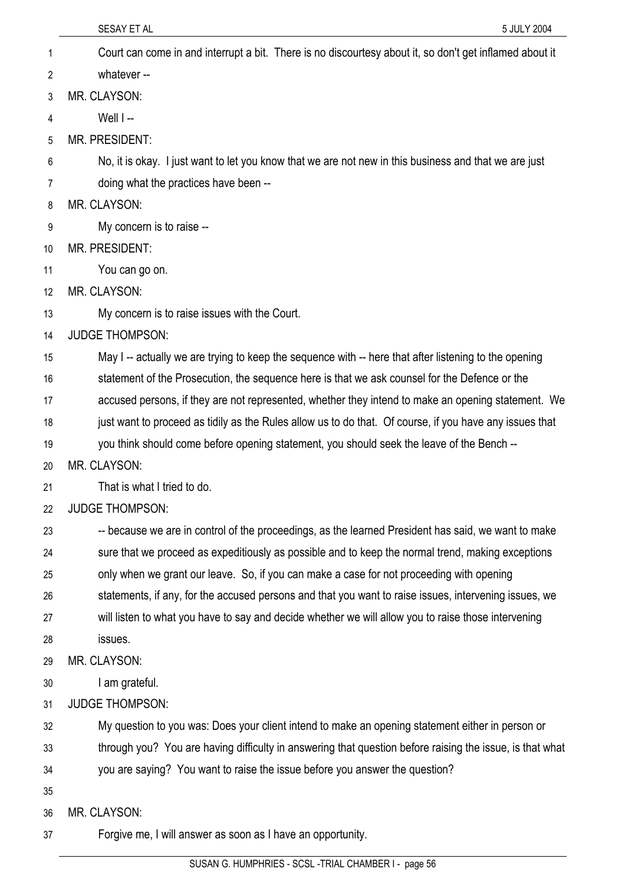| 1  | Court can come in and interrupt a bit. There is no discourtesy about it, so don't get inflamed about it  |
|----|----------------------------------------------------------------------------------------------------------|
| 2  | whatever --                                                                                              |
| 3  | MR. CLAYSON:                                                                                             |
| 4  | Well I-                                                                                                  |
| 5  | <b>MR. PRESIDENT:</b>                                                                                    |
| 6  | No, it is okay. I just want to let you know that we are not new in this business and that we are just    |
| 7  | doing what the practices have been --                                                                    |
| 8  | MR. CLAYSON:                                                                                             |
| 9  | My concern is to raise --                                                                                |
| 10 | <b>MR. PRESIDENT:</b>                                                                                    |
| 11 | You can go on.                                                                                           |
| 12 | MR. CLAYSON:                                                                                             |
| 13 | My concern is to raise issues with the Court.                                                            |
| 14 | <b>JUDGE THOMPSON:</b>                                                                                   |
| 15 | May I -- actually we are trying to keep the sequence with -- here that after listening to the opening    |
| 16 | statement of the Prosecution, the sequence here is that we ask counsel for the Defence or the            |
| 17 | accused persons, if they are not represented, whether they intend to make an opening statement. We       |
| 18 | just want to proceed as tidily as the Rules allow us to do that. Of course, if you have any issues that  |
| 19 | you think should come before opening statement, you should seek the leave of the Bench --                |
| 20 | MR. CLAYSON:                                                                                             |
| 21 | That is what I tried to do.                                                                              |
| 22 | <b>JUDGE THOMPSON:</b>                                                                                   |
| 23 | -- because we are in control of the proceedings, as the learned President has said, we want to make      |
| 24 | sure that we proceed as expeditiously as possible and to keep the normal trend, making exceptions        |
| 25 | only when we grant our leave. So, if you can make a case for not proceeding with opening                 |
| 26 | statements, if any, for the accused persons and that you want to raise issues, intervening issues, we    |
| 27 | will listen to what you have to say and decide whether we will allow you to raise those intervening      |
| 28 | issues.                                                                                                  |
| 29 | MR. CLAYSON:                                                                                             |
| 30 | I am grateful.                                                                                           |
| 31 | <b>JUDGE THOMPSON:</b>                                                                                   |
| 32 | My question to you was: Does your client intend to make an opening statement either in person or         |
| 33 | through you? You are having difficulty in answering that question before raising the issue, is that what |
| 34 | you are saying? You want to raise the issue before you answer the question?                              |
| 35 |                                                                                                          |
| 36 | MR. CLAYSON:                                                                                             |
| 37 | Forgive me, I will answer as soon as I have an opportunity.                                              |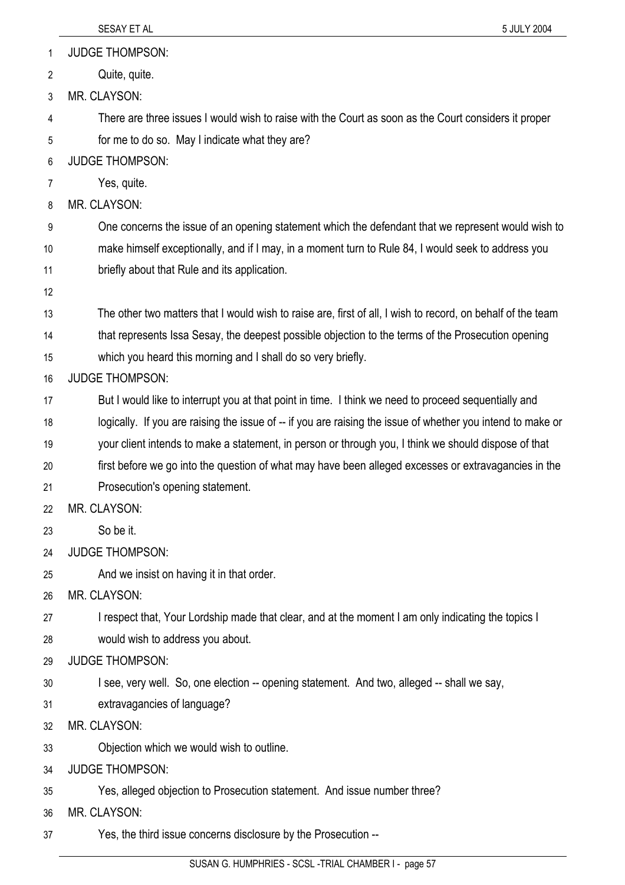|    | SESAY ET AL<br>5 JULY 2004                                                                                  |
|----|-------------------------------------------------------------------------------------------------------------|
| 1  | <b>JUDGE THOMPSON:</b>                                                                                      |
| 2  | Quite, quite.                                                                                               |
| 3  | MR. CLAYSON:                                                                                                |
| 4  | There are three issues I would wish to raise with the Court as soon as the Court considers it proper        |
| 5  | for me to do so. May I indicate what they are?                                                              |
| 6  | <b>JUDGE THOMPSON:</b>                                                                                      |
| 7  | Yes, quite.                                                                                                 |
| 8  | MR. CLAYSON:                                                                                                |
| 9  | One concerns the issue of an opening statement which the defendant that we represent would wish to          |
| 10 | make himself exceptionally, and if I may, in a moment turn to Rule 84, I would seek to address you          |
| 11 | briefly about that Rule and its application.                                                                |
| 12 |                                                                                                             |
| 13 | The other two matters that I would wish to raise are, first of all, I wish to record, on behalf of the team |
| 14 | that represents Issa Sesay, the deepest possible objection to the terms of the Prosecution opening          |
| 15 | which you heard this morning and I shall do so very briefly.                                                |
| 16 | <b>JUDGE THOMPSON:</b>                                                                                      |
| 17 | But I would like to interrupt you at that point in time. I think we need to proceed sequentially and        |
| 18 | logically. If you are raising the issue of -- if you are raising the issue of whether you intend to make or |
| 19 | your client intends to make a statement, in person or through you, I think we should dispose of that        |
| 20 | first before we go into the question of what may have been alleged excesses or extravagancies in the        |
| 21 | Prosecution's opening statement.                                                                            |
| 22 | MR. CLAYSON:                                                                                                |
| 23 | So be it.                                                                                                   |
| 24 | <b>JUDGE THOMPSON:</b>                                                                                      |
| 25 | And we insist on having it in that order.                                                                   |
| 26 | MR. CLAYSON:                                                                                                |
| 27 | I respect that, Your Lordship made that clear, and at the moment I am only indicating the topics I          |
| 28 | would wish to address you about.                                                                            |
| 29 | <b>JUDGE THOMPSON:</b>                                                                                      |
| 30 | I see, very well. So, one election -- opening statement. And two, alleged -- shall we say,                  |
| 31 | extravagancies of language?                                                                                 |
| 32 | MR. CLAYSON:                                                                                                |
| 33 | Objection which we would wish to outline.                                                                   |
| 34 | <b>JUDGE THOMPSON:</b>                                                                                      |
| 35 | Yes, alleged objection to Prosecution statement. And issue number three?                                    |
| 36 | MR. CLAYSON:                                                                                                |
| 37 | Yes, the third issue concerns disclosure by the Prosecution --                                              |
|    |                                                                                                             |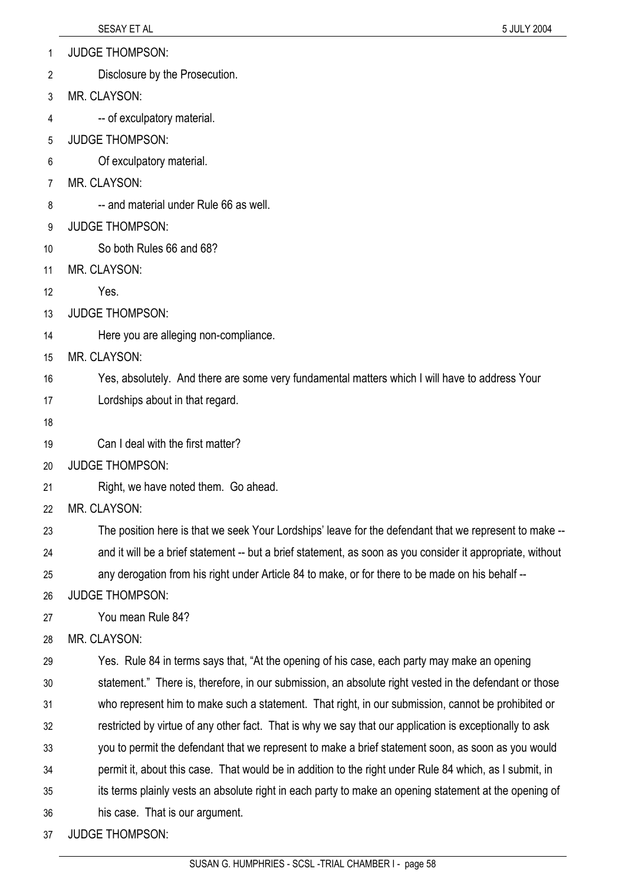- JUDGE THOMPSON: 1
- Disclosure by the Prosecution. 2
- 3 MR. CLAYSON:
- 4 -- of exculpatory material.
- 5 JUDGE THOMPSON:
- 6 Of exculpatory material.
- 7 MR. CLAYSON<sup>.</sup>
- 8 -- and material under Rule 66 as well.
- 9 JUDGE THOMPSON:
- 10 So both Rules 66 and 68?
- 11 MR. CLAYSON:
- 12 Yes.
- 13 JUDGE THOMPSON:
- 14 Here you are alleging non-compliance.
- 15 MR. CLAYSON:
- 16 Yes, absolutely. And there are some very fundamental matters which I will have to address Your
- 17 Lordships about in that regard.
- 18
- 19 Can I deal with the first matter?
- 20 JUDGE THOMPSON:
- 21 Right, we have noted them. Go ahead.
- 22 MR. CLAYSON:
- 23 The position here is that we seek Your Lordships' leave for the defendant that we represent to make --
- 24 and it will be a brief statement -- but a brief statement, as soon as you consider it appropriate, without
- 25 any derogation from his right under Article 84 to make, or for there to be made on his behalf --
- 26 JUDGE THOMPSON:
- 27 You mean Rule 84?
- 28 MR. CLAYSON:
- 29 30 31 32 33 Yes. Rule 84 in terms says that, "At the opening of his case, each party may make an opening statement." There is, therefore, in our submission, an absolute right vested in the defendant or those who represent him to make such a statement. That right, in our submission, cannot be prohibited or restricted by virtue of any other fact. That is why we say that our application is exceptionally to ask you to permit the defendant that we represent to make a brief statement soon, as soon as you would
- 34 permit it, about this case. That would be in addition to the right under Rule 84 which, as I submit, in
- 35 its terms plainly vests an absolute right in each party to make an opening statement at the opening of
- 36 his case. That is our argument.
- 37 JUDGE THOMPSON: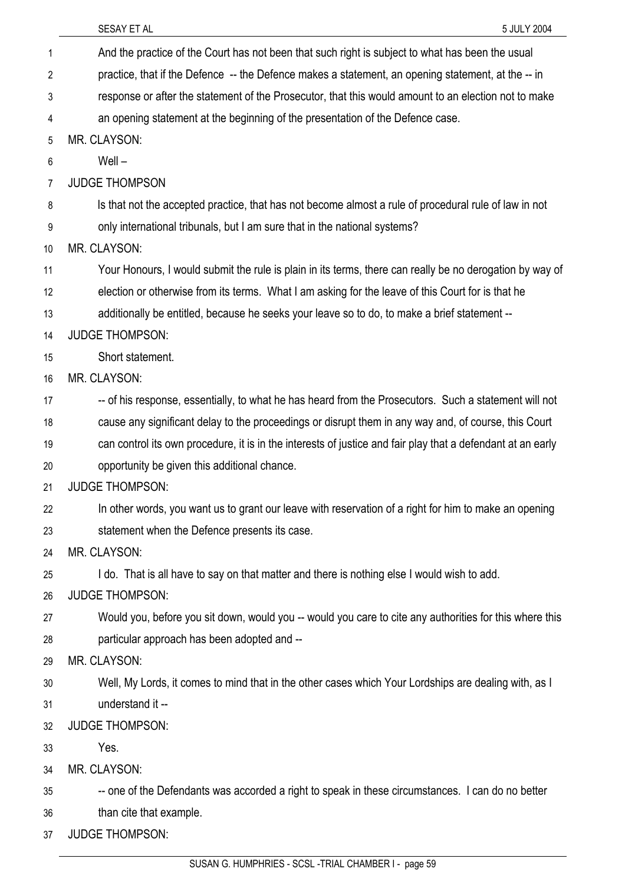| 1  | And the practice of the Court has not been that such right is subject to what has been the usual            |
|----|-------------------------------------------------------------------------------------------------------------|
| 2  | practice, that if the Defence -- the Defence makes a statement, an opening statement, at the -- in          |
| 3  | response or after the statement of the Prosecutor, that this would amount to an election not to make        |
| 4  | an opening statement at the beginning of the presentation of the Defence case.                              |
| 5  | MR. CLAYSON:                                                                                                |
| 6  | $Well -$                                                                                                    |
| 7  | <b>JUDGE THOMPSON</b>                                                                                       |
| 8  | Is that not the accepted practice, that has not become almost a rule of procedural rule of law in not       |
| 9  | only international tribunals, but I am sure that in the national systems?                                   |
| 10 | MR. CLAYSON:                                                                                                |
| 11 | Your Honours, I would submit the rule is plain in its terms, there can really be no derogation by way of    |
| 12 | election or otherwise from its terms. What I am asking for the leave of this Court for is that he           |
| 13 | additionally be entitled, because he seeks your leave so to do, to make a brief statement --                |
| 14 | <b>JUDGE THOMPSON:</b>                                                                                      |
| 15 | Short statement.                                                                                            |
| 16 | MR. CLAYSON:                                                                                                |
| 17 | -- of his response, essentially, to what he has heard from the Prosecutors. Such a statement will not       |
| 18 | cause any significant delay to the proceedings or disrupt them in any way and, of course, this Court        |
| 19 | can control its own procedure, it is in the interests of justice and fair play that a defendant at an early |
| 20 | opportunity be given this additional chance.                                                                |
| 21 | <b>JUDGE THOMPSON:</b>                                                                                      |
| 22 | In other words, you want us to grant our leave with reservation of a right for him to make an opening       |
| 23 | statement when the Defence presents its case.                                                               |
| 24 | MR. CLAYSON:                                                                                                |
| 25 | I do. That is all have to say on that matter and there is nothing else I would wish to add.                 |
| 26 | <b>JUDGE THOMPSON:</b>                                                                                      |
| 27 | Would you, before you sit down, would you -- would you care to cite any authorities for this where this     |
| 28 | particular approach has been adopted and --                                                                 |
| 29 | MR. CLAYSON:                                                                                                |
| 30 | Well, My Lords, it comes to mind that in the other cases which Your Lordships are dealing with, as I        |
| 31 | understand it --                                                                                            |
| 32 | <b>JUDGE THOMPSON:</b>                                                                                      |
| 33 | Yes.                                                                                                        |
| 34 | MR. CLAYSON:                                                                                                |
| 35 | -- one of the Defendants was accorded a right to speak in these circumstances. I can do no better           |
|    |                                                                                                             |

- 36 than cite that example.
- 37 JUDGE THOMPSON: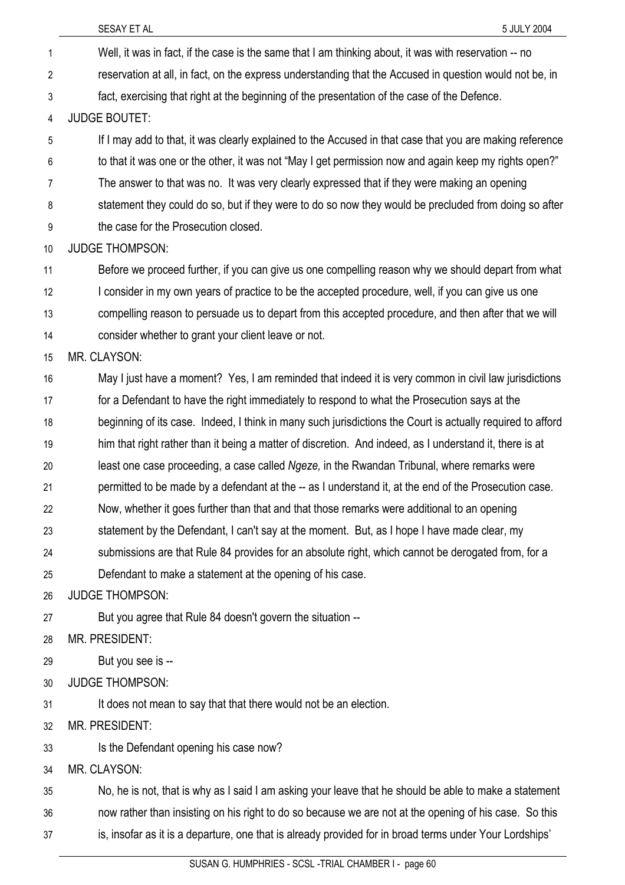Well, it was in fact, if the case is the same that I am thinking about, it was with reservation -- no reservation at all, in fact, on the express understanding that the Accused in question would not be, in fact, exercising that right at the beginning of the presentation of the case of the Defence. 1 2 3 4 5 6 7 8 9 10 11 12 13 14 15 16 17 18 19 20 21 22 23 24 25 26 27 28 29 30 31 32 33 34 35 JUDGE BOUTET: If I may add to that, it was clearly explained to the Accused in that case that you are making reference to that it was one or the other, it was not "May I get permission now and again keep my rights open?" The answer to that was no. It was very clearly expressed that if they were making an opening statement they could do so, but if they were to do so now they would be precluded from doing so after the case for the Prosecution closed. JUDGE THOMPSON: Before we proceed further, if you can give us one compelling reason why we should depart from what I consider in my own years of practice to be the accepted procedure, well, if you can give us one compelling reason to persuade us to depart from this accepted procedure, and then after that we will consider whether to grant your client leave or not. MR. CLAYSON: May I just have a moment? Yes, I am reminded that indeed it is very common in civil law jurisdictions for a Defendant to have the right immediately to respond to what the Prosecution says at the beginning of its case. Indeed, I think in many such jurisdictions the Court is actually required to afford him that right rather than it being a matter of discretion. And indeed, as I understand it, there is at least one case proceeding, a case called *Ngeze,* in the Rwandan Tribunal, where remarks were permitted to be made by a defendant at the -- as I understand it, at the end of the Prosecution case. Now, whether it goes further than that and that those remarks were additional to an opening statement by the Defendant, I can't say at the moment. But, as I hope I have made clear, my submissions are that Rule 84 provides for an absolute right, which cannot be derogated from, for a Defendant to make a statement at the opening of his case. JUDGE THOMPSON: But you agree that Rule 84 doesn't govern the situation -- MR. PRESIDENT: But you see is -- JUDGE THOMPSON: It does not mean to say that that there would not be an election. MR. PRESIDENT: Is the Defendant opening his case now? MR. CLAYSON: No, he is not, that is why as I said I am asking your leave that he should be able to make a statement

36 now rather than insisting on his right to do so because we are not at the opening of his case. So this

37 is, insofar as it is a departure, one that is already provided for in broad terms under Your Lordships'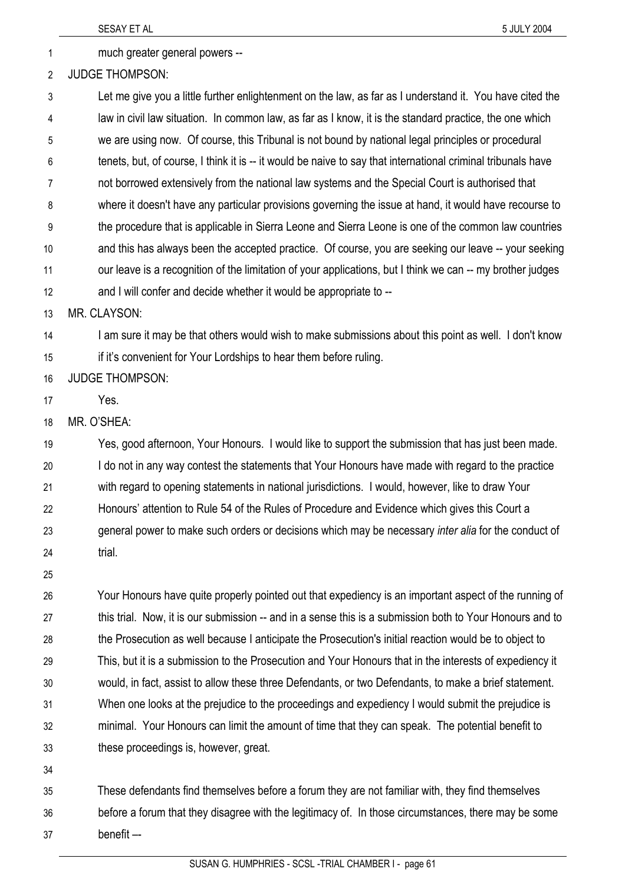1 much greater general powers --

2 JUDGE THOMPSON:

3 4 5 6 7 8 9 10 11 12 Let me give you a little further enlightenment on the law, as far as I understand it. You have cited the law in civil law situation. In common law, as far as I know, it is the standard practice, the one which we are using now. Of course, this Tribunal is not bound by national legal principles or procedural tenets, but, of course, I think it is -- it would be naive to say that international criminal tribunals have not borrowed extensively from the national law systems and the Special Court is authorised that where it doesn't have any particular provisions governing the issue at hand, it would have recourse to the procedure that is applicable in Sierra Leone and Sierra Leone is one of the common law countries and this has always been the accepted practice. Of course, you are seeking our leave -- your seeking our leave is a recognition of the limitation of your applications, but I think we can -- my brother judges and I will confer and decide whether it would be appropriate to --

13 MR. CLAYSON:

14 15 I am sure it may be that others would wish to make submissions about this point as well. I don't know if it's convenient for Your Lordships to hear them before ruling.

16 JUDGE THOMPSON:

17 Yes.

18 MR. O'SHEA:

19 20 21 22 23 24 Yes, good afternoon, Your Honours. I would like to support the submission that has just been made. I do not in any way contest the statements that Your Honours have made with regard to the practice with regard to opening statements in national jurisdictions. I would, however, like to draw Your Honours' attention to Rule 54 of the Rules of Procedure and Evidence which gives this Court a general power to make such orders or decisions which may be necessary *inter alia* for the conduct of trial.

25

26 27 28 29 30 31 32 33 Your Honours have quite properly pointed out that expediency is an important aspect of the running of this trial. Now, it is our submission -- and in a sense this is a submission both to Your Honours and to the Prosecution as well because I anticipate the Prosecution's initial reaction would be to object to This, but it is a submission to the Prosecution and Your Honours that in the interests of expediency it would, in fact, assist to allow these three Defendants, or two Defendants, to make a brief statement. When one looks at the prejudice to the proceedings and expediency I would submit the prejudice is minimal. Your Honours can limit the amount of time that they can speak. The potential benefit to these proceedings is, however, great.

34

35 36 37 These defendants find themselves before a forum they are not familiar with, they find themselves before a forum that they disagree with the legitimacy of. In those circumstances, there may be some benefit –-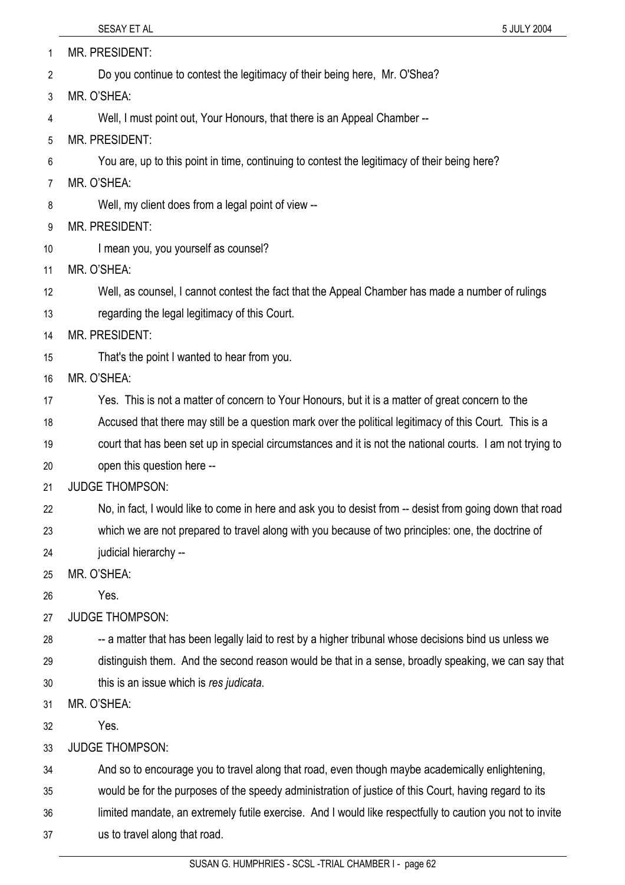|    | SESAY ET AL<br>5 JULY 2004                                                                                |
|----|-----------------------------------------------------------------------------------------------------------|
| 1  | MR. PRESIDENT:                                                                                            |
| 2  | Do you continue to contest the legitimacy of their being here, Mr. O'Shea?                                |
| 3  | MR. O'SHEA:                                                                                               |
| 4  | Well, I must point out, Your Honours, that there is an Appeal Chamber --                                  |
| 5  | <b>MR. PRESIDENT:</b>                                                                                     |
| 6  | You are, up to this point in time, continuing to contest the legitimacy of their being here?              |
| 7  | MR. O'SHEA:                                                                                               |
| 8  | Well, my client does from a legal point of view --                                                        |
| 9  | MR. PRESIDENT:                                                                                            |
| 10 | I mean you, you yourself as counsel?                                                                      |
| 11 | MR. O'SHEA:                                                                                               |
| 12 | Well, as counsel, I cannot contest the fact that the Appeal Chamber has made a number of rulings          |
| 13 | regarding the legal legitimacy of this Court.                                                             |
| 14 | MR. PRESIDENT:                                                                                            |
| 15 | That's the point I wanted to hear from you.                                                               |
| 16 | MR. O'SHEA:                                                                                               |
| 17 | Yes. This is not a matter of concern to Your Honours, but it is a matter of great concern to the          |
| 18 | Accused that there may still be a question mark over the political legitimacy of this Court. This is a    |
| 19 | court that has been set up in special circumstances and it is not the national courts. I am not trying to |
| 20 | open this question here --                                                                                |
| 21 | <b>JUDGE THOMPSON:</b>                                                                                    |
| 22 | No, in fact, I would like to come in here and ask you to desist from -- desist from going down that road  |
| 23 | which we are not prepared to travel along with you because of two principles: one, the doctrine of        |
| 24 | judicial hierarchy --                                                                                     |
| 25 | MR. O'SHEA:                                                                                               |
| 26 | Yes.                                                                                                      |
| 27 | <b>JUDGE THOMPSON:</b>                                                                                    |
| 28 | -- a matter that has been legally laid to rest by a higher tribunal whose decisions bind us unless we     |
| 29 | distinguish them. And the second reason would be that in a sense, broadly speaking, we can say that       |
| 30 | this is an issue which is res judicata.                                                                   |
| 31 | MR. O'SHEA:                                                                                               |
| 32 | Yes.                                                                                                      |
| 33 | <b>JUDGE THOMPSON:</b>                                                                                    |
| 34 | And so to encourage you to travel along that road, even though maybe academically enlightening,           |
| 35 | would be for the purposes of the speedy administration of justice of this Court, having regard to its     |
| 36 | limited mandate, an extremely futile exercise. And I would like respectfully to caution you not to invite |

37 us to travel along that road.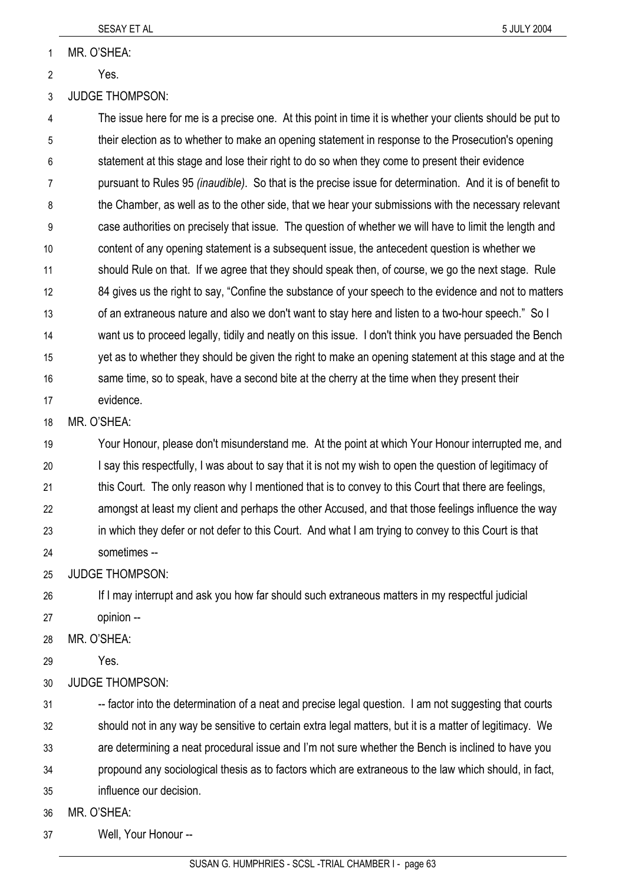MR. O'SHEA: 1

Yes. 2

3 JUDGE THOMPSON:

4 5 6 7 8 9 10 11 12 13 14 15 16 17 The issue here for me is a precise one. At this point in time it is whether your clients should be put to their election as to whether to make an opening statement in response to the Prosecution's opening statement at this stage and lose their right to do so when they come to present their evidence pursuant to Rules 95 *(inaudible)*. So that is the precise issue for determination. And it is of benefit to the Chamber, as well as to the other side, that we hear your submissions with the necessary relevant case authorities on precisely that issue. The question of whether we will have to limit the length and content of any opening statement is a subsequent issue, the antecedent question is whether we should Rule on that. If we agree that they should speak then, of course, we go the next stage. Rule 84 gives us the right to say, "Confine the substance of your speech to the evidence and not to matters of an extraneous nature and also we don't want to stay here and listen to a two-hour speech." So I want us to proceed legally, tidily and neatly on this issue. I don't think you have persuaded the Bench yet as to whether they should be given the right to make an opening statement at this stage and at the same time, so to speak, have a second bite at the cherry at the time when they present their evidence.

18 MR. O'SHEA:

19 20 21 22 23 24 Your Honour, please don't misunderstand me. At the point at which Your Honour interrupted me, and I say this respectfully, I was about to say that it is not my wish to open the question of legitimacy of this Court. The only reason why I mentioned that is to convey to this Court that there are feelings, amongst at least my client and perhaps the other Accused, and that those feelings influence the way in which they defer or not defer to this Court. And what I am trying to convey to this Court is that sometimes --

25 JUDGE THOMPSON:

26 If I may interrupt and ask you how far should such extraneous matters in my respectful judicial

27 opinion --

28 MR. O'SHEA:

29 Yes.

30 JUDGE THOMPSON:

31 32 33 34 35 -- factor into the determination of a neat and precise legal question. I am not suggesting that courts should not in any way be sensitive to certain extra legal matters, but it is a matter of legitimacy. We are determining a neat procedural issue and I'm not sure whether the Bench is inclined to have you propound any sociological thesis as to factors which are extraneous to the law which should, in fact, influence our decision.

36 MR. O'SHEA:

37 Well, Your Honour --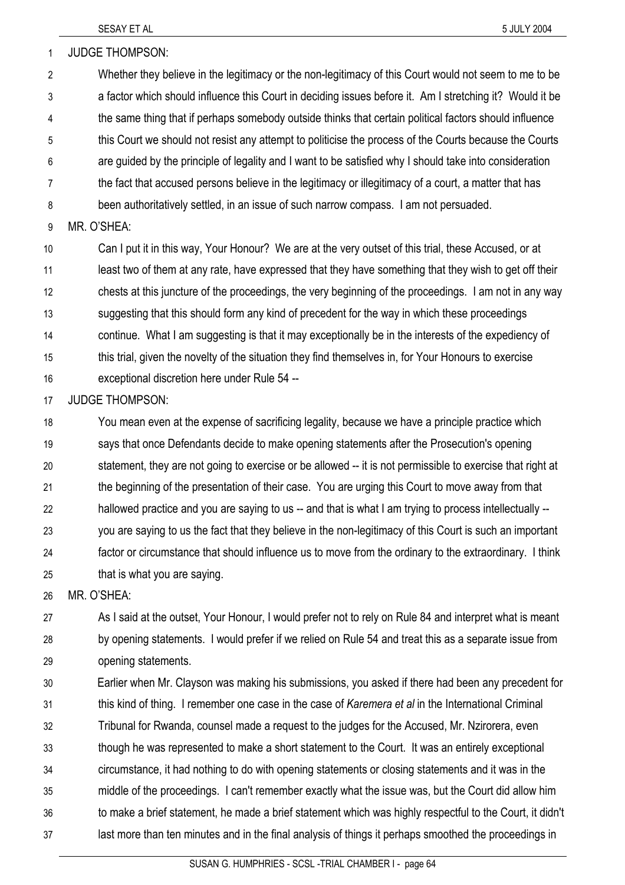JUDGE THOMPSON: 1

Whether they believe in the legitimacy or the non-legitimacy of this Court would not seem to me to be a factor which should influence this Court in deciding issues before it. Am I stretching it? Would it be the same thing that if perhaps somebody outside thinks that certain political factors should influence this Court we should not resist any attempt to politicise the process of the Courts because the Courts are guided by the principle of legality and I want to be satisfied why I should take into consideration the fact that accused persons believe in the legitimacy or illegitimacy of a court, a matter that has been authoritatively settled, in an issue of such narrow compass. I am not persuaded. 2 3 4 5 6 7 8

9 MR. O'SHEA:

10 11 12 13 14 15 16 Can I put it in this way, Your Honour? We are at the very outset of this trial, these Accused, or at least two of them at any rate, have expressed that they have something that they wish to get off their chests at this juncture of the proceedings, the very beginning of the proceedings. I am not in any way suggesting that this should form any kind of precedent for the way in which these proceedings continue. What I am suggesting is that it may exceptionally be in the interests of the expediency of this trial, given the novelty of the situation they find themselves in, for Your Honours to exercise exceptional discretion here under Rule 54 --

17 JUDGE THOMPSON:

18 19 20 21 22 23 24 25 You mean even at the expense of sacrificing legality, because we have a principle practice which says that once Defendants decide to make opening statements after the Prosecution's opening statement, they are not going to exercise or be allowed -- it is not permissible to exercise that right at the beginning of the presentation of their case. You are urging this Court to move away from that hallowed practice and you are saying to us -- and that is what I am trying to process intellectually -you are saying to us the fact that they believe in the non-legitimacy of this Court is such an important factor or circumstance that should influence us to move from the ordinary to the extraordinary. I think that is what you are saying.

26 MR. O'SHEA:

27 28 29 As I said at the outset, Your Honour, I would prefer not to rely on Rule 84 and interpret what is meant by opening statements. I would prefer if we relied on Rule 54 and treat this as a separate issue from opening statements.

30 31 32 33 34 35 36 37 Earlier when Mr. Clayson was making his submissions, you asked if there had been any precedent for this kind of thing. I remember one case in the case of *Karemera et al* in the International Criminal Tribunal for Rwanda, counsel made a request to the judges for the Accused, Mr. Nzirorera, even though he was represented to make a short statement to the Court. It was an entirely exceptional circumstance, it had nothing to do with opening statements or closing statements and it was in the middle of the proceedings. I can't remember exactly what the issue was, but the Court did allow him to make a brief statement, he made a brief statement which was highly respectful to the Court, it didn't last more than ten minutes and in the final analysis of things it perhaps smoothed the proceedings in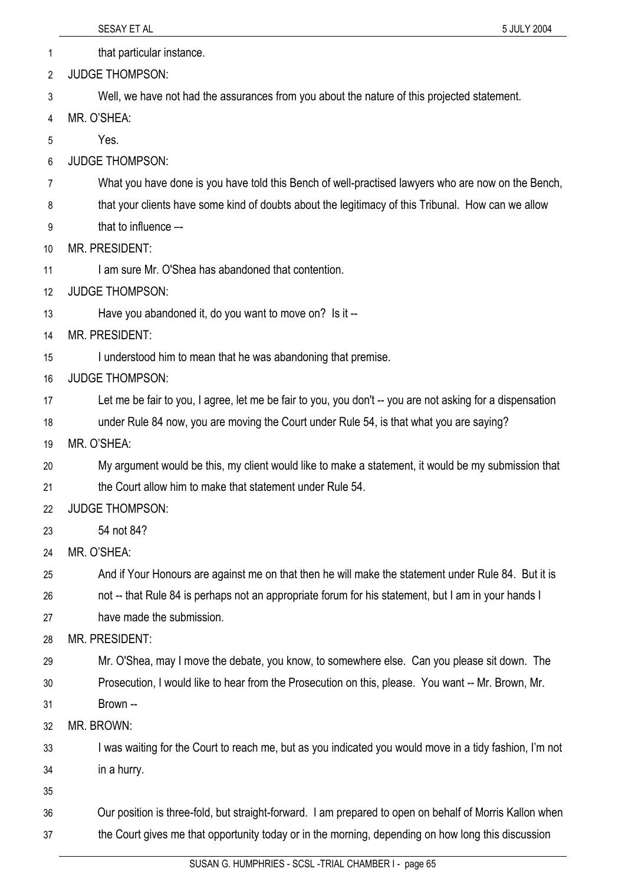|    | SESAY ET AL<br>5 JULY 2004                                                                                |
|----|-----------------------------------------------------------------------------------------------------------|
| 1  | that particular instance.                                                                                 |
| 2  | <b>JUDGE THOMPSON:</b>                                                                                    |
| 3  | Well, we have not had the assurances from you about the nature of this projected statement.               |
| 4  | MR. O'SHEA:                                                                                               |
| 5  | Yes.                                                                                                      |
| 6  | <b>JUDGE THOMPSON:</b>                                                                                    |
| 7  | What you have done is you have told this Bench of well-practised lawyers who are now on the Bench,        |
| 8  | that your clients have some kind of doubts about the legitimacy of this Tribunal. How can we allow        |
| 9  | that to influence --                                                                                      |
| 10 | MR. PRESIDENT:                                                                                            |
| 11 | I am sure Mr. O'Shea has abandoned that contention.                                                       |
| 12 | <b>JUDGE THOMPSON:</b>                                                                                    |
| 13 | Have you abandoned it, do you want to move on? Is it --                                                   |
| 14 | <b>MR. PRESIDENT:</b>                                                                                     |
| 15 | I understood him to mean that he was abandoning that premise.                                             |
| 16 | <b>JUDGE THOMPSON:</b>                                                                                    |
| 17 | Let me be fair to you, I agree, let me be fair to you, you don't -- you are not asking for a dispensation |
| 18 | under Rule 84 now, you are moving the Court under Rule 54, is that what you are saying?                   |
| 19 | MR. O'SHEA:                                                                                               |
| 20 | My argument would be this, my client would like to make a statement, it would be my submission that       |
| 21 | the Court allow him to make that statement under Rule 54.                                                 |
| 22 | <b>JUDGE THOMPSON:</b>                                                                                    |
| 23 | 54 not 84?                                                                                                |
| 24 | MR. O'SHEA:                                                                                               |
| 25 | And if Your Honours are against me on that then he will make the statement under Rule 84. But it is       |
| 26 | not -- that Rule 84 is perhaps not an appropriate forum for his statement, but I am in your hands I       |
| 27 | have made the submission.                                                                                 |
| 28 | MR. PRESIDENT:                                                                                            |
| 29 | Mr. O'Shea, may I move the debate, you know, to somewhere else. Can you please sit down. The              |
| 30 | Prosecution, I would like to hear from the Prosecution on this, please. You want -- Mr. Brown, Mr.        |
| 31 | Brown --                                                                                                  |
| 32 | MR. BROWN:                                                                                                |
| 33 | I was waiting for the Court to reach me, but as you indicated you would move in a tidy fashion, I'm not   |
| 34 | in a hurry.                                                                                               |
| 35 |                                                                                                           |
| 36 | Our position is three-fold, but straight-forward. I am prepared to open on behalf of Morris Kallon when   |
| 37 | the Court gives me that opportunity today or in the morning, depending on how long this discussion        |
|    |                                                                                                           |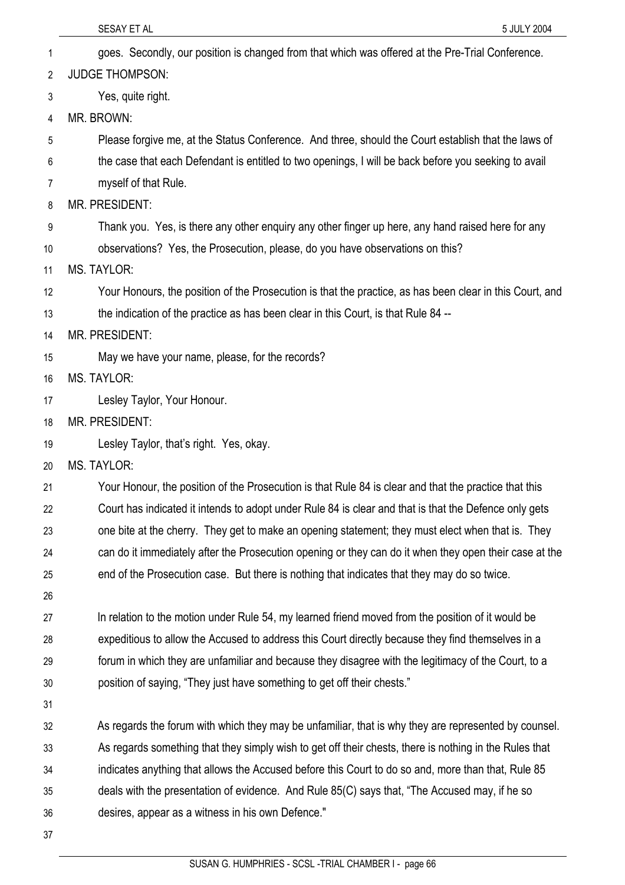| 1              | goes. Secondly, our position is changed from that which was offered at the Pre-Trial Conference.         |
|----------------|----------------------------------------------------------------------------------------------------------|
| $\overline{2}$ | <b>JUDGE THOMPSON:</b>                                                                                   |
| 3              | Yes, quite right.                                                                                        |
| 4              | MR. BROWN:                                                                                               |
| 5              | Please forgive me, at the Status Conference. And three, should the Court establish that the laws of      |
| 6              | the case that each Defendant is entitled to two openings, I will be back before you seeking to avail     |
| 7              | myself of that Rule.                                                                                     |
| 8              | MR. PRESIDENT:                                                                                           |
| 9              | Thank you. Yes, is there any other enguiry any other finger up here, any hand raised here for any        |
| 10             | observations? Yes, the Prosecution, please, do you have observations on this?                            |
| 11             | <b>MS. TAYLOR:</b>                                                                                       |
| 12             | Your Honours, the position of the Prosecution is that the practice, as has been clear in this Court, and |
| 13             | the indication of the practice as has been clear in this Court, is that Rule 84 -                        |
| 14             | <b>MR. PRESIDENT:</b>                                                                                    |
| 15             | May we have your name, please, for the records?                                                          |
| 16             | <b>MS. TAYLOR:</b>                                                                                       |
| 17             | Lesley Taylor, Your Honour.                                                                              |
| 18             | <b>MR. PRESIDENT:</b>                                                                                    |
| 19             | Lesley Taylor, that's right. Yes, okay.                                                                  |
| 20             | <b>MS. TAYLOR:</b>                                                                                       |
| 21             | Your Honour, the position of the Prosecution is that Rule 84 is clear and that the practice that this    |
| 22             | Court has indicated it intends to adopt under Rule 84 is clear and that is that the Defence only gets    |
| 23             | one bite at the cherry. They get to make an opening statement; they must elect when that is. They        |
| 24             | can do it immediately after the Prosecution opening or they can do it when they open their case at the   |
| 25             | end of the Prosecution case. But there is nothing that indicates that they may do so twice.              |
| 26             |                                                                                                          |
| 27             | In relation to the motion under Rule 54, my learned friend moved from the position of it would be        |
| 28             | expeditious to allow the Accused to address this Court directly because they find themselves in a        |
| 29             | forum in which they are unfamiliar and because they disagree with the legitimacy of the Court, to a      |
| 30             | position of saying, "They just have something to get off their chests."                                  |
| 31             |                                                                                                          |
| 32             | As regards the forum with which they may be unfamiliar, that is why they are represented by counsel.     |
| 33             | As regards something that they simply wish to get off their chests, there is nothing in the Rules that   |
| 34             | indicates anything that allows the Accused before this Court to do so and, more than that, Rule 85       |
| 35             | deals with the presentation of evidence. And Rule 85(C) says that, "The Accused may, if he so            |
| 36             | desires, appear as a witness in his own Defence."                                                        |
| 37             |                                                                                                          |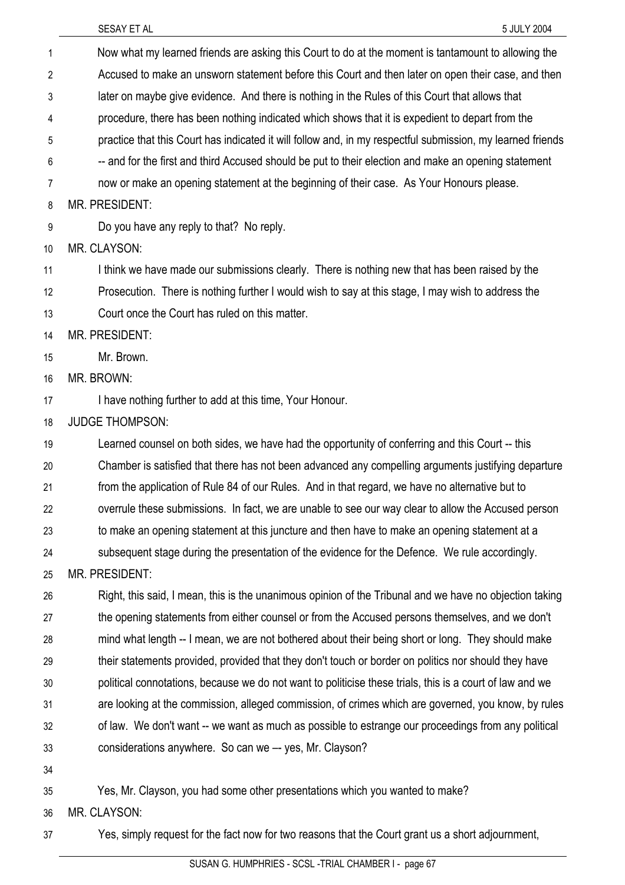Now what my learned friends are asking this Court to do at the moment is tantamount to allowing the Accused to make an unsworn statement before this Court and then later on open their case, and then later on maybe give evidence. And there is nothing in the Rules of this Court that allows that procedure, there has been nothing indicated which shows that it is expedient to depart from the practice that this Court has indicated it will follow and, in my respectful submission, my learned friends -- and for the first and third Accused should be put to their election and make an opening statement now or make an opening statement at the beginning of their case. As Your Honours please. 1 2 3 4 5 6 7 8 9 10 11 12 13 14 15 16 17 18 19 20 21 22 23 24 25 26 27 28 29 30 31 32 33 34 35 MR. PRESIDENT: Do you have any reply to that? No reply. MR. CLAYSON: I think we have made our submissions clearly. There is nothing new that has been raised by the Prosecution. There is nothing further I would wish to say at this stage, I may wish to address the Court once the Court has ruled on this matter. MR. PRESIDENT: Mr. Brown. MR. BROWN: I have nothing further to add at this time, Your Honour. JUDGE THOMPSON: Learned counsel on both sides, we have had the opportunity of conferring and this Court -- this Chamber is satisfied that there has not been advanced any compelling arguments justifying departure from the application of Rule 84 of our Rules. And in that regard, we have no alternative but to overrule these submissions. In fact, we are unable to see our way clear to allow the Accused person to make an opening statement at this juncture and then have to make an opening statement at a subsequent stage during the presentation of the evidence for the Defence. We rule accordingly. MR. PRESIDENT: Right, this said, I mean, this is the unanimous opinion of the Tribunal and we have no objection taking the opening statements from either counsel or from the Accused persons themselves, and we don't mind what length -- I mean, we are not bothered about their being short or long. They should make their statements provided, provided that they don't touch or border on politics nor should they have political connotations, because we do not want to politicise these trials, this is a court of law and we are looking at the commission, alleged commission, of crimes which are governed, you know, by rules of law. We don't want -- we want as much as possible to estrange our proceedings from any political considerations anywhere. So can we –- yes, Mr. Clayson? Yes, Mr. Clayson, you had some other presentations which you wanted to make?

36 MR. CLAYSON:

37 Yes, simply request for the fact now for two reasons that the Court grant us a short adjournment,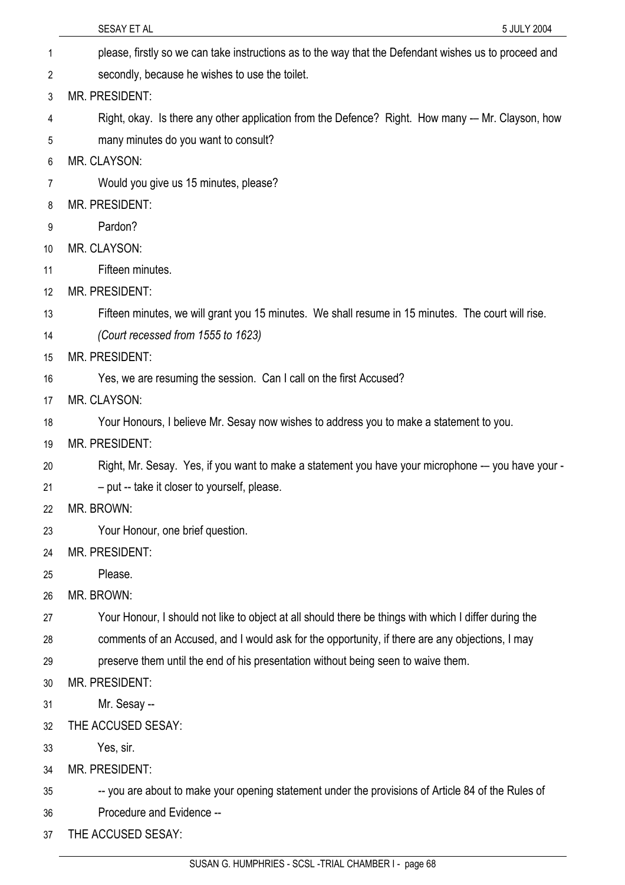|          | <b>SESAY ET AL</b><br>5 JULY 2004                                                                     |
|----------|-------------------------------------------------------------------------------------------------------|
| 1        | please, firstly so we can take instructions as to the way that the Defendant wishes us to proceed and |
| 2        | secondly, because he wishes to use the toilet.                                                        |
| 3        | MR. PRESIDENT:                                                                                        |
| 4        | Right, okay. Is there any other application from the Defence? Right. How many -- Mr. Clayson, how     |
| 5        | many minutes do you want to consult?                                                                  |
| 6        | MR. CLAYSON:                                                                                          |
| 7        | Would you give us 15 minutes, please?                                                                 |
| 8        | <b>MR. PRESIDENT:</b>                                                                                 |
| 9        | Pardon?                                                                                               |
| 10       | MR. CLAYSON:                                                                                          |
| 11       | Fifteen minutes.                                                                                      |
| 12       | <b>MR. PRESIDENT:</b>                                                                                 |
| 13       | Fifteen minutes, we will grant you 15 minutes. We shall resume in 15 minutes. The court will rise.    |
| 14       | (Court recessed from 1555 to 1623)                                                                    |
| 15       | <b>MR. PRESIDENT:</b>                                                                                 |
| 16       | Yes, we are resuming the session. Can I call on the first Accused?                                    |
| 17       | MR. CLAYSON:                                                                                          |
| 18       | Your Honours, I believe Mr. Sesay now wishes to address you to make a statement to you.               |
| 19       | <b>MR. PRESIDENT:</b>                                                                                 |
| 20       | Right, Mr. Sesay. Yes, if you want to make a statement you have your microphone -- you have your -    |
| 21       | - put -- take it closer to yourself, please.                                                          |
| 22       | MR. BROWN:                                                                                            |
| 23       | Your Honour, one brief question.                                                                      |
| 24       | MR. PRESIDENT:                                                                                        |
| 25       | Please.                                                                                               |
| 26       | MR. BROWN:                                                                                            |
| 27       | Your Honour, I should not like to object at all should there be things with which I differ during the |
| 28       | comments of an Accused, and I would ask for the opportunity, if there are any objections, I may       |
| 29       | preserve them until the end of his presentation without being seen to waive them.                     |
| 30       | <b>MR. PRESIDENT:</b>                                                                                 |
| 31       | Mr. Sesay --                                                                                          |
| 32       | THE ACCUSED SESAY:                                                                                    |
| 33       | Yes, sir.                                                                                             |
| 34       | <b>MR. PRESIDENT:</b>                                                                                 |
| 35       | -- you are about to make your opening statement under the provisions of Article 84 of the Rules of    |
| 36<br>27 | Procedure and Evidence --<br>THE ACCHICED CECAV-                                                      |
|          |                                                                                                       |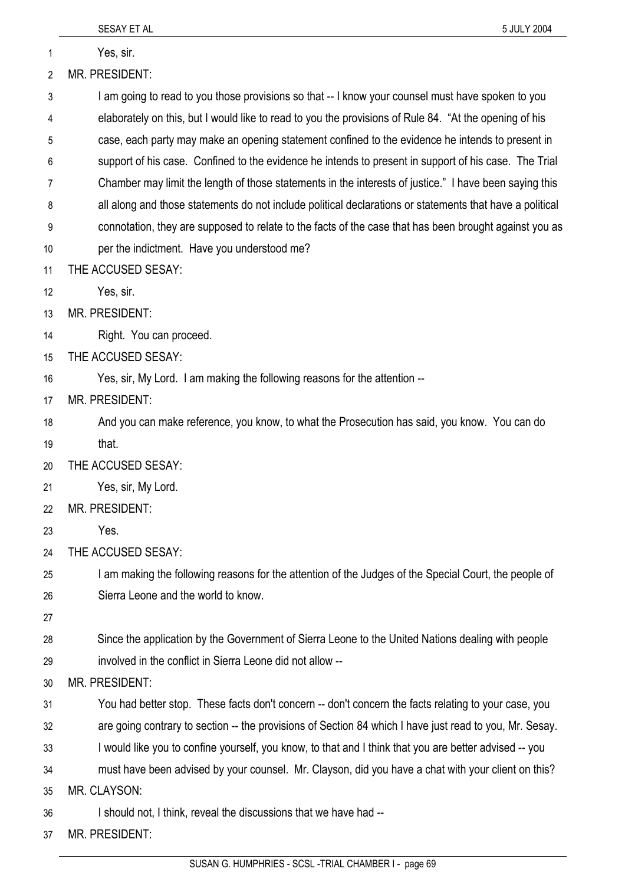|    | SESAY ET AL<br>5 JULY 2004                                                                               |
|----|----------------------------------------------------------------------------------------------------------|
| 1  | Yes, sir.                                                                                                |
| 2  | MR. PRESIDENT:                                                                                           |
| 3  | I am going to read to you those provisions so that -- I know your counsel must have spoken to you        |
| 4  | elaborately on this, but I would like to read to you the provisions of Rule 84. "At the opening of his   |
| 5  | case, each party may make an opening statement confined to the evidence he intends to present in         |
| 6  | support of his case. Confined to the evidence he intends to present in support of his case. The Trial    |
| 7  | Chamber may limit the length of those statements in the interests of justice." I have been saying this   |
| 8  | all along and those statements do not include political declarations or statements that have a political |
| 9  | connotation, they are supposed to relate to the facts of the case that has been brought against you as   |
| 10 | per the indictment. Have you understood me?                                                              |
| 11 | THE ACCUSED SESAY:                                                                                       |
| 12 | Yes, sir.                                                                                                |
| 13 | MR. PRESIDENT:                                                                                           |
| 14 | Right. You can proceed.                                                                                  |
| 15 | THE ACCUSED SESAY:                                                                                       |
| 16 | Yes, sir, My Lord. I am making the following reasons for the attention --                                |
| 17 | <b>MR. PRESIDENT:</b>                                                                                    |
| 18 | And you can make reference, you know, to what the Prosecution has said, you know. You can do             |
| 19 | that.                                                                                                    |
| 20 | THE ACCUSED SESAY:                                                                                       |
| 21 | Yes, sir, My Lord.                                                                                       |
| 22 | MR. PRESIDENT:                                                                                           |
| 23 | Yes.                                                                                                     |
| 24 | THE ACCUSED SESAY:                                                                                       |
| 25 | I am making the following reasons for the attention of the Judges of the Special Court, the people of    |
| 26 | Sierra Leone and the world to know.                                                                      |
| 27 |                                                                                                          |
| 28 | Since the application by the Government of Sierra Leone to the United Nations dealing with people        |
| 29 | involved in the conflict in Sierra Leone did not allow --                                                |
| 30 | MR. PRESIDENT:                                                                                           |
| 31 | You had better stop. These facts don't concern -- don't concern the facts relating to your case, you     |
| 32 | are going contrary to section -- the provisions of Section 84 which I have just read to you, Mr. Sesay.  |
| 33 | I would like you to confine yourself, you know, to that and I think that you are better advised -- you   |
| 34 | must have been advised by your counsel. Mr. Clayson, did you have a chat with your client on this?       |
| 35 | MR. CLAYSON:                                                                                             |
| 36 | I should not, I think, reveal the discussions that we have had --                                        |
| 37 | MR. PRESIDENT:                                                                                           |
|    |                                                                                                          |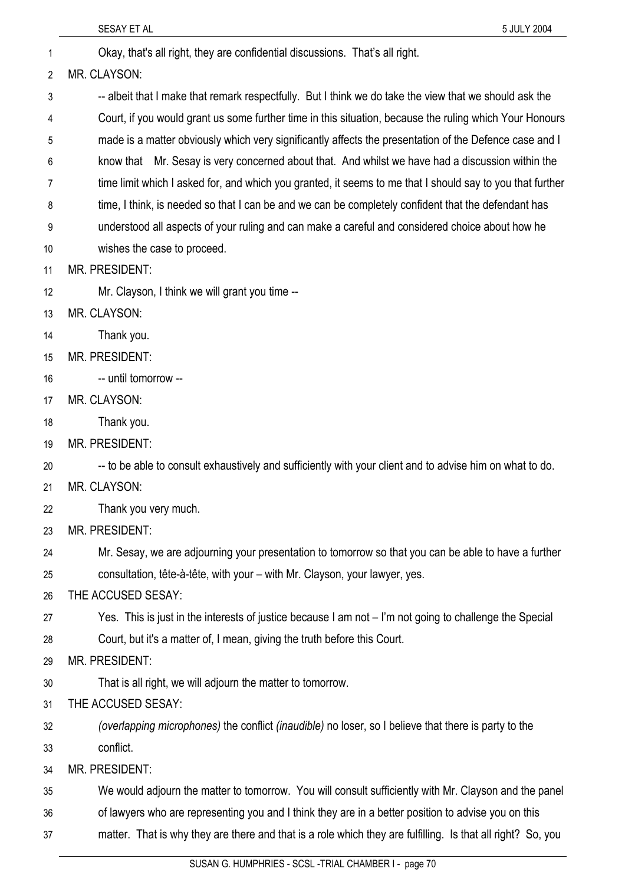| $\mathbf{1}$    | Okay, that's all right, they are confidential discussions. That's all right.                                |
|-----------------|-------------------------------------------------------------------------------------------------------------|
| $\overline{2}$  | MR. CLAYSON:                                                                                                |
| 3               | -- albeit that I make that remark respectfully. But I think we do take the view that we should ask the      |
| 4               | Court, if you would grant us some further time in this situation, because the ruling which Your Honours     |
| 5               | made is a matter obviously which very significantly affects the presentation of the Defence case and I      |
| 6               | know that Mr. Sesay is very concerned about that. And whilst we have had a discussion within the            |
| 7               | time limit which I asked for, and which you granted, it seems to me that I should say to you that further   |
| 8               | time, I think, is needed so that I can be and we can be completely confident that the defendant has         |
| 9               | understood all aspects of your ruling and can make a careful and considered choice about how he             |
| 10 <sup>1</sup> | wishes the case to proceed.                                                                                 |
| 11              | MR. PRESIDENT:                                                                                              |
| 12              | Mr. Clayson, I think we will grant you time --                                                              |
| 13              | MR. CLAYSON:                                                                                                |
| 14              | Thank you.                                                                                                  |
| 15              | <b>MR. PRESIDENT:</b>                                                                                       |
| 16              | -- until tomorrow --                                                                                        |
| 17              | MR. CLAYSON:                                                                                                |
| 18              | Thank you.                                                                                                  |
| 19              | <b>MR. PRESIDENT:</b>                                                                                       |
| 20              | -- to be able to consult exhaustively and sufficiently with your client and to advise him on what to do.    |
| 21              | MR. CLAYSON:                                                                                                |
| 22              | Thank you very much.                                                                                        |
| 23              | MR. PRESIDENT:                                                                                              |
| 24              | Mr. Sesay, we are adjourning your presentation to tomorrow so that you can be able to have a further        |
| 25              | consultation, tête-à-tête, with your – with Mr. Clayson, your lawyer, yes.                                  |
| 26              | THE ACCUSED SESAY:                                                                                          |
| 27              | Yes. This is just in the interests of justice because I am not – I'm not going to challenge the Special     |
| 28              | Court, but it's a matter of, I mean, giving the truth before this Court.                                    |
| 29              | <b>MR. PRESIDENT:</b>                                                                                       |
| 30              | That is all right, we will adjourn the matter to tomorrow.                                                  |
| 31              | THE ACCUSED SESAY:                                                                                          |
| 32              | (overlapping microphones) the conflict (inaudible) no loser, so I believe that there is party to the        |
| 33              | conflict.                                                                                                   |
| 34              | MR. PRESIDENT:                                                                                              |
| 35              | We would adjourn the matter to tomorrow. You will consult sufficiently with Mr. Clayson and the panel       |
| 36              | of lawyers who are representing you and I think they are in a better position to advise you on this         |
| 37              | matter. That is why they are there and that is a role which they are fulfilling. Is that all right? So, you |
|                 | SUSAN G HUMPHRIES - SCSL - TRIAL CHAMRER L- nane 70                                                         |

SESAY ET AL 5 JULY 2004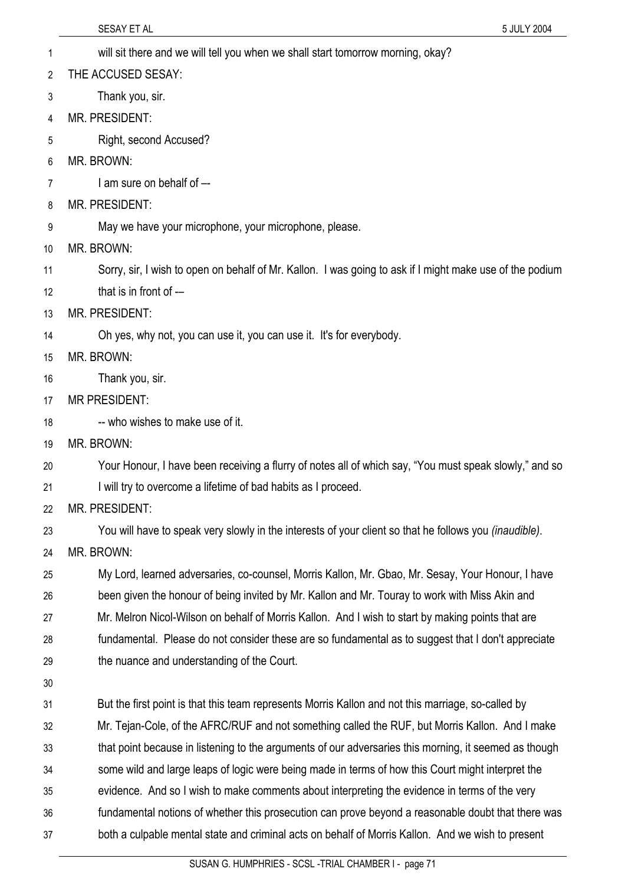| 1  | will sit there and we will tell you when we shall start tomorrow morning, okay?                                |
|----|----------------------------------------------------------------------------------------------------------------|
| 2  | THE ACCUSED SESAY:                                                                                             |
| 3  | Thank you, sir.                                                                                                |
| 4  | MR. PRESIDENT:                                                                                                 |
| 5  | Right, second Accused?                                                                                         |
| 6  | MR. BROWN:                                                                                                     |
| 7  | I am sure on behalf of --                                                                                      |
| 8  | <b>MR. PRESIDENT:</b>                                                                                          |
| 9  | May we have your microphone, your microphone, please.                                                          |
| 10 | MR. BROWN:                                                                                                     |
| 11 | Sorry, sir, I wish to open on behalf of Mr. Kallon. I was going to ask if I might make use of the podium       |
| 12 | that is in front of -                                                                                          |
| 13 | <b>MR. PRESIDENT:</b>                                                                                          |
| 14 | Oh yes, why not, you can use it, you can use it. It's for everybody.                                           |
| 15 | MR. BROWN:                                                                                                     |
| 16 | Thank you, sir.                                                                                                |
| 17 | <b>MR PRESIDENT:</b>                                                                                           |
| 18 | -- who wishes to make use of it.                                                                               |
| 19 | MR. BROWN:                                                                                                     |
| 20 | Your Honour, I have been receiving a flurry of notes all of which say, "You must speak slowly," and so         |
| 21 | I will try to overcome a lifetime of bad habits as I proceed.                                                  |
| 22 | MR. PRESIDENT:                                                                                                 |
| 23 | You will have to speak very slowly in the interests of your client so that he follows you <i>(inaudible)</i> . |
| 24 | MR. BROWN:                                                                                                     |
| 25 | My Lord, learned adversaries, co-counsel, Morris Kallon, Mr. Gbao, Mr. Sesay, Your Honour, I have              |
| 26 | been given the honour of being invited by Mr. Kallon and Mr. Touray to work with Miss Akin and                 |
| 27 | Mr. Melron Nicol-Wilson on behalf of Morris Kallon. And I wish to start by making points that are              |
| 28 | fundamental. Please do not consider these are so fundamental as to suggest that I don't appreciate             |
| 29 | the nuance and understanding of the Court.                                                                     |
| 30 |                                                                                                                |
| 31 | But the first point is that this team represents Morris Kallon and not this marriage, so-called by             |
| 32 | Mr. Tejan-Cole, of the AFRC/RUF and not something called the RUF, but Morris Kallon. And I make                |
| 33 | that point because in listening to the arguments of our adversaries this morning, it seemed as though          |
| 34 | some wild and large leaps of logic were being made in terms of how this Court might interpret the              |
| 35 | evidence. And so I wish to make comments about interpreting the evidence in terms of the very                  |
| 36 | fundamental notions of whether this prosecution can prove beyond a reasonable doubt that there was             |
| 37 | both a culpable mental state and criminal acts on behalf of Morris Kallon. And we wish to present              |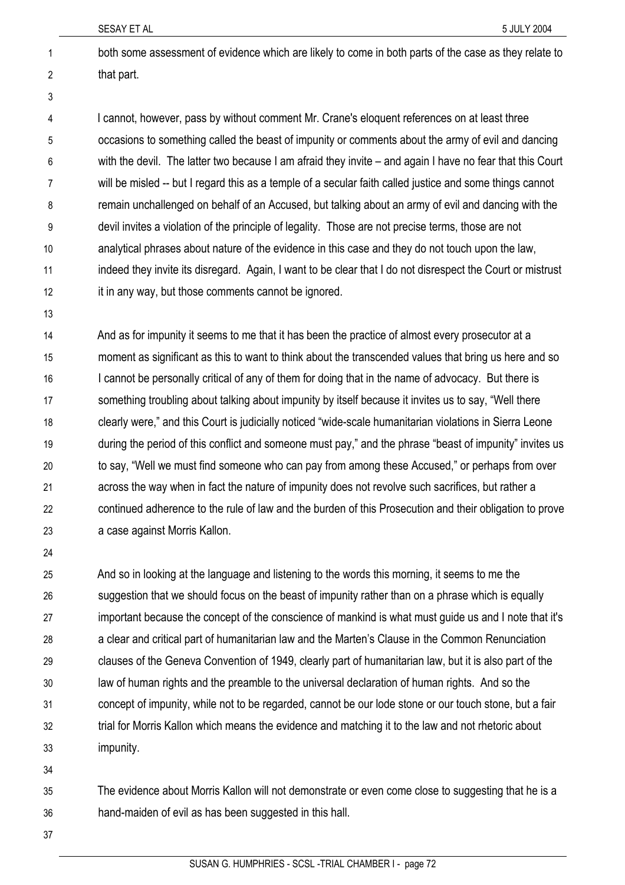both some assessment of evidence which are likely to come in both parts of the case as they relate to that part.

2 3

1

4 5 6 7 8 9 10 11 12 I cannot, however, pass by without comment Mr. Crane's eloquent references on at least three occasions to something called the beast of impunity or comments about the army of evil and dancing with the devil. The latter two because I am afraid they invite – and again I have no fear that this Court will be misled -- but I regard this as a temple of a secular faith called justice and some things cannot remain unchallenged on behalf of an Accused, but talking about an army of evil and dancing with the devil invites a violation of the principle of legality. Those are not precise terms, those are not analytical phrases about nature of the evidence in this case and they do not touch upon the law, indeed they invite its disregard. Again, I want to be clear that I do not disrespect the Court or mistrust it in any way, but those comments cannot be ignored.

13

14 15 16 17 18 19 20 21 22 23 And as for impunity it seems to me that it has been the practice of almost every prosecutor at a moment as significant as this to want to think about the transcended values that bring us here and so I cannot be personally critical of any of them for doing that in the name of advocacy. But there is something troubling about talking about impunity by itself because it invites us to say, "Well there clearly were," and this Court is judicially noticed "wide-scale humanitarian violations in Sierra Leone during the period of this conflict and someone must pay," and the phrase "beast of impunity" invites us to say, "Well we must find someone who can pay from among these Accused," or perhaps from over across the way when in fact the nature of impunity does not revolve such sacrifices, but rather a continued adherence to the rule of law and the burden of this Prosecution and their obligation to prove a case against Morris Kallon.

24

25 26 27 28 29 30 31 32 33 And so in looking at the language and listening to the words this morning, it seems to me the suggestion that we should focus on the beast of impunity rather than on a phrase which is equally important because the concept of the conscience of mankind is what must guide us and I note that it's a clear and critical part of humanitarian law and the Marten's Clause in the Common Renunciation clauses of the Geneva Convention of 1949, clearly part of humanitarian law, but it is also part of the law of human rights and the preamble to the universal declaration of human rights. And so the concept of impunity, while not to be regarded, cannot be our lode stone or our touch stone, but a fair trial for Morris Kallon which means the evidence and matching it to the law and not rhetoric about impunity.

34

35 36 The evidence about Morris Kallon will not demonstrate or even come close to suggesting that he is a hand-maiden of evil as has been suggested in this hall.

37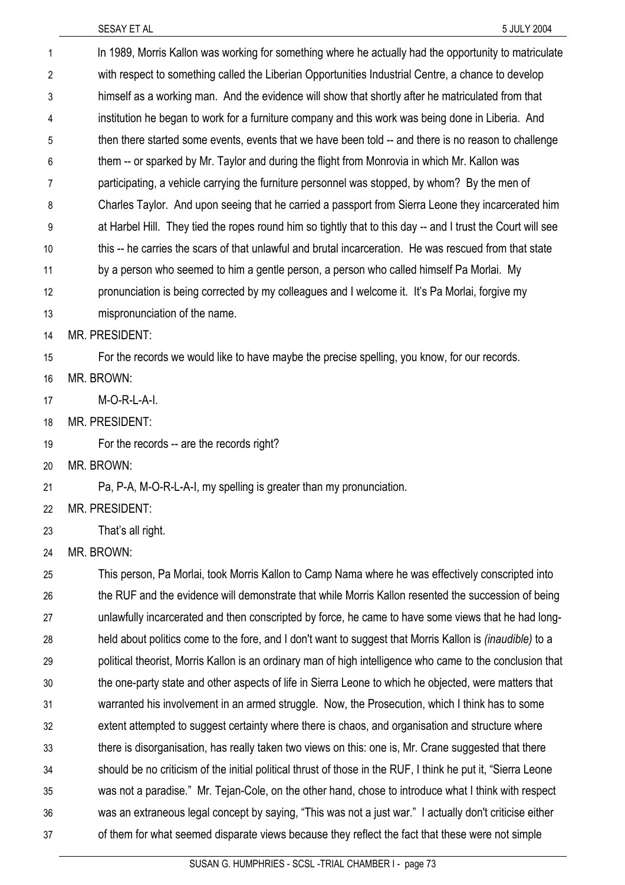| 1  | In 1989, Morris Kallon was working for something where he actually had the opportunity to matriculate           |
|----|-----------------------------------------------------------------------------------------------------------------|
| 2  | with respect to something called the Liberian Opportunities Industrial Centre, a chance to develop              |
| 3  | himself as a working man. And the evidence will show that shortly after he matriculated from that               |
| 4  | institution he began to work for a furniture company and this work was being done in Liberia. And               |
| 5  | then there started some events, events that we have been told -- and there is no reason to challenge            |
| 6  | them -- or sparked by Mr. Taylor and during the flight from Monrovia in which Mr. Kallon was                    |
| 7  | participating, a vehicle carrying the furniture personnel was stopped, by whom? By the men of                   |
| 8  | Charles Taylor. And upon seeing that he carried a passport from Sierra Leone they incarcerated him              |
| 9  | at Harbel Hill. They tied the ropes round him so tightly that to this day -- and I trust the Court will see     |
| 10 | this -- he carries the scars of that unlawful and brutal incarceration. He was rescued from that state          |
| 11 | by a person who seemed to him a gentle person, a person who called himself Pa Morlai. My                        |
| 12 | pronunciation is being corrected by my colleagues and I welcome it. It's Pa Morlai, forgive my                  |
| 13 | mispronunciation of the name.                                                                                   |
| 14 | <b>MR. PRESIDENT:</b>                                                                                           |
| 15 | For the records we would like to have maybe the precise spelling, you know, for our records.                    |
| 16 | MR. BROWN:                                                                                                      |
| 17 | M-O-R-L-A-I.                                                                                                    |
| 18 | MR. PRESIDENT:                                                                                                  |
| 19 | For the records -- are the records right?                                                                       |
| 20 | MR. BROWN:                                                                                                      |
| 21 | Pa, P-A, M-O-R-L-A-I, my spelling is greater than my pronunciation.                                             |
| 22 | MR. PRESIDENT:                                                                                                  |
| 23 | That's all right.                                                                                               |
| 24 | MR. BROWN:                                                                                                      |
| 25 | This person, Pa Morlai, took Morris Kallon to Camp Nama where he was effectively conscripted into               |
| 26 | the RUF and the evidence will demonstrate that while Morris Kallon resented the succession of being             |
| 27 | unlawfully incarcerated and then conscripted by force, he came to have some views that he had long-             |
| 28 | held about politics come to the fore, and I don't want to suggest that Morris Kallon is <i>(inaudible)</i> to a |
| 29 | political theorist, Morris Kallon is an ordinary man of high intelligence who came to the conclusion that       |
| 30 | the one-party state and other aspects of life in Sierra Leone to which he objected, were matters that           |
| 31 | warranted his involvement in an armed struggle. Now, the Prosecution, which I think has to some                 |
| 32 | extent attempted to suggest certainty where there is chaos, and organisation and structure where                |
| 33 | there is disorganisation, has really taken two views on this: one is, Mr. Crane suggested that there            |
| 34 | should be no criticism of the initial political thrust of those in the RUF, I think he put it, "Sierra Leone"   |
| 35 | was not a paradise." Mr. Tejan-Cole, on the other hand, chose to introduce what I think with respect            |
| 36 | was an extraneous legal concept by saying, "This was not a just war." I actually don't criticise either         |
| 37 | of them for what seemed disparate views because they reflect the fact that these were not simple                |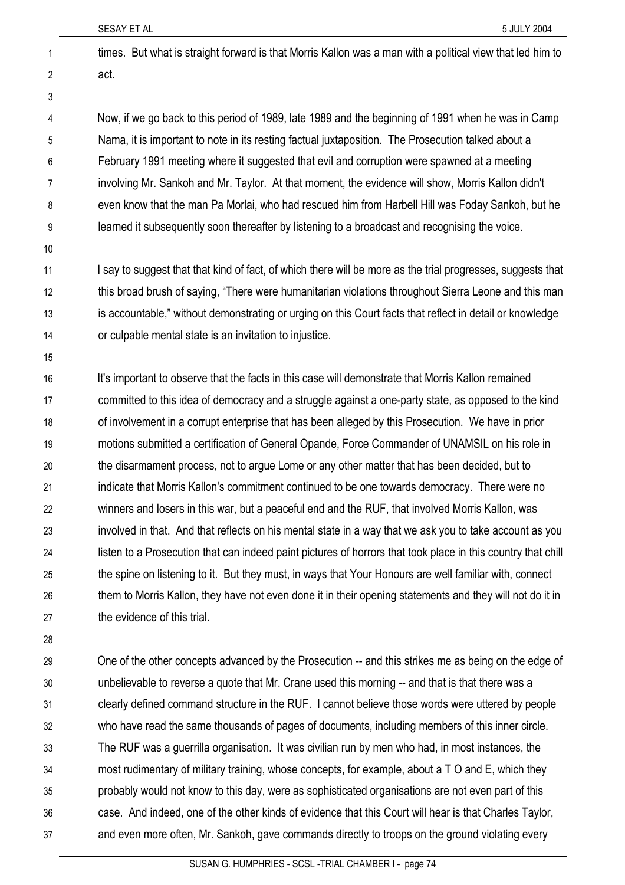- times. But what is straight forward is that Morris Kallon was a man with a political view that led him to act. 1 2
- 3

4 5 6 7 8 9 Now, if we go back to this period of 1989, late 1989 and the beginning of 1991 when he was in Camp Nama, it is important to note in its resting factual juxtaposition. The Prosecution talked about a February 1991 meeting where it suggested that evil and corruption were spawned at a meeting involving Mr. Sankoh and Mr. Taylor. At that moment, the evidence will show, Morris Kallon didn't even know that the man Pa Morlai, who had rescued him from Harbell Hill was Foday Sankoh, but he learned it subsequently soon thereafter by listening to a broadcast and recognising the voice.

10

11 12 13 14 I say to suggest that that kind of fact, of which there will be more as the trial progresses, suggests that this broad brush of saying, "There were humanitarian violations throughout Sierra Leone and this man is accountable," without demonstrating or urging on this Court facts that reflect in detail or knowledge or culpable mental state is an invitation to injustice.

15

16 17 18 19 20 21 22 23 24 25 26 27 It's important to observe that the facts in this case will demonstrate that Morris Kallon remained committed to this idea of democracy and a struggle against a one-party state, as opposed to the kind of involvement in a corrupt enterprise that has been alleged by this Prosecution. We have in prior motions submitted a certification of General Opande, Force Commander of UNAMSIL on his role in the disarmament process, not to argue Lome or any other matter that has been decided, but to indicate that Morris Kallon's commitment continued to be one towards democracy. There were no winners and losers in this war, but a peaceful end and the RUF, that involved Morris Kallon, was involved in that. And that reflects on his mental state in a way that we ask you to take account as you listen to a Prosecution that can indeed paint pictures of horrors that took place in this country that chill the spine on listening to it. But they must, in ways that Your Honours are well familiar with, connect them to Morris Kallon, they have not even done it in their opening statements and they will not do it in the evidence of this trial.

28

29 30 31 32 33 34 35 36 37 One of the other concepts advanced by the Prosecution -- and this strikes me as being on the edge of unbelievable to reverse a quote that Mr. Crane used this morning -- and that is that there was a clearly defined command structure in the RUF. I cannot believe those words were uttered by people who have read the same thousands of pages of documents, including members of this inner circle. The RUF was a guerrilla organisation. It was civilian run by men who had, in most instances, the most rudimentary of military training, whose concepts, for example, about a T O and E, which they probably would not know to this day, were as sophisticated organisations are not even part of this case. And indeed, one of the other kinds of evidence that this Court will hear is that Charles Taylor, and even more often, Mr. Sankoh, gave commands directly to troops on the ground violating every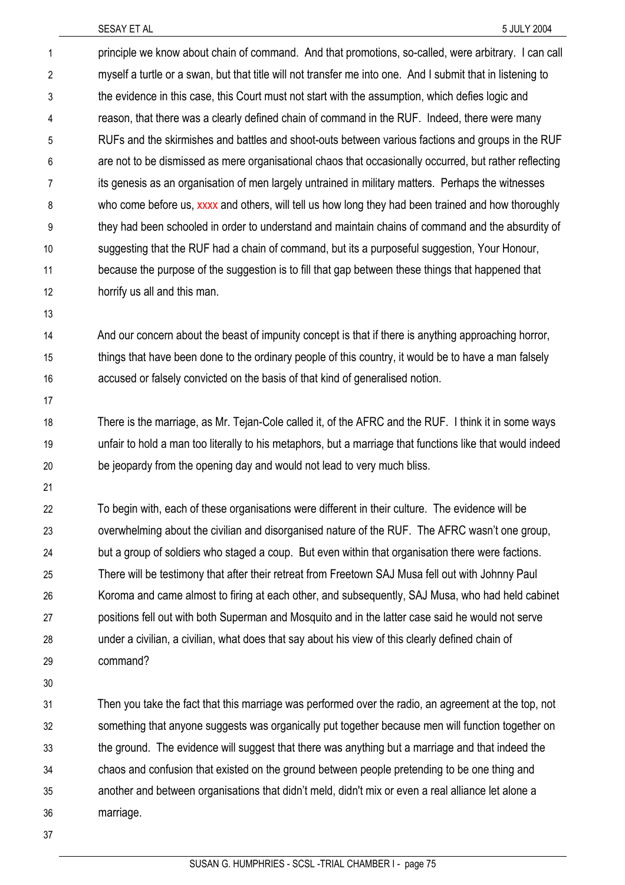principle we know about chain of command. And that promotions, so-called, were arbitrary. I can call myself a turtle or a swan, but that title will not transfer me into one. And I submit that in listening to the evidence in this case, this Court must not start with the assumption, which defies logic and reason, that there was a clearly defined chain of command in the RUF. Indeed, there were many RUFs and the skirmishes and battles and shoot-outs between various factions and groups in the RUF are not to be dismissed as mere organisational chaos that occasionally occurred, but rather reflecting its genesis as an organisation of men largely untrained in military matters. Perhaps the witnesses who come before us, xxxx and others, will tell us how long they had been trained and how thoroughly they had been schooled in order to understand and maintain chains of command and the absurdity of suggesting that the RUF had a chain of command, but its a purposeful suggestion, Your Honour, because the purpose of the suggestion is to fill that gap between these things that happened that horrify us all and this man. 1 2 3 4 5 6 7 8 9 10 11 12

13

14 15 16 And our concern about the beast of impunity concept is that if there is anything approaching horror, things that have been done to the ordinary people of this country, it would be to have a man falsely accused or falsely convicted on the basis of that kind of generalised notion.

17

18 19 20 There is the marriage, as Mr. Tejan-Cole called it, of the AFRC and the RUF. I think it in some ways unfair to hold a man too literally to his metaphors, but a marriage that functions like that would indeed be jeopardy from the opening day and would not lead to very much bliss.

21

22 23 24 25 26 27 28 29 To begin with, each of these organisations were different in their culture. The evidence will be overwhelming about the civilian and disorganised nature of the RUF. The AFRC wasn't one group, but a group of soldiers who staged a coup. But even within that organisation there were factions. There will be testimony that after their retreat from Freetown SAJ Musa fell out with Johnny Paul Koroma and came almost to firing at each other, and subsequently, SAJ Musa, who had held cabinet positions fell out with both Superman and Mosquito and in the latter case said he would not serve under a civilian, a civilian, what does that say about his view of this clearly defined chain of command?

30

31 32 33 34 35 36 Then you take the fact that this marriage was performed over the radio, an agreement at the top, not something that anyone suggests was organically put together because men will function together on the ground. The evidence will suggest that there was anything but a marriage and that indeed the chaos and confusion that existed on the ground between people pretending to be one thing and another and between organisations that didn't meld, didn't mix or even a real alliance let alone a marriage.

37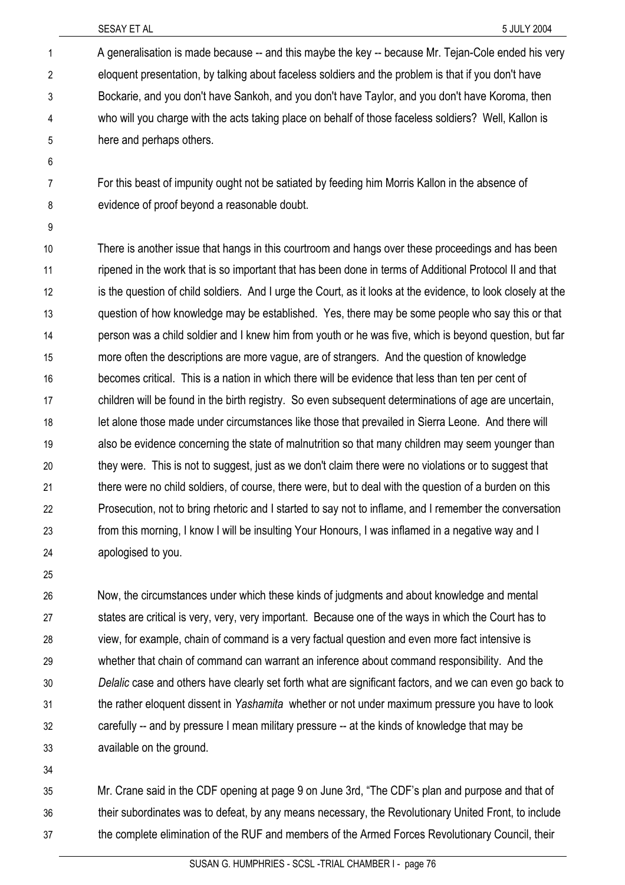A generalisation is made because -- and this maybe the key -- because Mr. Tejan-Cole ended his very eloquent presentation, by talking about faceless soldiers and the problem is that if you don't have Bockarie, and you don't have Sankoh, and you don't have Taylor, and you don't have Koroma, then who will you charge with the acts taking place on behalf of those faceless soldiers? Well, Kallon is here and perhaps others. 1 2 3 4 5

7 8 For this beast of impunity ought not be satiated by feeding him Morris Kallon in the absence of evidence of proof beyond a reasonable doubt.

9

6

10 11 12 13 14 15 16 17 18 19 20 21 22 23 24 There is another issue that hangs in this courtroom and hangs over these proceedings and has been ripened in the work that is so important that has been done in terms of Additional Protocol II and that is the question of child soldiers. And I urge the Court, as it looks at the evidence, to look closely at the question of how knowledge may be established. Yes, there may be some people who say this or that person was a child soldier and I knew him from youth or he was five, which is beyond question, but far more often the descriptions are more vague, are of strangers. And the question of knowledge becomes critical. This is a nation in which there will be evidence that less than ten per cent of children will be found in the birth registry. So even subsequent determinations of age are uncertain, let alone those made under circumstances like those that prevailed in Sierra Leone. And there will also be evidence concerning the state of malnutrition so that many children may seem younger than they were. This is not to suggest, just as we don't claim there were no violations or to suggest that there were no child soldiers, of course, there were, but to deal with the question of a burden on this Prosecution, not to bring rhetoric and I started to say not to inflame, and I remember the conversation from this morning, I know I will be insulting Your Honours, I was inflamed in a negative way and I apologised to you.

25

26 27 28 29 30 31 32 33 Now, the circumstances under which these kinds of judgments and about knowledge and mental states are critical is very, very, very important. Because one of the ways in which the Court has to view, for example, chain of command is a very factual question and even more fact intensive is whether that chain of command can warrant an inference about command responsibility. And the *Delalic* case and others have clearly set forth what are significant factors, and we can even go back to the rather eloquent dissent in *Yashamita* whether or not under maximum pressure you have to look carefully -- and by pressure I mean military pressure -- at the kinds of knowledge that may be available on the ground.

34

35 36 37 Mr. Crane said in the CDF opening at page 9 on June 3rd, "The CDF's plan and purpose and that of their subordinates was to defeat, by any means necessary, the Revolutionary United Front, to include the complete elimination of the RUF and members of the Armed Forces Revolutionary Council, their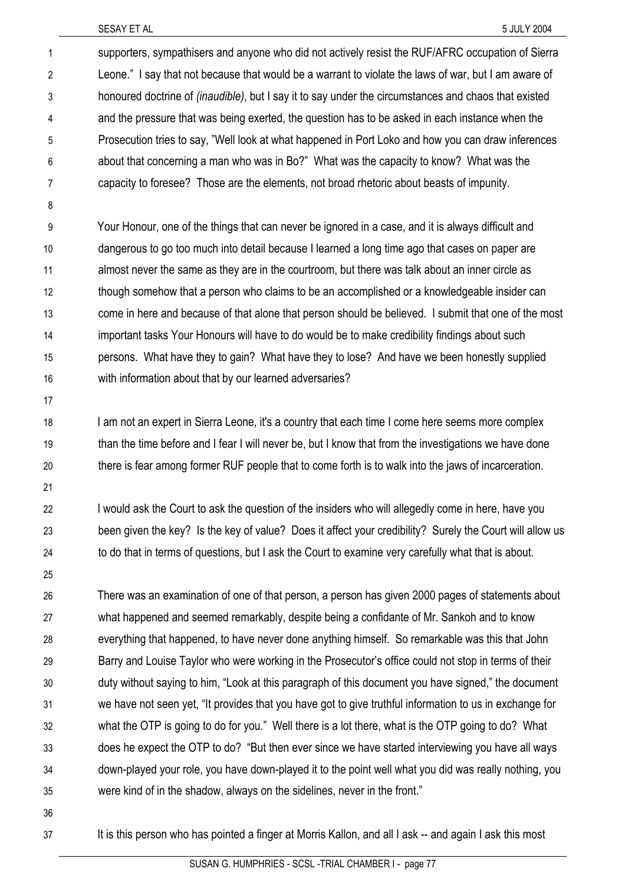supporters, sympathisers and anyone who did not actively resist the RUF/AFRC occupation of Sierra Leone." I say that not because that would be a warrant to violate the laws of war, but I am aware of honoured doctrine of *(inaudible)*, but I say it to say under the circumstances and chaos that existed and the pressure that was being exerted, the question has to be asked in each instance when the Prosecution tries to say, "Well look at what happened in Port Loko and how you can draw inferences about that concerning a man who was in Bo?" What was the capacity to know? What was the capacity to foresee? Those are the elements, not broad rhetoric about beasts of impunity. 1 2 3 4 5 6 7

8

9 10 11 12 13 14 15 16 Your Honour, one of the things that can never be ignored in a case, and it is always difficult and dangerous to go too much into detail because I learned a long time ago that cases on paper are almost never the same as they are in the courtroom, but there was talk about an inner circle as though somehow that a person who claims to be an accomplished or a knowledgeable insider can come in here and because of that alone that person should be believed. I submit that one of the most important tasks Your Honours will have to do would be to make credibility findings about such persons. What have they to gain? What have they to lose? And have we been honestly supplied with information about that by our learned adversaries?

17

18 19 20 I am not an expert in Sierra Leone, it's a country that each time I come here seems more complex than the time before and I fear I will never be, but I know that from the investigations we have done there is fear among former RUF people that to come forth is to walk into the jaws of incarceration.

21

22 23 24 I would ask the Court to ask the question of the insiders who will allegedly come in here, have you been given the key? Is the key of value? Does it affect your credibility? Surely the Court will allow us to do that in terms of questions, but I ask the Court to examine very carefully what that is about.

25

26 27 28 29 30 31 32 33 34 35 There was an examination of one of that person, a person has given 2000 pages of statements about what happened and seemed remarkably, despite being a confidante of Mr. Sankoh and to know everything that happened, to have never done anything himself. So remarkable was this that John Barry and Louise Taylor who were working in the Prosecutor's office could not stop in terms of their duty without saying to him, "Look at this paragraph of this document you have signed," the document we have not seen yet, "It provides that you have got to give truthful information to us in exchange for what the OTP is going to do for you." Well there is a lot there, what is the OTP going to do? What does he expect the OTP to do? "But then ever since we have started interviewing you have all ways down-played your role, you have down-played it to the point well what you did was really nothing, you were kind of in the shadow, always on the sidelines, never in the front."

36 37

It is this person who has pointed a finger at Morris Kallon, and all I ask -- and again I ask this most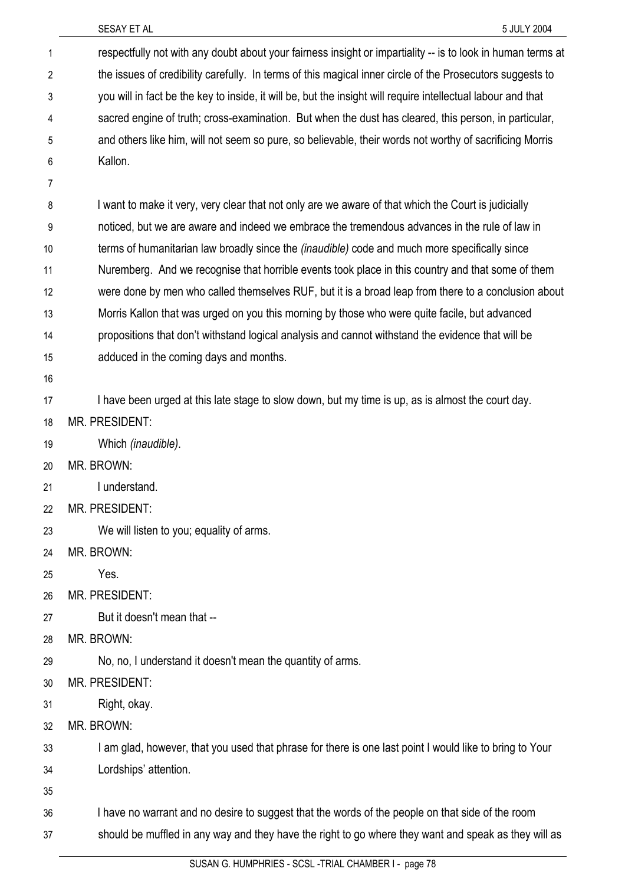respectfully not with any doubt about your fairness insight or impartiality -- is to look in human terms at the issues of credibility carefully. In terms of this magical inner circle of the Prosecutors suggests to you will in fact be the key to inside, it will be, but the insight will require intellectual labour and that sacred engine of truth; cross-examination. But when the dust has cleared, this person, in particular, and others like him, will not seem so pure, so believable, their words not worthy of sacrificing Morris Kallon. 1 2 3 4 5 6

8 9 10 11 12 13 14 15 I want to make it very, very clear that not only are we aware of that which the Court is judicially noticed, but we are aware and indeed we embrace the tremendous advances in the rule of law in terms of humanitarian law broadly since the *(inaudible)* code and much more specifically since Nuremberg. And we recognise that horrible events took place in this country and that some of them were done by men who called themselves RUF, but it is a broad leap from there to a conclusion about Morris Kallon that was urged on you this morning by those who were quite facile, but advanced propositions that don't withstand logical analysis and cannot withstand the evidence that will be adduced in the coming days and months.

16

7

17 I have been urged at this late stage to slow down, but my time is up, as is almost the court day.

18 MR. PRESIDENT:

19 Which *(inaudible)*.

- 20 MR. BROWN:
- 21 I understand.
- 22 MR. PRESIDENT:
- 23 We will listen to you; equality of arms.
- 24 MR. BROWN:
- 25 Yes.
- 26 MR. PRESIDENT:
- 27 But it doesn't mean that --
- 28 MR. BROWN:

29 No, no, I understand it doesn't mean the quantity of arms.

- 30 MR. PRESIDENT:
- 31 Right, okay.
- 32 MR. BROWN:

33 I am glad, however, that you used that phrase for there is one last point I would like to bring to Your

34 Lordships' attention.

35

36 I have no warrant and no desire to suggest that the words of the people on that side of the room

37 should be muffled in any way and they have the right to go where they want and speak as they will as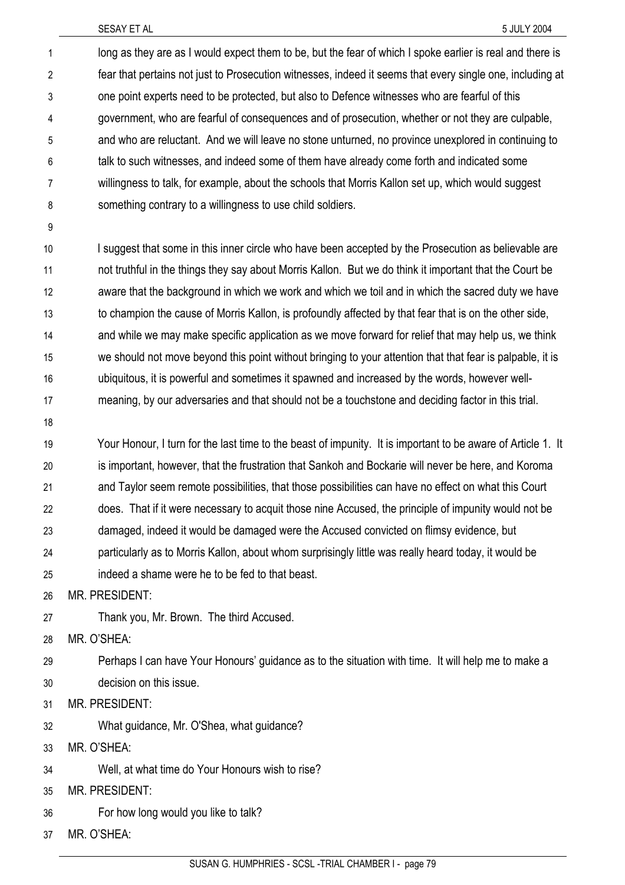long as they are as I would expect them to be, but the fear of which I spoke earlier is real and there is fear that pertains not just to Prosecution witnesses, indeed it seems that every single one, including at one point experts need to be protected, but also to Defence witnesses who are fearful of this government, who are fearful of consequences and of prosecution, whether or not they are culpable, and who are reluctant. And we will leave no stone unturned, no province unexplored in continuing to talk to such witnesses, and indeed some of them have already come forth and indicated some willingness to talk, for example, about the schools that Morris Kallon set up, which would suggest something contrary to a willingness to use child soldiers. 1 2 3 4 5 6 7 8

9

10 11 12 13 14 15 16 17 I suggest that some in this inner circle who have been accepted by the Prosecution as believable are not truthful in the things they say about Morris Kallon. But we do think it important that the Court be aware that the background in which we work and which we toil and in which the sacred duty we have to champion the cause of Morris Kallon, is profoundly affected by that fear that is on the other side, and while we may make specific application as we move forward for relief that may help us, we think we should not move beyond this point without bringing to your attention that that fear is palpable, it is ubiquitous, it is powerful and sometimes it spawned and increased by the words, however wellmeaning, by our adversaries and that should not be a touchstone and deciding factor in this trial.

18

19 20 21 22 23 24 25 Your Honour, I turn for the last time to the beast of impunity. It is important to be aware of Article 1. It is important, however, that the frustration that Sankoh and Bockarie will never be here, and Koroma and Taylor seem remote possibilities, that those possibilities can have no effect on what this Court does. That if it were necessary to acquit those nine Accused, the principle of impunity would not be damaged, indeed it would be damaged were the Accused convicted on flimsy evidence, but particularly as to Morris Kallon, about whom surprisingly little was really heard today, it would be indeed a shame were he to be fed to that beast.

26 MR. PRESIDENT:

27 Thank you, Mr. Brown. The third Accused.

28 MR. O'SHEA:

29 30 Perhaps I can have Your Honours' guidance as to the situation with time. It will help me to make a decision on this issue.

31 MR. PRESIDENT:

32 What guidance, Mr. O'Shea, what guidance?

33 MR. O'SHEA:

34 Well, at what time do Your Honours wish to rise?

35 MR. PRESIDENT:

- 36 For how long would you like to talk?
- 37 MR. O'SHEA: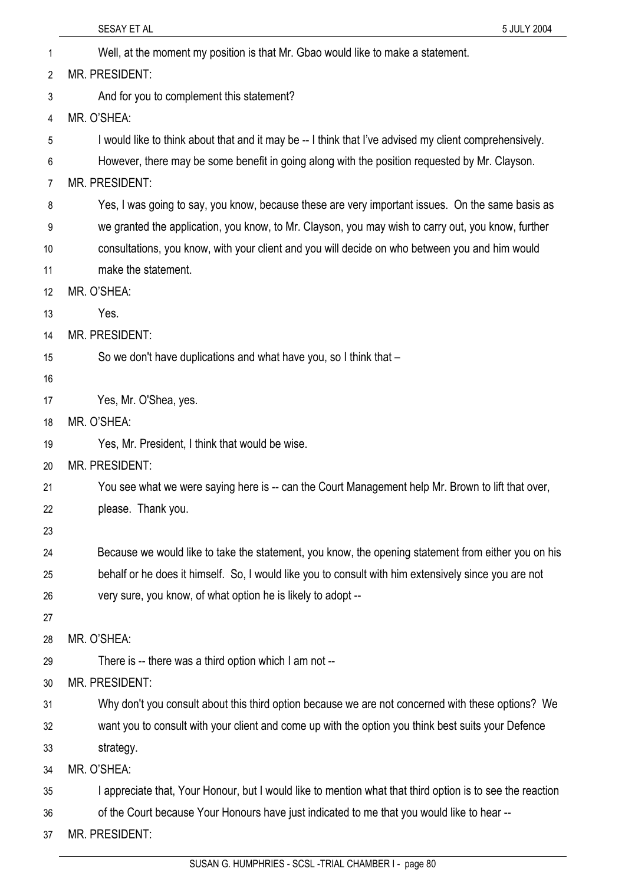|    | SESAY ET AL<br>5 JULY 2004                                                                                |
|----|-----------------------------------------------------------------------------------------------------------|
| 1  | Well, at the moment my position is that Mr. Gbao would like to make a statement.                          |
| 2  | <b>MR. PRESIDENT:</b>                                                                                     |
| 3  | And for you to complement this statement?                                                                 |
| 4  | MR. O'SHEA:                                                                                               |
| 5  | I would like to think about that and it may be -- I think that I've advised my client comprehensively.    |
| 6  | However, there may be some benefit in going along with the position requested by Mr. Clayson.             |
| 7  | <b>MR. PRESIDENT:</b>                                                                                     |
| 8  | Yes, I was going to say, you know, because these are very important issues. On the same basis as          |
| 9  | we granted the application, you know, to Mr. Clayson, you may wish to carry out, you know, further        |
| 10 | consultations, you know, with your client and you will decide on who between you and him would            |
| 11 | make the statement.                                                                                       |
| 12 | MR. O'SHEA:                                                                                               |
| 13 | Yes.                                                                                                      |
| 14 | <b>MR. PRESIDENT:</b>                                                                                     |
| 15 | So we don't have duplications and what have you, so I think that -                                        |
| 16 |                                                                                                           |
| 17 | Yes, Mr. O'Shea, yes.                                                                                     |
| 18 | MR. O'SHEA:                                                                                               |
| 19 | Yes, Mr. President, I think that would be wise.                                                           |
| 20 | <b>MR. PRESIDENT:</b>                                                                                     |
| 21 | You see what we were saying here is -- can the Court Management help Mr. Brown to lift that over,         |
| 22 | please. Thank you.                                                                                        |
| 23 |                                                                                                           |
| 24 | Because we would like to take the statement, you know, the opening statement from either you on his       |
| 25 | behalf or he does it himself. So, I would like you to consult with him extensively since you are not      |
| 26 | very sure, you know, of what option he is likely to adopt --                                              |
| 27 |                                                                                                           |
| 28 | MR. O'SHEA:                                                                                               |
| 29 | There is -- there was a third option which I am not --                                                    |
| 30 | <b>MR. PRESIDENT:</b>                                                                                     |
| 31 | Why don't you consult about this third option because we are not concerned with these options? We         |
| 32 | want you to consult with your client and come up with the option you think best suits your Defence        |
| 33 | strategy.                                                                                                 |
| 34 | MR. O'SHEA:                                                                                               |
| 35 | I appreciate that, Your Honour, but I would like to mention what that third option is to see the reaction |
| 36 | of the Court because Your Honours have just indicated to me that you would like to hear --                |
| 37 | <b>MR. PRESIDENT:</b>                                                                                     |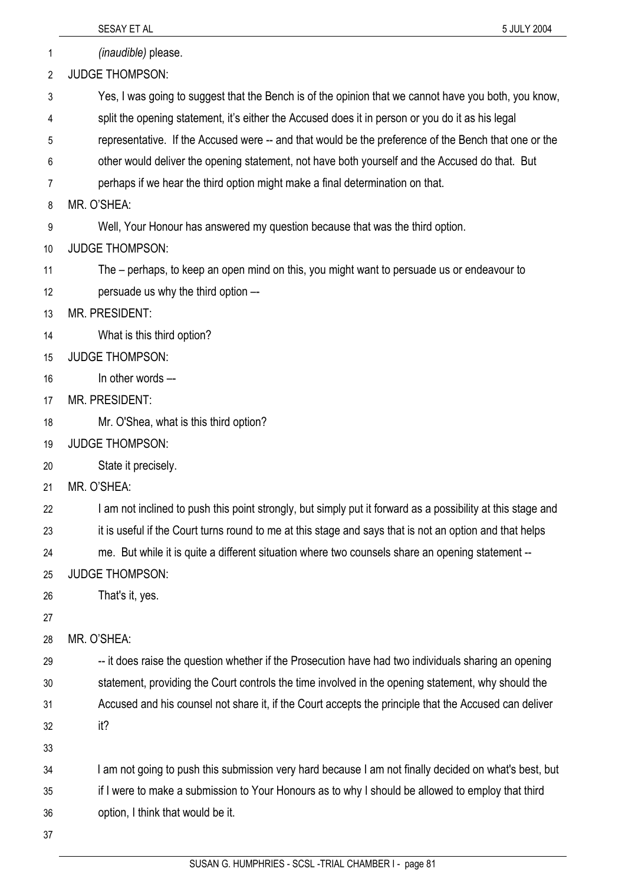|    | SESAY ET AL<br>5 JULY 2004                                                                                  |
|----|-------------------------------------------------------------------------------------------------------------|
| 1  | (inaudible) please.                                                                                         |
| 2  | <b>JUDGE THOMPSON:</b>                                                                                      |
| 3  | Yes, I was going to suggest that the Bench is of the opinion that we cannot have you both, you know,        |
| 4  | split the opening statement, it's either the Accused does it in person or you do it as his legal            |
| 5  | representative. If the Accused were -- and that would be the preference of the Bench that one or the        |
| 6  | other would deliver the opening statement, not have both yourself and the Accused do that. But              |
| 7  | perhaps if we hear the third option might make a final determination on that.                               |
| 8  | MR. O'SHEA:                                                                                                 |
| 9  | Well, Your Honour has answered my question because that was the third option.                               |
| 10 | <b>JUDGE THOMPSON:</b>                                                                                      |
| 11 | The – perhaps, to keep an open mind on this, you might want to persuade us or endeavour to                  |
| 12 | persuade us why the third option --                                                                         |
| 13 | <b>MR. PRESIDENT:</b>                                                                                       |
| 14 | What is this third option?                                                                                  |
| 15 | <b>JUDGE THOMPSON:</b>                                                                                      |
| 16 | In other words --                                                                                           |
| 17 | <b>MR. PRESIDENT:</b>                                                                                       |
| 18 | Mr. O'Shea, what is this third option?                                                                      |
| 19 | <b>JUDGE THOMPSON:</b>                                                                                      |
| 20 | State it precisely.                                                                                         |
| 21 | MR. O'SHEA:                                                                                                 |
| 22 | I am not inclined to push this point strongly, but simply put it forward as a possibility at this stage and |
| 23 | it is useful if the Court turns round to me at this stage and says that is not an option and that helps     |
| 24 | me. But while it is quite a different situation where two counsels share an opening statement --            |
| 25 | <b>JUDGE THOMPSON:</b>                                                                                      |
| 26 | That's it, yes.                                                                                             |
| 27 |                                                                                                             |
| 28 | MR. O'SHEA:                                                                                                 |
| 29 | -- it does raise the question whether if the Prosecution have had two individuals sharing an opening        |
| 30 | statement, providing the Court controls the time involved in the opening statement, why should the          |
| 31 | Accused and his counsel not share it, if the Court accepts the principle that the Accused can deliver       |
| 32 | it?                                                                                                         |
| 33 |                                                                                                             |
| 34 | I am not going to push this submission very hard because I am not finally decided on what's best, but       |
| 35 | if I were to make a submission to Your Honours as to why I should be allowed to employ that third           |
| 36 | option, I think that would be it.                                                                           |
| 37 |                                                                                                             |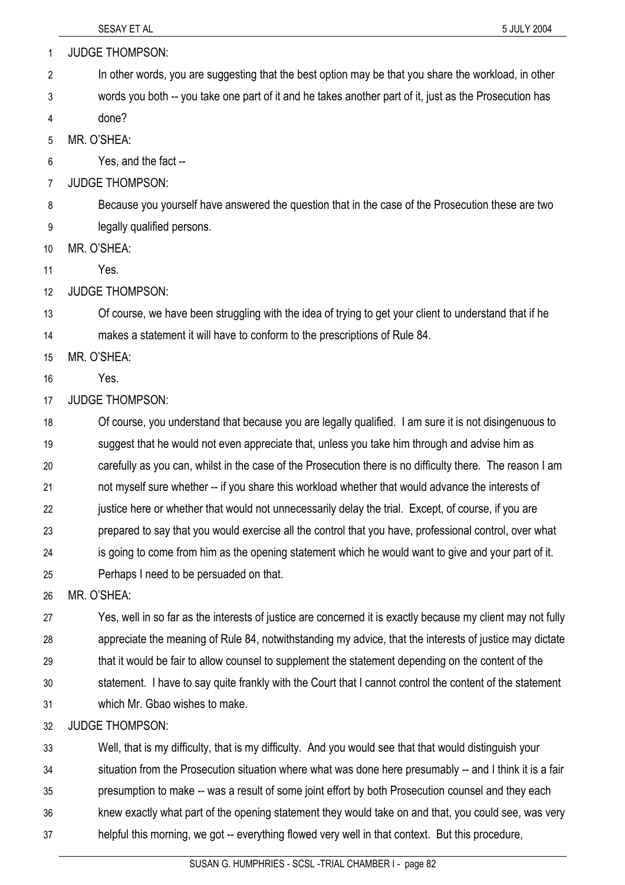SESAY ET AL 5 JULY 2004 JUDGE THOMPSON: In other words, you are suggesting that the best option may be that you share the workload, in other words you both -- you take one part of it and he takes another part of it, just as the Prosecution has done? 1 2 3 4 5 6 7 8 9 10 11 12 13 14 15 16 17 18 19 20 21 22 23 24 25 26 27 28 29 30 31 32 33 34 35 36 MR. O'SHEA: Yes, and the fact --JUDGE THOMPSON: Because you yourself have answered the question that in the case of the Prosecution these are two legally qualified persons. MR. O'SHEA: Yes. JUDGE THOMPSON: Of course, we have been struggling with the idea of trying to get your client to understand that if he makes a statement it will have to conform to the prescriptions of Rule 84. MR. O'SHEA: Yes. JUDGE THOMPSON: Of course, you understand that because you are legally qualified. I am sure it is not disingenuous to suggest that he would not even appreciate that, unless you take him through and advise him as carefully as you can, whilst in the case of the Prosecution there is no difficulty there. The reason I am not myself sure whether -- if you share this workload whether that would advance the interests of justice here or whether that would not unnecessarily delay the trial. Except, of course, if you are prepared to say that you would exercise all the control that you have, professional control, over what is going to come from him as the opening statement which he would want to give and your part of it. Perhaps I need to be persuaded on that. MR. O'SHEA: Yes, well in so far as the interests of justice are concerned it is exactly because my client may not fully appreciate the meaning of Rule 84, notwithstanding my advice, that the interests of justice may dictate that it would be fair to allow counsel to supplement the statement depending on the content of the statement. I have to say quite frankly with the Court that I cannot control the content of the statement which Mr. Gbao wishes to make. JUDGE THOMPSON: Well, that is my difficulty, that is my difficulty. And you would see that that would distinguish your situation from the Prosecution situation where what was done here presumably -- and I think it is a fair presumption to make -- was a result of some joint effort by both Prosecution counsel and they each knew exactly what part of the opening statement they would take on and that, you could see, was very

37 helpful this morning, we got -- everything flowed very well in that context. But this procedure,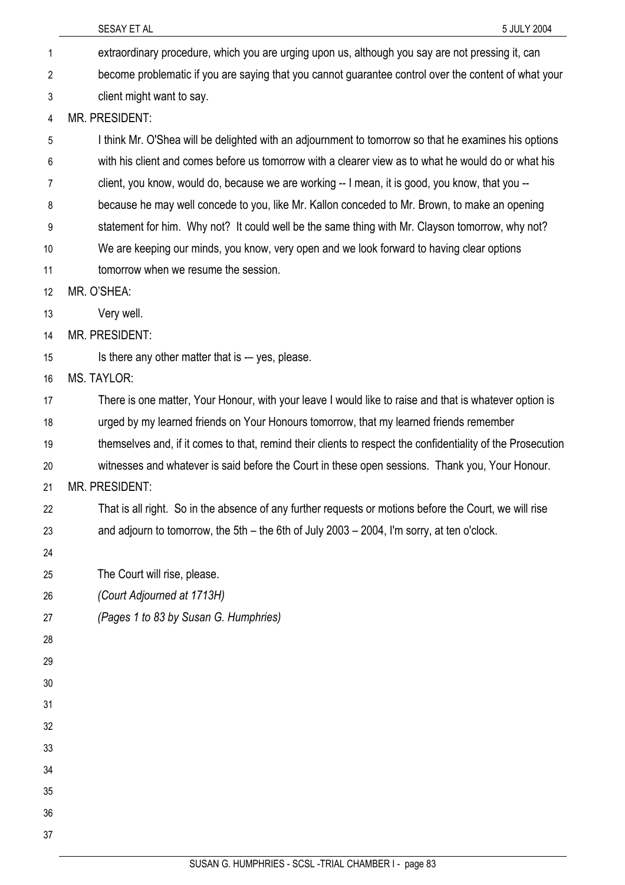|    | SESAY ET AL<br>5 JULY 2004                                                                                  |
|----|-------------------------------------------------------------------------------------------------------------|
| 1  | extraordinary procedure, which you are urging upon us, although you say are not pressing it, can            |
| 2  | become problematic if you are saying that you cannot guarantee control over the content of what your        |
| 3  | client might want to say.                                                                                   |
| 4  | MR. PRESIDENT:                                                                                              |
| 5  | I think Mr. O'Shea will be delighted with an adjournment to tomorrow so that he examines his options        |
| 6  | with his client and comes before us tomorrow with a clearer view as to what he would do or what his         |
| 7  | client, you know, would do, because we are working -- I mean, it is good, you know, that you --             |
| 8  | because he may well concede to you, like Mr. Kallon conceded to Mr. Brown, to make an opening               |
| 9  | statement for him. Why not? It could well be the same thing with Mr. Clayson tomorrow, why not?             |
| 10 | We are keeping our minds, you know, very open and we look forward to having clear options                   |
| 11 | tomorrow when we resume the session.                                                                        |
| 12 | MR. O'SHEA:                                                                                                 |
| 13 | Very well.                                                                                                  |
| 14 | <b>MR. PRESIDENT:</b>                                                                                       |
| 15 | Is there any other matter that is -- yes, please.                                                           |
| 16 | <b>MS. TAYLOR:</b>                                                                                          |
| 17 | There is one matter, Your Honour, with your leave I would like to raise and that is whatever option is      |
| 18 | urged by my learned friends on Your Honours tomorrow, that my learned friends remember                      |
| 19 | themselves and, if it comes to that, remind their clients to respect the confidentiality of the Prosecution |
| 20 | witnesses and whatever is said before the Court in these open sessions. Thank you, Your Honour.             |
| 21 | MR. PRESIDENT:                                                                                              |
| 22 | That is all right. So in the absence of any further requests or motions before the Court, we will rise      |
| 23 | and adjourn to tomorrow, the 5th – the 6th of July 2003 – 2004, I'm sorry, at ten o'clock.                  |
| 24 |                                                                                                             |
| 25 | The Court will rise, please.                                                                                |
| 26 | (Court Adjourned at 1713H)                                                                                  |
| 27 | (Pages 1 to 83 by Susan G. Humphries)                                                                       |
| 28 |                                                                                                             |
| 29 |                                                                                                             |
| 30 |                                                                                                             |
| 31 |                                                                                                             |
| 32 |                                                                                                             |
| 33 |                                                                                                             |
| 34 |                                                                                                             |
| 35 |                                                                                                             |
| 36 |                                                                                                             |
| 37 |                                                                                                             |